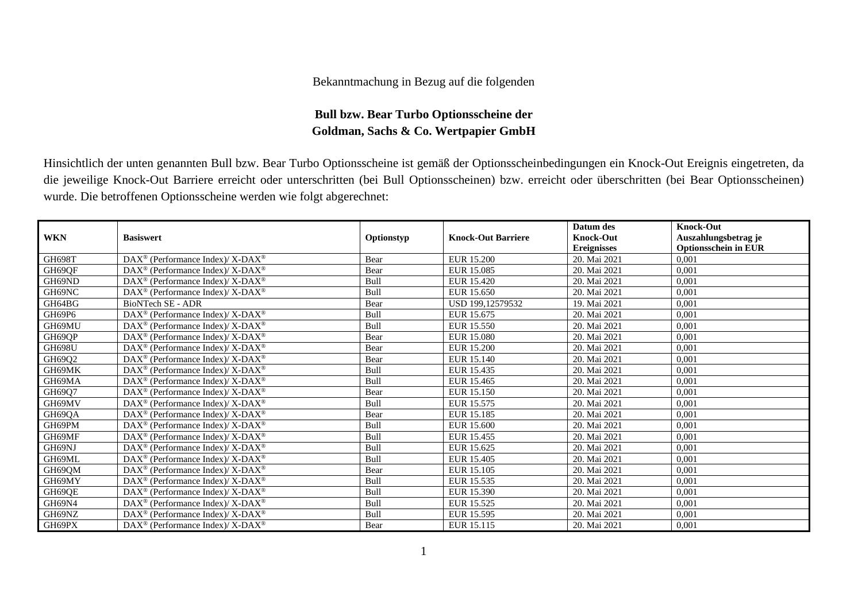## Bekanntmachung in Bezug auf die folgenden

## **Bull bzw. Bear Turbo Optionsscheine der Goldman, Sachs & Co. Wertpapier GmbH**

Hinsichtlich der unten genannten Bull bzw. Bear Turbo Optionsscheine ist gemäß der Optionsscheinbedingungen ein Knock-Out Ereignis eingetreten, da die jeweilige Knock-Out Barriere erreicht oder unterschritten (bei Bull Optionsscheinen) bzw. erreicht oder überschritten (bei Bear Optionsscheinen) wurde. Die betroffenen Optionsscheine werden wie folgt abgerechnet:

|               |                                                                    |             |                           | Datum des          | <b>Knock-Out</b>            |
|---------------|--------------------------------------------------------------------|-------------|---------------------------|--------------------|-----------------------------|
| <b>WKN</b>    | <b>Basiswert</b>                                                   | Optionstyp  | <b>Knock-Out Barriere</b> | <b>Knock-Out</b>   | Auszahlungsbetrag je        |
|               |                                                                    |             |                           | <b>Ereignisses</b> | <b>Optionsschein in EUR</b> |
| <b>GH698T</b> | $DAX^{\circledast}$ (Performance Index)/ X-DAX <sup>®</sup>        | Bear        | EUR 15.200                | 20. Mai 2021       | 0.001                       |
| GH69QF        | $DAX^{\circledcirc}$ (Performance Index)/ X-DAX <sup>®</sup>       | Bear        | EUR 15.085                | 20. Mai 2021       | 0,001                       |
| GH69ND        | $DAX^{\circledast}$ (Performance Index)/ X-DAX <sup>®</sup>        | Bull        | EUR 15.420                | 20. Mai 2021       | 0.001                       |
| GH69NC        | $\text{DAX}^{\circledast}$ (Performance Index)/ X-DAX <sup>®</sup> | Bull        | EUR 15.650                | 20. Mai 2021       | 0,001                       |
| GH64BG        | BioNTech SE - ADR                                                  | Bear        | USD 199,12579532          | 19. Mai 2021       | 0,001                       |
| GH69P6        | DAX <sup>®</sup> (Performance Index)/ X-DAX <sup>®</sup>           | Bull        | EUR 15.675                | 20. Mai 2021       | 0.001                       |
| GH69MU        | DAX <sup>®</sup> (Performance Index)/ X-DAX <sup>®</sup>           | Bull        | EUR 15.550                | 20. Mai 2021       | 0,001                       |
| GH69QP        | $DAX^{\circledcirc}$ (Performance Index)/ X-DAX <sup>®</sup>       | Bear        | <b>EUR 15.080</b>         | 20. Mai 2021       | 0.001                       |
| <b>GH698U</b> | $\text{DAX}^{\circledast}$ (Performance Index)/ X-DAX <sup>®</sup> | Bear        | <b>EUR 15.200</b>         | 20. Mai 2021       | 0,001                       |
| GH69Q2        | $DAX^{\circledast}$ (Performance Index)/ X-DAX <sup>®</sup>        | Bear        | EUR 15.140                | 20. Mai 2021       | 0,001                       |
| GH69MK        | $DAX^{\circledast}$ (Performance Index)/ X-DAX <sup>®</sup>        | Bull        | EUR 15.435                | 20. Mai 2021       | 0.001                       |
| GH69MA        | DAX <sup>®</sup> (Performance Index)/ X-DAX <sup>®</sup>           | Bull        | EUR 15.465                | 20. Mai 2021       | 0,001                       |
| GH69Q7        | $\text{DAX}^{\circledast}$ (Performance Index)/ X-DAX <sup>®</sup> | Bear        | EUR 15.150                | 20. Mai 2021       | 0.001                       |
| GH69MV        | $DAX^{\circledast}$ (Performance Index)/ X-DAX <sup>®</sup>        | Bull        | EUR 15.575                | 20. Mai 2021       | 0.001                       |
| GH69QA        | $DAX^{\circledast}$ (Performance Index)/ X-DAX <sup>®</sup>        | Bear        | EUR 15.185                | 20. Mai 2021       | 0,001                       |
| GH69PM        | $\text{DAX}^{\circledast}$ (Performance Index)/ X-DAX <sup>®</sup> | Bull        | EUR 15.600                | 20. Mai 2021       | 0.001                       |
| GH69MF        | $DAX^{\circledast}$ (Performance Index)/ X-DAX <sup>®</sup>        | Bull        | EUR 15.455                | 20. Mai 2021       | 0,001                       |
| GH69NJ        | DAX <sup>®</sup> (Performance Index)/ X-DAX <sup>®</sup>           | Bull        | EUR 15.625                | 20. Mai 2021       | 0,001                       |
| GH69ML        | $DAX^{\circledast}$ (Performance Index)/ X-DAX <sup>®</sup>        | Bull        | EUR 15.405                | 20. Mai 2021       | 0.001                       |
| GH69QM        | $DAX^{\circledast}$ (Performance Index)/ X-DAX <sup>®</sup>        | Bear        | EUR 15.105                | 20. Mai 2021       | 0,001                       |
| GH69MY        | $DAX^{\circledast}$ (Performance Index)/ X-DAX <sup>®</sup>        | <b>Bull</b> | EUR 15.535                | 20. Mai 2021       | 0,001                       |
| GH69QE        | $\text{DAX}^{\circledast}$ (Performance Index)/ X-DAX <sup>®</sup> | Bull        | EUR 15.390                | 20. Mai 2021       | 0,001                       |
| GH69N4        | $\text{DAX}^{\circledast}$ (Performance Index)/ X-DAX <sup>®</sup> | Bull        | EUR 15.525                | 20. Mai 2021       | 0,001                       |
| GH69NZ        | $DAX^{\circledast}$ (Performance Index)/ X-DAX <sup>®</sup>        | Bull        | EUR 15.595                | 20. Mai 2021       | 0,001                       |
| GH69PX        | $DAX^{\circledcirc}$ (Performance Index)/ X-DAX <sup>®</sup>       | Bear        | EUR 15.115                | 20. Mai 2021       | 0.001                       |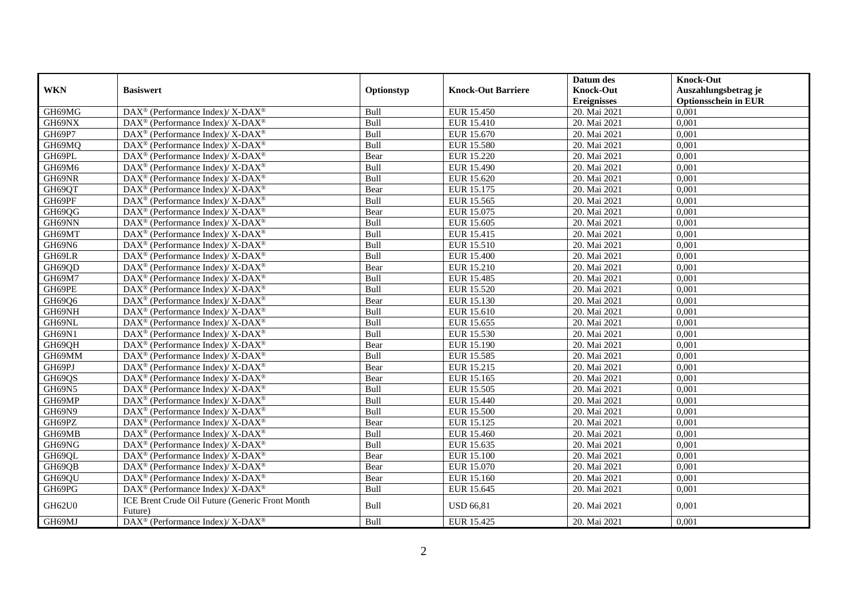|               |                                                                          |            |                           | Datum des          | <b>Knock-Out</b>            |
|---------------|--------------------------------------------------------------------------|------------|---------------------------|--------------------|-----------------------------|
| <b>WKN</b>    | <b>Basiswert</b>                                                         | Optionstyp | <b>Knock-Out Barriere</b> | <b>Knock-Out</b>   | Auszahlungsbetrag je        |
|               |                                                                          |            |                           | <b>Ereignisses</b> | <b>Optionsschein in EUR</b> |
| GH69MG        | DAX <sup>®</sup> (Performance Index)/ X-DAX <sup>®</sup>                 | Bull       | EUR 15.450                | 20. Mai 2021       | 0,001                       |
| GH69NX        | DAX <sup>®</sup> (Performance Index)/ X-DAX <sup>®</sup>                 | Bull       | EUR 15.410                | 20. Mai 2021       | 0,001                       |
| GH69P7        | $\overline{\text{DAX}^{\otimes}}$ (Performance Index)/X-DAX <sup>®</sup> | Bull       | EUR 15.670                | 20. Mai 2021       | 0,001                       |
| GH69MQ        | DAX <sup>®</sup> (Performance Index)/ X-DAX <sup>®</sup>                 | Bull       | <b>EUR 15.580</b>         | 20. Mai 2021       | 0,001                       |
| GH69PL        | DAX <sup>®</sup> (Performance Index)/ X-DAX <sup>®</sup>                 | Bear       | <b>EUR 15.220</b>         | 20. Mai 2021       | 0,001                       |
| GH69M6        | $DAX^{\circledast}$ (Performance Index)/ X-DAX <sup>®</sup>              | Bull       | EUR 15.490                | 20. Mai 2021       | 0,001                       |
| GH69NR        | DAX <sup>®</sup> (Performance Index)/ X-DAX <sup>®</sup>                 | Bull       | EUR 15.620                | 20. Mai 2021       | 0,001                       |
| GH69QT        | DAX <sup>®</sup> (Performance Index)/ X-DAX <sup>®</sup>                 | Bear       | EUR 15.175                | 20. Mai 2021       | 0,001                       |
| GH69PF        | $\overline{\text{DAX}^{\otimes}}$ (Performance Index)/X-DAX <sup>®</sup> | Bull       | EUR 15.565                | 20. Mai 2021       | 0,001                       |
| GH69QG        | DAX <sup>®</sup> (Performance Index)/ X-DAX <sup>®</sup>                 | Bear       | EUR 15.075                | 20. Mai 2021       | 0,001                       |
| GH69NN        | DAX <sup>®</sup> (Performance Index)/ X-DAX <sup>®</sup>                 | Bull       | EUR 15.605                | 20. Mai 2021       | 0,001                       |
| GH69MT        | DAX <sup>®</sup> (Performance Index)/ X-DAX <sup>®</sup>                 | Bull       | EUR 15.415                | 20. Mai 2021       | 0,001                       |
| GH69N6        | DAX <sup>®</sup> (Performance Index)/ X-DAX <sup>®</sup>                 | Bull       | EUR 15.510                | 20. Mai 2021       | 0.001                       |
| GH69LR        | DAX <sup>®</sup> (Performance Index)/ X-DAX <sup>®</sup>                 | Bull       | <b>EUR 15.400</b>         | 20. Mai 2021       | 0,001                       |
| GH69QD        | DAX <sup>®</sup> (Performance Index)/ X-DAX <sup>®</sup>                 | Bear       | EUR 15.210                | 20. Mai 2021       | 0,001                       |
| GH69M7        | DAX <sup>®</sup> (Performance Index)/ X-DAX <sup>®</sup>                 | Bull       | EUR 15.485                | 20. Mai 2021       | 0,001                       |
| GH69PE        | $DAX^{\circledast}$ (Performance Index)/ X-DAX <sup>®</sup>              | Bull       | EUR 15.520                | 20. Mai 2021       | 0,001                       |
| GH69Q6        | DAX <sup>®</sup> (Performance Index)/ X-DAX <sup>®</sup>                 | Bear       | EUR 15.130                | 20. Mai 2021       | 0,001                       |
| GH69NH        | DAX <sup>®</sup> (Performance Index)/ X-DAX <sup>®</sup>                 | Bull       | EUR 15.610                | 20. Mai 2021       | 0,001                       |
| GH69NL        | DAX <sup>®</sup> (Performance Index)/ X-DAX <sup>®</sup>                 | Bull       | EUR 15.655                | 20. Mai 2021       | 0,001                       |
| GH69N1        | DAX <sup>®</sup> (Performance Index)/ X-DAX <sup>®</sup>                 | Bull       | EUR 15.530                | 20. Mai 2021       | 0,001                       |
| GH69QH        | DAX <sup>®</sup> (Performance Index)/ X-DAX <sup>®</sup>                 | Bear       | EUR 15.190                | 20. Mai 2021       | 0,001                       |
| GH69MM        | DAX <sup>®</sup> (Performance Index)/ X-DAX <sup>®</sup>                 | Bull       | EUR 15.585                | 20. Mai 2021       | 0,001                       |
| GH69PJ        | DAX <sup>®</sup> (Performance Index)/ X-DAX <sup>®</sup>                 | Bear       | EUR 15.215                | 20. Mai 2021       | 0,001                       |
| GH69QS        | DAX <sup>®</sup> (Performance Index)/ X-DAX <sup>®</sup>                 | Bear       | EUR 15.165                | 20. Mai 2021       | 0,001                       |
| <b>GH69N5</b> | DAX <sup>®</sup> (Performance Index)/ X-DAX <sup>®</sup>                 | Bull       | <b>EUR 15.505</b>         | 20. Mai 2021       | 0,001                       |
| GH69MP        | DAX <sup>®</sup> (Performance Index)/ X-DAX <sup>®</sup>                 | Bull       | EUR 15.440                | 20. Mai 2021       | 0,001                       |
| GH69N9        | DAX <sup>®</sup> (Performance Index)/ X-DAX <sup>®</sup>                 | Bull       | <b>EUR 15.500</b>         | 20. Mai 2021       | 0.001                       |
| GH69PZ        | DAX <sup>®</sup> (Performance Index)/ X-DAX <sup>®</sup>                 | Bear       | EUR 15.125                | 20. Mai 2021       | 0,001                       |
| GH69MB        | DAX <sup>®</sup> (Performance Index)/ X-DAX <sup>®</sup>                 | Bull       | EUR 15.460                | 20. Mai 2021       | 0,001                       |
| GH69NG        | $DAX^{\circledast}$ (Performance Index)/ X-DAX <sup>®</sup>              | Bull       | EUR 15.635                | 20. Mai 2021       | 0,001                       |
| GH69QL        | DAX <sup>®</sup> (Performance Index)/ X-DAX <sup>®</sup>                 | Bear       | <b>EUR 15.100</b>         | 20. Mai 2021       | 0,001                       |
| GH69QB        | DAX <sup>®</sup> (Performance Index)/ X-DAX <sup>®</sup>                 | Bear       | EUR 15.070                | 20. Mai 2021       | 0,001                       |
| GH69QU        | DAX <sup>®</sup> (Performance Index)/ X-DAX <sup>®</sup>                 | Bear       | EUR 15.160                | 20. Mai 2021       | 0,001                       |
| GH69PG        | DAX <sup>®</sup> (Performance Index)/ X-DAX <sup>®</sup>                 | Bull       | EUR 15.645                | 20. Mai 2021       | 0,001                       |
| GH62U0        | ICE Brent Crude Oil Future (Generic Front Month<br>Future)               | Bull       | <b>USD 66,81</b>          | 20. Mai 2021       | 0,001                       |
| GH69MJ        | DAX <sup>®</sup> (Performance Index)/ X-DAX <sup>®</sup>                 | Bull       | EUR 15.425                | 20. Mai 2021       | 0,001                       |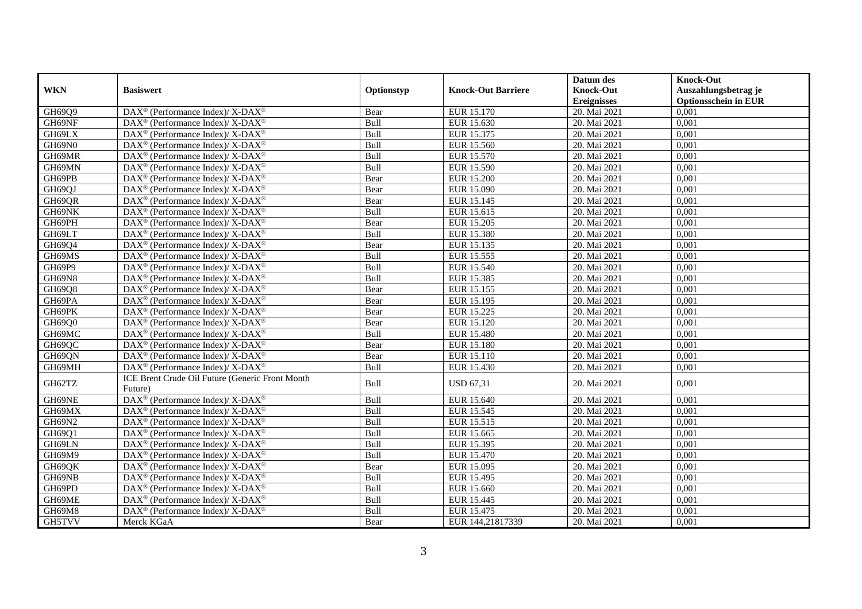|            |                                                                          |            |                           | Datum des          | <b>Knock-Out</b>            |
|------------|--------------------------------------------------------------------------|------------|---------------------------|--------------------|-----------------------------|
| <b>WKN</b> | <b>Basiswert</b>                                                         | Optionstyp | <b>Knock-Out Barriere</b> | <b>Knock-Out</b>   | Auszahlungsbetrag je        |
|            |                                                                          |            |                           | <b>Ereignisses</b> | <b>Optionsschein in EUR</b> |
| GH69Q9     | DAX <sup>®</sup> (Performance Index)/ X-DAX <sup>®</sup>                 | Bear       | EUR 15.170                | 20. Mai 2021       | 0,001                       |
| GH69NF     | DAX <sup>®</sup> (Performance Index)/ X-DAX <sup>®</sup>                 | Bull       | EUR 15.630                | 20. Mai 2021       | 0,001                       |
| GH69LX     | $\overline{\text{DAX}^{\otimes}}$ (Performance Index)/X-DAX <sup>®</sup> | Bull       | EUR 15.375                | 20. Mai 2021       | 0,001                       |
| GH69N0     | DAX <sup>®</sup> (Performance Index)/ X-DAX <sup>®</sup>                 | Bull       | EUR 15.560                | 20. Mai 2021       | 0,001                       |
| GH69MR     | DAX <sup>®</sup> (Performance Index)/ X-DAX <sup>®</sup>                 | Bull       | <b>EUR 15.570</b>         | 20. Mai 2021       | 0,001                       |
| GH69MN     | $DAX^{\circledast}$ (Performance Index)/ X-DAX <sup>®</sup>              | Bull       | EUR 15.590                | 20. Mai 2021       | 0,001                       |
| GH69PB     | DAX <sup>®</sup> (Performance Index)/ X-DAX <sup>®</sup>                 | Bear       | <b>EUR 15.200</b>         | 20. Mai 2021       | 0,001                       |
| GH69QJ     | DAX <sup>®</sup> (Performance Index)/ X-DAX <sup>®</sup>                 | Bear       | EUR 15.090                | 20. Mai 2021       | 0,001                       |
| GH69QR     | DAX <sup>®</sup> (Performance Index)/ X-DAX <sup>®</sup>                 | Bear       | <b>EUR 15.145</b>         | 20. Mai 2021       | 0,001                       |
| GH69NK     | DAX <sup>®</sup> (Performance Index)/ X-DAX <sup>®</sup>                 | Bull       | EUR 15.615                | 20. Mai 2021       | 0,001                       |
| GH69PH     | DAX <sup>®</sup> (Performance Index)/ X-DAX <sup>®</sup>                 | Bear       | <b>EUR 15.205</b>         | 20. Mai 2021       | 0,001                       |
| GH69LT     | DAX <sup>®</sup> (Performance Index)/ X-DAX <sup>®</sup>                 | Bull       | EUR 15.380                | 20. Mai 2021       | 0,001                       |
| GH69Q4     | DAX <sup>®</sup> (Performance Index)/ X-DAX <sup>®</sup>                 | Bear       | EUR 15.135                | 20. Mai 2021       | 0.001                       |
| GH69MS     | DAX <sup>®</sup> (Performance Index)/ X-DAX <sup>®</sup>                 | Bull       | <b>EUR 15.555</b>         | 20. Mai 2021       | 0,001                       |
| GH69P9     | DAX <sup>®</sup> (Performance Index)/ X-DAX <sup>®</sup>                 | Bull       | EUR 15.540                | 20. Mai 2021       | 0,001                       |
| GH69N8     | DAX <sup>®</sup> (Performance Index)/ X-DAX <sup>®</sup>                 | Bull       | EUR 15.385                | 20. Mai 2021       | 0,001                       |
| GH69Q8     | $DAX^{\circledast}$ (Performance Index)/ X-DAX <sup>®</sup>              | Bear       | EUR 15.155                | 20. Mai 2021       | 0,001                       |
| GH69PA     | DAX <sup>®</sup> (Performance Index)/ X-DAX <sup>®</sup>                 | Bear       | EUR 15.195                | 20. Mai 2021       | 0,001                       |
| GH69PK     | DAX <sup>®</sup> (Performance Index)/ X-DAX <sup>®</sup>                 | Bear       | <b>EUR 15.225</b>         | 20. Mai 2021       | 0,001                       |
| GH69Q0     | DAX <sup>®</sup> (Performance Index)/ X-DAX <sup>®</sup>                 | Bear       | EUR 15.120                | 20. Mai 2021       | 0,001                       |
| GH69MC     | DAX <sup>®</sup> (Performance Index)/ X-DAX <sup>®</sup>                 | Bull       | <b>EUR 15.480</b>         | 20. Mai 2021       | 0,001                       |
| GH69QC     | DAX <sup>®</sup> (Performance Index)/ X-DAX <sup>®</sup>                 | Bear       | <b>EUR 15.180</b>         | 20. Mai 2021       | 0,001                       |
| GH69QN     | $DAX^{\circledcirc}$ (Performance Index)/ X-DAX <sup>®</sup>             | Bear       | EUR 15.110                | 20. Mai 2021       | 0,001                       |
| GH69MH     | DAX <sup>®</sup> (Performance Index)/ X-DAX <sup>®</sup>                 | Bull       | EUR 15.430                | 20. Mai 2021       | 0,001                       |
| GH62TZ     | ICE Brent Crude Oil Future (Generic Front Month                          | Bull       | <b>USD 67,31</b>          | 20. Mai 2021       | 0,001                       |
|            | Future)                                                                  |            |                           |                    |                             |
| GH69NE     | DAX <sup>®</sup> (Performance Index)/ X-DAX <sup>®</sup>                 | Bull       | EUR 15.640                | 20. Mai 2021       | 0,001                       |
| GH69MX     | DAX <sup>®</sup> (Performance Index)/ X-DAX <sup>®</sup>                 | Bull       | EUR 15.545                | 20. Mai 2021       | 0,001                       |
| GH69N2     | DAX <sup>®</sup> (Performance Index)/ X-DAX <sup>®</sup>                 | Bull       | EUR 15.515                | 20. Mai 2021       | 0,001                       |
| GH69Q1     | DAX <sup>®</sup> (Performance Index)/ X-DAX <sup>®</sup>                 | Bull       | EUR 15.665                | 20. Mai 2021       | 0,001                       |
| GH69LN     | DAX <sup>®</sup> (Performance Index)/ X-DAX <sup>®</sup>                 | Bull       | <b>EUR 15.395</b>         | 20. Mai 2021       | 0,001                       |
| GH69M9     | $DAX^{\circledast}$ (Performance Index)/ X-DAX <sup>®</sup>              | Bull       | EUR 15.470                | 20. Mai 2021       | 0,001                       |
| GH69QK     | DAX <sup>®</sup> (Performance Index)/ X-DAX <sup>®</sup>                 | Bear       | EUR 15.095                | 20. Mai 2021       | 0,001                       |
| GH69NB     | DAX <sup>®</sup> (Performance Index)/ X-DAX <sup>®</sup>                 | Bull       | EUR 15.495                | 20. Mai 2021       | 0,001                       |
| GH69PD     | DAX <sup>®</sup> (Performance Index)/ X-DAX <sup>®</sup>                 | Bull       | EUR 15.660                | 20. Mai 2021       | 0,001                       |
| GH69ME     | DAX <sup>®</sup> (Performance Index)/ X-DAX <sup>®</sup>                 | Bull       | EUR 15.445                | 20. Mai 2021       | 0,001                       |
| GH69M8     | DAX <sup>®</sup> (Performance Index)/ X-DAX <sup>®</sup>                 | Bull       | EUR 15.475                | 20. Mai 2021       | 0,001                       |
| GH5TVV     | Merck KGaA                                                               | Bear       | EUR 144,21817339          | 20. Mai 2021       | 0,001                       |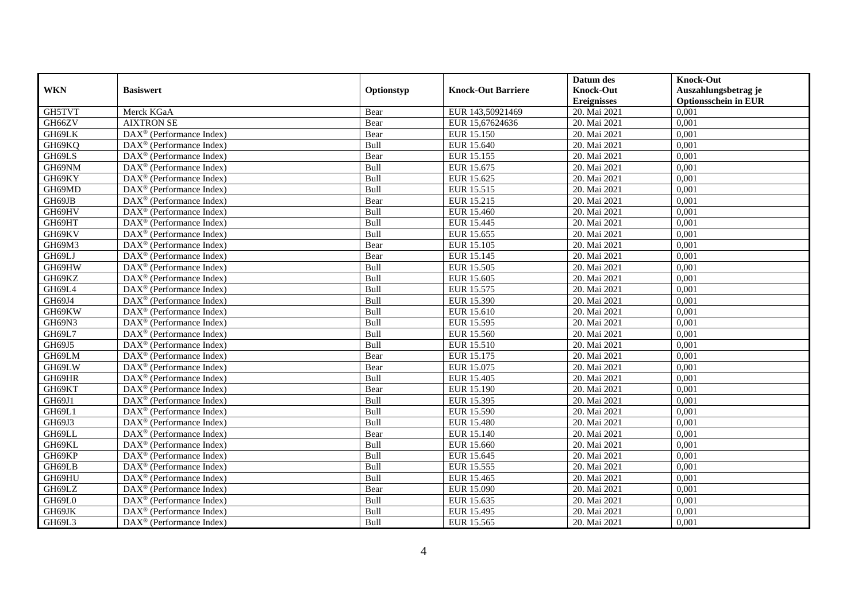|            |                                                       |            |                           | Datum des        | <b>Knock-Out</b>            |
|------------|-------------------------------------------------------|------------|---------------------------|------------------|-----------------------------|
| <b>WKN</b> | <b>Basiswert</b>                                      | Optionstyp | <b>Knock-Out Barriere</b> | <b>Knock-Out</b> | Auszahlungsbetrag je        |
|            |                                                       |            |                           | Ereignisses      | <b>Optionsschein in EUR</b> |
| GH5TVT     | Merck KGaA                                            | Bear       | EUR 143,50921469          | 20. Mai 2021     | 0,001                       |
| GH66ZV     | <b>AIXTRON SE</b>                                     | Bear       | EUR 15,67624636           | 20. Mai 2021     | 0,001                       |
| GH69LK     | DAX <sup>®</sup> (Performance Index)                  | Bear       | EUR 15.150                | 20. Mai 2021     | 0,001                       |
| GH69KQ     | $DAX^{\circledast}$ (Performance Index)               | Bull       | EUR 15.640                | 20. Mai 2021     | 0,001                       |
| GH69LS     | DAX <sup>®</sup> (Performance Index)                  | Bear       | EUR 15.155                | 20. Mai 2021     | 0,001                       |
| GH69NM     | $DAX^{\circledR}$ (Performance Index)                 | Bull       | EUR 15.675                | 20. Mai 2021     | 0,001                       |
| GH69KY     | $DAX^{\circledR}$ (Performance Index)                 | Bull       | EUR 15.625                | 20. Mai 2021     | 0,001                       |
| GH69MD     | DAX <sup>®</sup> (Performance Index)                  | Bull       | EUR 15.515                | 20. Mai 2021     | 0,001                       |
| GH69JB     | DAX <sup>®</sup> (Performance Index)                  | Bear       | EUR 15.215                | 20. Mai 2021     | 0,001                       |
| GH69HV     | $DAX^{\circledast}$ (Performance Index)               | Bull       | EUR 15.460                | 20. Mai 2021     | 0,001                       |
| GH69HT     | DAX <sup>®</sup> (Performance Index)                  | Bull       | EUR 15.445                | 20. Mai 2021     | 0,001                       |
| GH69KV     | DAX <sup>®</sup> (Performance Index)                  | Bull       | EUR 15.655                | 20. Mai 2021     | 0,001                       |
| GH69M3     | $DAX^{\circledast}$ (Performance Index)               | Bear       | EUR 15.105                | 20. Mai 2021     | 0,001                       |
| GH69LJ     | $DAX^{\circledcirc}$ (Performance Index)              | Bear       | EUR 15.145                | 20. Mai 2021     | 0,001                       |
| GH69HW     | DAX <sup>®</sup> (Performance Index)                  | Bull       | EUR 15.505                | 20. Mai 2021     | 0,001                       |
| GH69KZ     | DAX <sup>®</sup> (Performance Index)                  | Bull       | EUR 15.605                | 20. Mai 2021     | 0,001                       |
| GH69L4     | $DAX^{\circledR}$ (Performance Index)                 | Bull       | EUR 15.575                | 20. Mai 2021     | 0,001                       |
| GH69J4     | DAX <sup>®</sup> (Performance Index)                  | Bull       | EUR 15.390                | 20. Mai 2021     | 0,001                       |
| GH69KW     | $\text{DAX}^{\otimes}$ (Performance Index)            | Bull       | EUR 15.610                | 20. Mai 2021     | 0,001                       |
| GH69N3     | $DAX^{\circledast}$ (Performance Index)               | Bull       | EUR 15.595                | 20. Mai 2021     | 0,001                       |
| GH69L7     | $DAX^{\circledast}$ (Performance Index)               | Bull       | EUR 15.560                | 20. Mai 2021     | 0,001                       |
| GH69J5     | $DAX^{\circledcirc}$ (Performance Index)              | Bull       | EUR 15.510                | 20. Mai 2021     | 0,001                       |
| GH69LM     | DAX <sup>®</sup> (Performance Index)                  | Bear       | EUR 15.175                | 20. Mai 2021     | 0,001                       |
| GH69LW     | $DAX^{\circledR}$ (Performance Index)                 | Bear       | EUR 15.075                | 20. Mai 2021     | 0,001                       |
| GH69HR     | $DAX^{\circledR}$ (Performance Index)                 | Bull       | EUR 15.405                | 20. Mai 2021     | 0,001                       |
| GH69KT     | $\text{DAX}^{\otimes}$ (Performance Index)            | Bear       | EUR 15.190                | 20. Mai 2021     | 0,001                       |
| GH69J1     | DAX <sup>®</sup> (Performance Index)                  | Bull       | EUR 15.395                | 20. Mai 2021     | 0,001                       |
| GH69L1     | $\overline{\text{DAX}^{\otimes}}$ (Performance Index) | Bull       | EUR 15.590                | 20. Mai 2021     | 0,001                       |
| GH69J3     | $DAX^{\circledast}$ (Performance Index)               | Bull       | <b>EUR 15.480</b>         | 20. Mai 2021     | 0,001                       |
| GH69LL     | $DAX^{\circledcirc}$ (Performance Index)              | Bear       | EUR 15.140                | 20. Mai 2021     | 0.001                       |
| GH69KL     | $DAX^{\circledR}$ (Performance Index)                 | Bull       | EUR 15.660                | 20. Mai 2021     | 0,001                       |
| GH69KP     | $DAX^{\circledR}$ (Performance Index)                 | Bull       | EUR 15.645                | 20. Mai 2021     | 0,001                       |
| GH69LB     | DAX <sup>®</sup> (Performance Index)                  | Bull       | EUR 15.555                | 20. Mai 2021     | 0,001                       |
| GH69HU     | DAX <sup>®</sup> (Performance Index)                  | Bull       | EUR 15.465                | 20. Mai 2021     | 0,001                       |
| GH69LZ     | $DAX^{\circledast}$ (Performance Index)               | Bear       | EUR 15.090                | 20. Mai 2021     | 0,001                       |
| GH69L0     | $DAX^{\circledcirc}$ (Performance Index)              | Bull       | EUR 15.635                | 20. Mai 2021     | 0,001                       |
| GH69JK     | $DAX^{\circledast}$ (Performance Index)               | Bull       | EUR 15.495                | 20. Mai 2021     | 0,001                       |
| GH69L3     | DAX <sup>®</sup> (Performance Index)                  | Bull       | EUR 15.565                | 20. Mai 2021     | 0,001                       |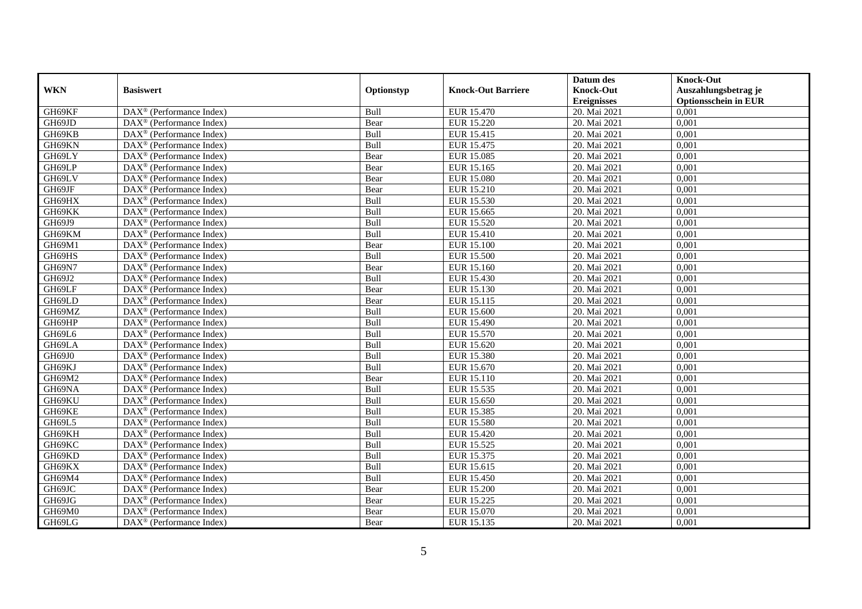|            |                                                       |            |                           | Datum des          | <b>Knock-Out</b>            |
|------------|-------------------------------------------------------|------------|---------------------------|--------------------|-----------------------------|
| <b>WKN</b> | <b>Basiswert</b>                                      | Optionstyp | <b>Knock-Out Barriere</b> | <b>Knock-Out</b>   | Auszahlungsbetrag je        |
|            |                                                       |            |                           | <b>Ereignisses</b> | <b>Optionsschein in EUR</b> |
| GH69KF     | DAX <sup>®</sup> (Performance Index)                  | Bull       | EUR 15.470                | 20. Mai 2021       | 0,001                       |
| GH69JD     | $DAX^{\circledR}$ (Performance Index)                 | Bear       | <b>EUR 15.220</b>         | 20. Mai 2021       | 0,001                       |
| GH69KB     | $DAX^{\circledast}$ (Performance Index)               | Bull       | EUR 15.415                | 20. Mai 2021       | 0,001                       |
| GH69KN     | $DAX^{\circledast}$ (Performance Index)               | Bull       | EUR 15.475                | 20. Mai 2021       | 0,001                       |
| GH69LY     | $\overline{\text{DAX}^{\otimes}}$ (Performance Index) | Bear       | EUR 15.085                | 20. Mai 2021       | 0,001                       |
| GH69LP     | $DAX^{\circledR}$ (Performance Index)                 | Bear       | EUR 15.165                | 20. Mai 2021       | 0,001                       |
| GH69LV     | $DAX^{\circledR}$ (Performance Index)                 | Bear       | <b>EUR 15.080</b>         | 20. Mai 2021       | 0,001                       |
| GH69JF     | DAX <sup>®</sup> (Performance Index)                  | Bear       | EUR 15.210                | 20. Mai 2021       | 0,001                       |
| GH69HX     | $DAX^{\circledast}$ (Performance Index)               | Bull       | <b>EUR 15.530</b>         | 20. Mai 2021       | 0,001                       |
| GH69KK     | $DAX^{\circledast}$ (Performance Index)               | Bull       | EUR 15.665                | 20. Mai 2021       | 0,001                       |
| GH69J9     | DAX <sup>®</sup> (Performance Index)                  | Bull       | EUR 15.520                | 20. Mai 2021       | 0,001                       |
| GH69KM     | DAX <sup>®</sup> (Performance Index)                  | Bull       | EUR 15.410                | 20. Mai 2021       | 0,001                       |
| GH69M1     | $DAX^{\circledast}$ (Performance Index)               | Bear       | EUR 15.100                | 20. Mai 2021       | 0,001                       |
| GH69HS     | $DAX^{\circledcirc}$ (Performance Index)              | Bull       | <b>EUR 15.500</b>         | 20. Mai 2021       | 0,001                       |
| GH69N7     | DAX <sup>®</sup> (Performance Index)                  | Bear       | EUR 15.160                | 20. Mai 2021       | 0,001                       |
| GH69J2     | DAX <sup>®</sup> (Performance Index)                  | Bull       | <b>EUR 15.430</b>         | 20. Mai 2021       | 0,001                       |
| GH69LF     | $DAX^{\circledR}$ (Performance Index)                 | Bear       | EUR 15.130                | 20. Mai 2021       | 0,001                       |
| GH69LD     | $DAX^{\circledast}$ (Performance Index)               | Bear       | EUR 15.115                | 20. Mai 2021       | 0,001                       |
| GH69MZ     | $\text{DAX}^{\otimes}$ (Performance Index)            | Bull       | EUR 15.600                | 20. Mai 2021       | 0,001                       |
| GH69HP     | $DAX^{\circledast}$ (Performance Index)               | Bull       | EUR 15.490                | 20. Mai 2021       | 0,001                       |
| GH69L6     | $DAX^{\circledast}$ (Performance Index)               | Bull       | <b>EUR 15.570</b>         | 20. Mai 2021       | 0,001                       |
| GH69LA     | $DAX^{\circledcirc}$ (Performance Index)              | Bull       | EUR 15.620                | 20. Mai 2021       | 0,001                       |
| GH69J0     | DAX <sup>®</sup> (Performance Index)                  | Bull       | <b>EUR 15.380</b>         | 20. Mai 2021       | 0,001                       |
| GH69KJ     | $DAX^{\circledR}$ (Performance Index)                 | Bull       | EUR 15.670                | 20. Mai 2021       | 0,001                       |
| GH69M2     | $DAX^{\circledR}$ (Performance Index)                 | Bear       | EUR 15.110                | 20. Mai 2021       | 0,001                       |
| GH69NA     | $\text{DAX}^{\otimes}$ (Performance Index)            | Bull       | EUR 15.535                | 20. Mai 2021       | 0,001                       |
| GH69KU     | DAX <sup>®</sup> (Performance Index)                  | Bull       | EUR 15.650                | 20. Mai 2021       | 0,001                       |
| GH69KE     | $\overline{\text{DAX}^{\otimes}}$ (Performance Index) | Bull       | EUR 15.385                | 20. Mai 2021       | 0,001                       |
| GH69L5     | $DAX^{\circledast}$ (Performance Index)               | Bull       | EUR 15.580                | 20. Mai 2021       | 0,001                       |
| GH69KH     | $DAX^{\circledcirc}$ (Performance Index)              | Bull       | EUR 15.420                | 20. Mai 2021       | 0.001                       |
| GH69KC     | $DAX^{\circledR}$ (Performance Index)                 | Bull       | EUR 15.525                | 20. Mai 2021       | 0,001                       |
| GH69KD     | $DAX^{\circledR}$ (Performance Index)                 | Bull       | EUR 15.375                | 20. Mai 2021       | 0,001                       |
| GH69KX     | DAX <sup>®</sup> (Performance Index)                  | Bull       | EUR 15.615                | 20. Mai 2021       | 0,001                       |
| GH69M4     | DAX <sup>®</sup> (Performance Index)                  | Bull       | <b>EUR 15.450</b>         | 20. Mai 2021       | 0,001                       |
| GH69JC     | $DAX^{\circledast}$ (Performance Index)               | Bear       | <b>EUR 15.200</b>         | 20. Mai 2021       | 0,001                       |
| GH69JG     | $DAX^{\circledcirc}$ (Performance Index)              | Bear       | EUR 15.225                | 20. Mai 2021       | 0,001                       |
| GH69M0     | $DAX^{\circledast}$ (Performance Index)               | Bear       | EUR 15.070                | 20. Mai 2021       | 0,001                       |
| GH69LG     | DAX <sup>®</sup> (Performance Index)                  | Bear       | EUR 15.135                | 20. Mai 2021       | 0,001                       |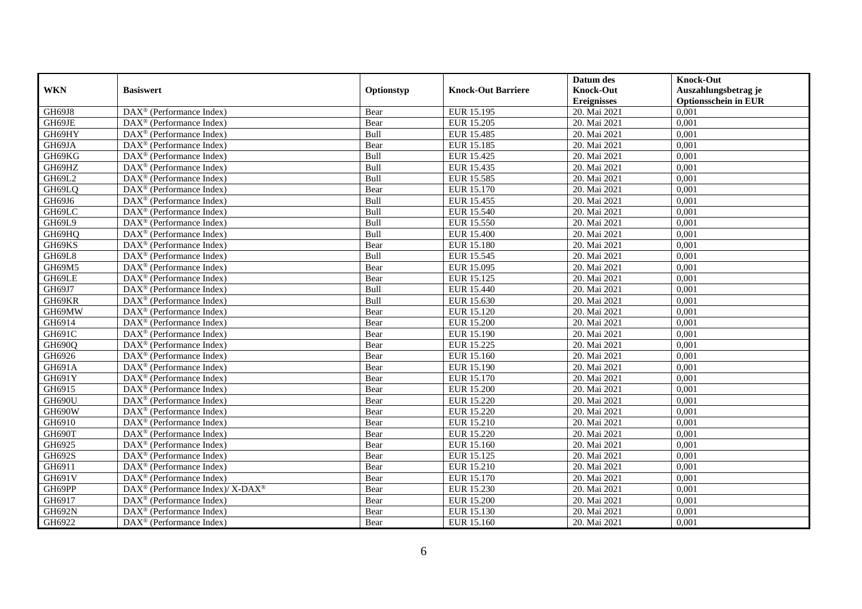|               |                                                          |               |                           | Datum des          | <b>Knock-Out</b>            |
|---------------|----------------------------------------------------------|---------------|---------------------------|--------------------|-----------------------------|
| <b>WKN</b>    | <b>Basiswert</b>                                         | Optionstyp    | <b>Knock-Out Barriere</b> | <b>Knock-Out</b>   | Auszahlungsbetrag je        |
|               |                                                          |               |                           | <b>Ereignisses</b> | <b>Optionsschein in EUR</b> |
| GH69J8        | DAX <sup>®</sup> (Performance Index)                     | Bear          | EUR 15.195                | 20. Mai 2021       | 0,001                       |
| GH69JE        | $DAX^{\circledR}$ (Performance Index)                    | Bear          | <b>EUR 15.205</b>         | 20. Mai 2021       | 0,001                       |
| GH69HY        | $DAX^{\circledast}$ (Performance Index)                  | Bull          | EUR 15.485                | 20. Mai 2021       | 0,001                       |
| GH69JA        | $DAX^{\circledast}$ (Performance Index)                  | Bear          | EUR 15.185                | 20. Mai 2021       | 0,001                       |
| GH69KG        | $\overline{\text{DAX}^{\otimes}}$ (Performance Index)    | Bull          | EUR 15.425                | 20. Mai 2021       | 0,001                       |
| GH69HZ        | $DAX^{\circledR}$ (Performance Index)                    | Bull          | EUR 15.435                | 20. Mai 2021       | 0,001                       |
| GH69L2        | $DAX^{\circledR}$ (Performance Index)                    | Bull          | EUR 15.585                | 20. Mai 2021       | 0,001                       |
| GH69LQ        | DAX <sup>®</sup> (Performance Index)                     | Bear          | EUR 15.170                | 20. Mai 2021       | 0,001                       |
| GH69J6        | $DAX^{\circledast}$ (Performance Index)                  | Bull          | EUR 15.455                | 20. Mai 2021       | 0,001                       |
| GH69LC        | $DAX^{\circledast}$ (Performance Index)                  | Bull          | <b>EUR 15.540</b>         | 20. Mai 2021       | 0,001                       |
| GH69L9        | DAX <sup>®</sup> (Performance Index)                     | Bull          | EUR 15.550                | 20. Mai 2021       | 0,001                       |
| GH69HQ        | DAX <sup>®</sup> (Performance Index)                     | Bull          | <b>EUR 15.400</b>         | 20. Mai 2021       | 0,001                       |
| GH69KS        | $DAX^{\circledast}$ (Performance Index)                  | Bear          | EUR 15.180                | 20. Mai 2021       | 0,001                       |
| GH69L8        | $DAX^{\circledcirc}$ (Performance Index)                 | Bull          | EUR 15.545                | 20. Mai 2021       | 0,001                       |
| GH69M5        | DAX <sup>®</sup> (Performance Index)                     | Bear          | EUR 15.095                | 20. Mai 2021       | 0,001                       |
| GH69LE        | DAX <sup>®</sup> (Performance Index)                     | Bear          | EUR 15.125                | 20. Mai 2021       | 0,001                       |
| GH69J7        | $DAX^{\circledR}$ (Performance Index)                    | Bull          | EUR 15.440                | 20. Mai 2021       | 0,001                       |
| GH69KR        | $DAX^{\circledast}$ (Performance Index)                  | Bull          | EUR 15.630                | 20. Mai 2021       | 0,001                       |
| GH69MW        | $\text{DAX}^{\otimes}$ (Performance Index)               | Bear          | EUR 15.120                | 20. Mai 2021       | 0,001                       |
| GH6914        | $DAX^{\circledast}$ (Performance Index)                  | Bear          | <b>EUR 15.200</b>         | 20. Mai 2021       | 0,001                       |
| GH691C        | $DAX^{\circledast}$ (Performance Index)                  | Bear          | EUR 15.190                | 20. Mai 2021       | 0,001                       |
| GH690Q        | $DAX^{\circledcirc}$ (Performance Index)                 | Bear          | EUR 15.225                | 20. Mai 2021       | 0,001                       |
| GH6926        | $DAX^{\circledR}$ (Performance Index)                    | Bear          | <b>EUR 15.160</b>         | 20. Mai 2021       | 0,001                       |
| GH691A        | $DAX^{\circledR}$ (Performance Index)                    | Bear          | EUR 15.190                | 20. Mai 2021       | 0,001                       |
| GH691Y        | $DAX^{\circledR}$ (Performance Index)                    | Bear          | EUR 15.170                | 20. Mai 2021       | 0,001                       |
| GH6915        | $DAX^{\circledast}$ (Performance Index)                  | Bear          | <b>EUR 15.200</b>         | 20. Mai 2021       | 0,001                       |
| GH690U        | DAX <sup>®</sup> (Performance Index)                     | Bear          | EUR 15.220                | 20. Mai 2021       | 0,001                       |
| GH690W        | $DAX^{\circledR}$ (Performance Index)                    | Bear          | EUR 15.220                | 20. Mai 2021       | 0,001                       |
| GH6910        | $DAX^{\circledast}$ (Performance Index)                  | Bear          | EUR 15.210                | 20. Mai 2021       | 0,001                       |
| GH690T        | $DAX^{\circledcirc}$ (Performance Index)                 | Bear          | EUR 15.220                | 20. Mai 2021       | 0.001                       |
| GH6925        | $DAX^{\circledR}$ (Performance Index)                    | Bear          | EUR 15.160                | 20. Mai 2021       | 0,001                       |
| GH692S        | $DAX^{\circledR}$ (Performance Index)                    | Bear          | EUR 15.125                | 20. Mai 2021       | 0,001                       |
| GH6911        | DAX <sup>®</sup> (Performance Index)                     | Bear          | EUR 15.210                | 20. Mai 2021       | 0,001                       |
| GH691V        | $\overline{\text{DAX}}^{\textcirc}$ (Performance Index)  | Bear          | EUR 15.170                | 20. Mai 2021       | 0,001                       |
| GH69PP        | DAX <sup>®</sup> (Performance Index)/ X-DAX <sup>®</sup> | Bear          | EUR 15.230                | 20. Mai 2021       | 0,001                       |
| GH6917        | $DAX^{\circledcirc}$ (Performance Index)                 | Bear          | <b>EUR 15.200</b>         | 20. Mai 2021       | 0,001                       |
| <b>GH692N</b> | $DAX^{\circledast}$ (Performance Index)                  | $\mbox{Bear}$ | EUR 15.130                | 20. Mai 2021       | 0,001                       |
| GH6922        | DAX <sup>®</sup> (Performance Index)                     | Bear          | EUR 15.160                | 20. Mai 2021       | 0,001                       |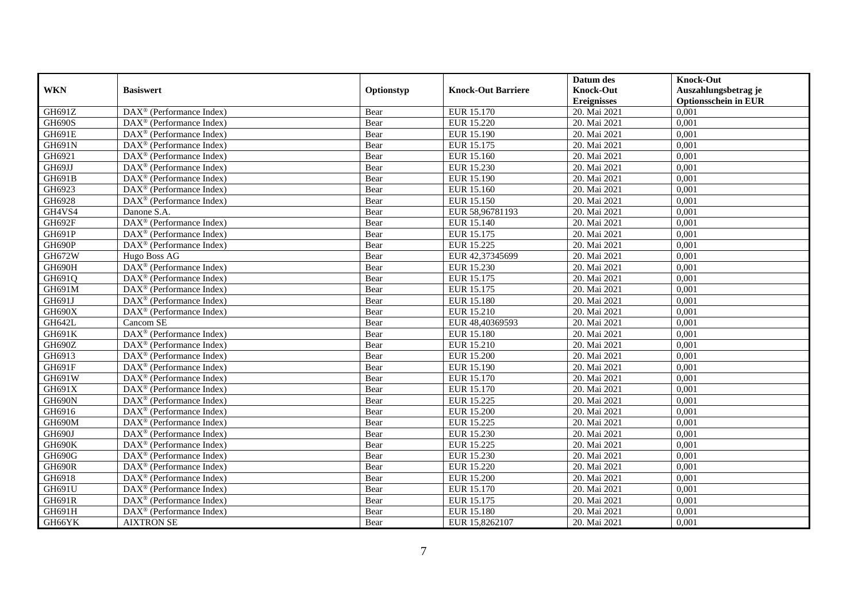|               |                                                       |            |                           | Datum des          | <b>Knock-Out</b>            |
|---------------|-------------------------------------------------------|------------|---------------------------|--------------------|-----------------------------|
| <b>WKN</b>    | <b>Basiswert</b>                                      | Optionstyp | <b>Knock-Out Barriere</b> | <b>Knock-Out</b>   | Auszahlungsbetrag je        |
|               |                                                       |            |                           | <b>Ereignisses</b> | <b>Optionsschein in EUR</b> |
| GH691Z        | DAX <sup>®</sup> (Performance Index)                  | Bear       | EUR 15.170                | 20. Mai 2021       | 0,001                       |
| <b>GH690S</b> | $DAX^{\circledR}$ (Performance Index)                 | Bear       | EUR 15.220                | 20. Mai 2021       | 0,001                       |
| GH691E        | DAX <sup>®</sup> (Performance Index)                  | Bear       | EUR 15.190                | 20. Mai 2021       | 0,001                       |
| GH691N        | $DAX^{\circledast}$ (Performance Index)               | Bear       | EUR 15.175                | 20. Mai 2021       | 0,001                       |
| GH6921        | DAX <sup>®</sup> (Performance Index)                  | Bear       | EUR 15.160                | 20. Mai 2021       | 0,001                       |
| GH69JJ        | $DAX^{\circledR}$ (Performance Index)                 | Bear       | EUR 15.230                | 20. Mai 2021       | 0,001                       |
| GH691B        | $DAX^{\circledR}$ (Performance Index)                 | Bear       | EUR 15.190                | 20. Mai 2021       | 0,001                       |
| GH6923        | DAX <sup>®</sup> (Performance Index)                  | Bear       | EUR 15.160                | 20. Mai 2021       | 0,001                       |
| GH6928        | $DAX^{\circledast}$ (Performance Index)               | Bear       | EUR 15.150                | 20. Mai 2021       | 0,001                       |
| GH4VS4        | Danone S.A.                                           | Bear       | EUR 58,96781193           | 20. Mai 2021       | 0,001                       |
| GH692F        | DAX <sup>®</sup> (Performance Index)                  | Bear       | EUR 15.140                | 20. Mai 2021       | 0,001                       |
| <b>GH691P</b> | DAX <sup>®</sup> (Performance Index)                  | Bear       | EUR 15.175                | 20. Mai 2021       | 0,001                       |
| GH690P        | $DAX^{\circledast}$ (Performance Index)               | Bear       | EUR 15.225                | 20. Mai 2021       | 0,001                       |
| GH672W        | Hugo Boss AG                                          | Bear       | EUR 42,37345699           | 20. Mai 2021       | 0,001                       |
| GH690H        | DAX <sup>®</sup> (Performance Index)                  | Bear       | EUR 15.230                | 20. Mai 2021       | 0,001                       |
| GH691Q        | DAX <sup>®</sup> (Performance Index)                  | Bear       | EUR 15.175                | 20. Mai 2021       | 0,001                       |
| GH691M        | $DAX^{\circledR}$ (Performance Index)                 | Bear       | EUR 15.175                | 20. Mai 2021       | 0,001                       |
| GH691J        | DAX <sup>®</sup> (Performance Index)                  | Bear       | <b>EUR 15.180</b>         | 20. Mai 2021       | 0,001                       |
| GH690X        | DAX <sup>®</sup> (Performance Index)                  | Bear       | EUR 15.210                | 20. Mai 2021       | 0,001                       |
| GH642L        | Cancom SE                                             | Bear       | EUR 48,40369593           | 20. Mai 2021       | 0,001                       |
| GH691K        | DAX <sup>®</sup> (Performance Index)                  | Bear       | <b>EUR 15.180</b>         | 20. Mai 2021       | 0,001                       |
| GH690Z        | $DAX^{\circledR}$ (Performance Index)                 | Bear       | EUR 15.210                | 20. Mai 2021       | 0,001                       |
| GH6913        | $DAX^{\circledR}$ (Performance Index)                 | Bear       | <b>EUR 15.200</b>         | 20. Mai 2021       | 0,001                       |
| <b>GH691F</b> | $DAX^{\circledR}$ (Performance Index)                 | Bear       | EUR 15.190                | 20. Mai 2021       | 0,001                       |
| GH691W        | $DAX^{\circledR}$ (Performance Index)                 | Bear       | EUR 15.170                | 20. Mai 2021       | 0,001                       |
| GH691X        | $DAX^{\circledast}$ (Performance Index)               | Bear       | EUR 15.170                | 20. Mai 2021       | 0,001                       |
| GH690N        | DAX <sup>®</sup> (Performance Index)                  | Bear       | EUR 15.225                | 20. Mai 2021       | 0,001                       |
| GH6916        | $DAX^{\circledR}$ (Performance Index)                 | Bear       | <b>EUR 15.200</b>         | 20. Mai 2021       | 0,001                       |
| GH690M        | $DAX^{\circledast}$ (Performance Index)               | Bear       | EUR 15.225                | 20. Mai 2021       | 0,001                       |
| GH690J        | $DAX^{\circledcirc}$ (Performance Index)              | Bear       | EUR 15.230                | 20. Mai 2021       | 0.001                       |
| GH690K        | $DAX^{\circledR}$ (Performance Index)                 | Bear       | EUR 15.225                | 20. Mai 2021       | 0,001                       |
| GH690G        | $DAX^{\circledR}$ (Performance Index)                 | Bear       | EUR 15.230                | 20. Mai 2021       | 0,001                       |
| GH690R        | DAX <sup>®</sup> (Performance Index)                  | Bear       | EUR 15.220                | 20. Mai 2021       | 0,001                       |
| GH6918        | DAX <sup>®</sup> (Performance Index)                  | Bear       | <b>EUR 15.200</b>         | 20. Mai 2021       | 0,001                       |
| GH691U        | $\overline{\text{DAX}^{\otimes}}$ (Performance Index) | Bear       | EUR 15.170                | 20. Mai 2021       | 0,001                       |
| GH691R        | $DAX^{\circledcirc}$ (Performance Index)              | Bear       | EUR 15.175                | 20. Mai 2021       | 0,001                       |
| GH691H        | DAX <sup>®</sup> (Performance Index)                  | Bear       | EUR 15.180                | 20. Mai 2021       | 0,001                       |
| GH66YK        | <b>AIXTRON SE</b>                                     | Bear       | EUR 15,8262107            | 20. Mai 2021       | 0,001                       |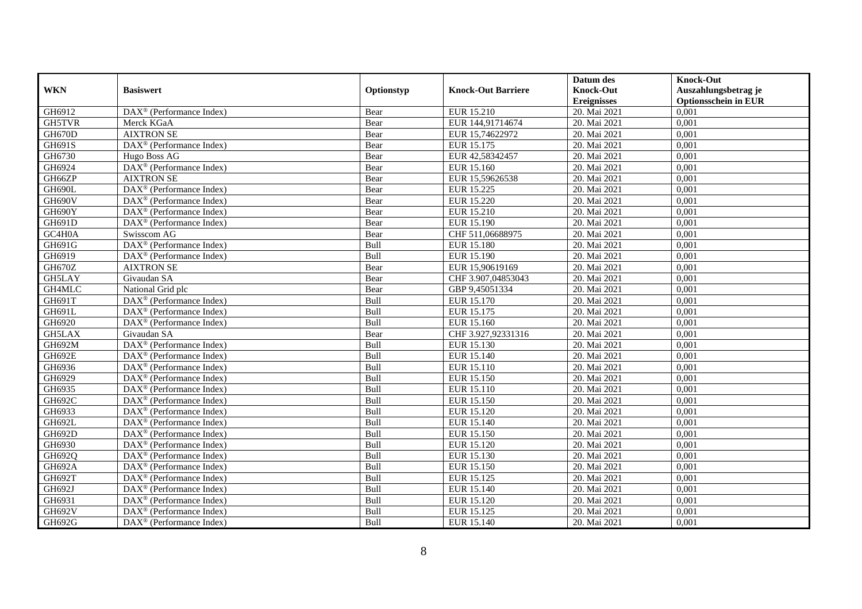|               |                                                       |            |                           | Datum des          | <b>Knock-Out</b>            |
|---------------|-------------------------------------------------------|------------|---------------------------|--------------------|-----------------------------|
| <b>WKN</b>    | <b>Basiswert</b>                                      | Optionstyp | <b>Knock-Out Barriere</b> | <b>Knock-Out</b>   | Auszahlungsbetrag je        |
|               |                                                       |            |                           | <b>Ereignisses</b> | <b>Optionsschein in EUR</b> |
| GH6912        | DAX <sup>®</sup> (Performance Index)                  | Bear       | EUR 15.210                | 20. Mai 2021       | 0,001                       |
| <b>GH5TVR</b> | Merck KGaA                                            | Bear       | EUR 144,91714674          | 20. Mai 2021       | 0,001                       |
| GH670D        | <b>AIXTRON SE</b>                                     | Bear       | EUR 15,74622972           | 20. Mai 2021       | 0,001                       |
| GH691S        | $DAX^{\circledast}$ (Performance Index)               | Bear       | EUR 15.175                | 20. Mai 2021       | 0,001                       |
| GH6730        | Hugo Boss AG                                          | Bear       | EUR 42,58342457           | 20. Mai 2021       | 0,001                       |
| GH6924        | DAX <sup>®</sup> (Performance Index)                  | Bear       | EUR 15.160                | 20. Mai 2021       | 0,001                       |
| GH66ZP        | <b>AIXTRON SE</b>                                     | Bear       | EUR 15,59626538           | 20. Mai 2021       | 0,001                       |
| GH690L        | DAX <sup>®</sup> (Performance Index)                  | Bear       | EUR 15.225                | 20. Mai 2021       | 0,001                       |
| GH690V        | $DAX^{\circledast}$ (Performance Index)               | Bear       | EUR 15.220                | 20. Mai 2021       | 0,001                       |
| GH690Y        | DAX <sup>®</sup> (Performance Index)                  | Bear       | EUR 15.210                | 20. Mai 2021       | 0,001                       |
| GH691D        | DAX <sup>®</sup> (Performance Index)                  | Bear       | EUR 15.190                | 20. Mai 2021       | 0,001                       |
| GC4H0A        | Swisscom AG                                           | Bear       | CHF 511,06688975          | 20. Mai 2021       | 0,001                       |
| GH691G        | DAX <sup>®</sup> (Performance Index)                  | Bull       | <b>EUR 15.180</b>         | 20. Mai 2021       | 0,001                       |
| GH6919        | DAX <sup>®</sup> (Performance Index)                  | Bull       | EUR 15.190                | 20. Mai 2021       | 0,001                       |
| GH670Z        | <b>AIXTRON SE</b>                                     | Bear       | EUR 15,90619169           | 20. Mai 2021       | 0,001                       |
| GH5LAY        | Givaudan SA                                           | Bear       | CHF 3.907,04853043        | 20. Mai 2021       | 0,001                       |
| GH4MLC        | National Grid plc                                     | Bear       | GBP 9,45051334            | 20. Mai 2021       | 0,001                       |
| GH691T        | $DAX^{\circledR}$ (Performance Index)                 | Bull       | EUR 15.170                | 20. Mai 2021       | 0.001                       |
| GH691L        | $DAX^{\circledR}$ (Performance Index)                 | Bull       | EUR 15.175                | 20. Mai 2021       | 0,001                       |
| GH6920        | DAX <sup>®</sup> (Performance Index)                  | Bull       | EUR 15.160                | 20. Mai 2021       | 0,001                       |
| <b>GH5LAX</b> | Givaudan SA                                           | Bear       | CHF 3.927,92331316        | 20. Mai 2021       | 0,001                       |
| GH692M        | DAX <sup>®</sup> (Performance Index)                  | Bull       | EUR 15.130                | 20. Mai 2021       | 0,001                       |
| <b>GH692E</b> | $DAX^{\circledast}$ (Performance Index)               | Bull       | EUR 15.140                | 20. Mai 2021       | 0,001                       |
| GH6936        | $DAX^{\circledast}$ (Performance Index)               | Bull       | EUR 15.110                | 20. Mai 2021       | 0,001                       |
| GH6929        | $DAX^{\circledR}$ (Performance Index)                 | Bull       | EUR 15.150                | 20. Mai 2021       | 0,001                       |
| GH6935        | DAX <sup>®</sup> (Performance Index)                  | Bull       | EUR 15.110                | 20. Mai 2021       | 0,001                       |
| GH692C        | DAX <sup>®</sup> (Performance Index)                  | Bull       | EUR 15.150                | 20. Mai 2021       | 0,001                       |
| GH6933        | $\overline{\text{DAX}^{\otimes}}$ (Performance Index) | Bull       | EUR 15.120                | 20. Mai 2021       | 0,001                       |
| GH692L        | $\overline{\text{DAX}^{\otimes}}$ (Performance Index) | Bull       | EUR 15.140                | 20. Mai 2021       | 0,001                       |
| GH692D        | $DAX^{\circledast}$ (Performance Index)               | Bull       | EUR 15.150                | 20. Mai 2021       | 0,001                       |
| GH6930        | $DAX^{\circledast}$ (Performance Index)               | Bull       | EUR 15.120                | 20. Mai 2021       | 0,001                       |
| GH692Q        | $DAX^{\circledast}$ (Performance Index)               | Bull       | EUR 15.130                | 20. Mai 2021       | 0.001                       |
| <b>GH692A</b> | $\overline{\text{DAX}^{\otimes}}$ (Performance Index) | Bull       | EUR 15.150                | 20. Mai 2021       | 0,001                       |
| GH692T        | DAX <sup>®</sup> (Performance Index)                  | Bull       | EUR 15.125                | 20. Mai 2021       | 0,001                       |
| GH692J        | DAX <sup>®</sup> (Performance Index)                  | Bull       | EUR 15.140                | 20. Mai 2021       | 0,001                       |
| GH6931        | DAX <sup>®</sup> (Performance Index)                  | Bull       | EUR 15.120                | 20. Mai 2021       | 0,001                       |
| GH692V        | DAX <sup>®</sup> (Performance Index)                  | Bull       | EUR 15.125                | 20. Mai 2021       | 0,001                       |
| GH692G        | DAX <sup>®</sup> (Performance Index)                  | Bull       | EUR 15.140                | 20. Mai 2021       | 0,001                       |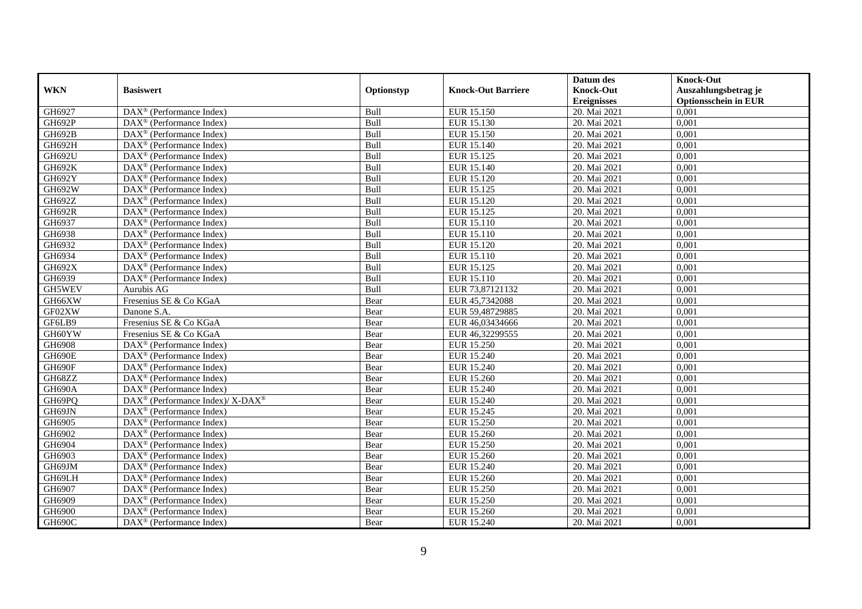|               |                                                         |               |                           | Datum des          | <b>Knock-Out</b>            |
|---------------|---------------------------------------------------------|---------------|---------------------------|--------------------|-----------------------------|
| <b>WKN</b>    | <b>Basiswert</b>                                        | Optionstyp    | <b>Knock-Out Barriere</b> | <b>Knock-Out</b>   | Auszahlungsbetrag je        |
|               |                                                         |               |                           | <b>Ereignisses</b> | <b>Optionsschein in EUR</b> |
| GH6927        | DAX <sup>®</sup> (Performance Index)                    | Bull          | EUR 15.150                | 20. Mai 2021       | 0,001                       |
| <b>GH692P</b> | $DAX^{\circledast}$ (Performance Index)                 | Bull          | EUR 15.130                | 20. Mai 2021       | 0,001                       |
| GH692B        | DAX <sup>®</sup> (Performance Index)                    | Bull          | <b>EUR 15.150</b>         | 20. Mai 2021       | 0,001                       |
| <b>GH692H</b> | DAX <sup>®</sup> (Performance Index)                    | Bull          | EUR 15.140                | 20. Mai 2021       | 0.001                       |
| GH692U        | DAX <sup>®</sup> (Performance Index)                    | Bull          | EUR 15.125                | 20. Mai 2021       | 0,001                       |
| GH692K        | $DAX^{\circledR}$ (Performance Index)                   | Bull          | EUR 15.140                | 20. Mai 2021       | 0,001                       |
| GH692Y        | $DAX^{\circledR}$ (Performance Index)                   | Bull          | EUR 15.120                | 20. Mai 2021       | 0,001                       |
| GH692W        | DAX <sup>®</sup> (Performance Index)                    | Bull          | EUR 15.125                | 20. Mai 2021       | 0,001                       |
| GH692Z        | $DAX^{\circledast}$ (Performance Index)                 | Bull          | <b>EUR 15.120</b>         | 20. Mai 2021       | 0,001                       |
| <b>GH692R</b> | $DAX^{\circledast}$ (Performance Index)                 | Bull          | EUR 15.125                | 20. Mai 2021       | 0,001                       |
| GH6937        | $DAX^{\circledcirc}$ (Performance Index)                | Bull          | EUR 15.110                | 20. Mai 2021       | 0,001                       |
| GH6938        | DAX <sup>®</sup> (Performance Index)                    | Bull          | EUR 15.110                | 20. Mai 2021       | 0,001                       |
| GH6932        | DAX <sup>®</sup> (Performance Index)                    | Bull          | <b>EUR 15.120</b>         | 20. Mai 2021       | 0,001                       |
| GH6934        | $DAX^{\circledR}$ (Performance Index)                   | Bull          | EUR 15.110                | 20. Mai 2021       | 0,001                       |
| GH692X        | $DAX^{\circledast}$ (Performance Index)                 | Bull          | EUR 15.125                | 20. Mai 2021       | 0,001                       |
| GH6939        | DAX <sup>®</sup> (Performance Index)                    | Bull          | EUR 15.110                | 20. Mai 2021       | 0,001                       |
| GH5WEV        | Aurubis AG                                              | Bull          | EUR 73,87121132           | 20. Mai 2021       | 0,001                       |
| GH66XW        | Fresenius SE & Co KGaA                                  | Bear          | EUR 45.7342088            | 20. Mai 2021       | 0.001                       |
| GF02XW        | Danone S.A.                                             | Bear          | EUR 59,48729885           | 20. Mai 2021       | 0,001                       |
| GF6LB9        | Fresenius SE & Co KGaA                                  | Bear          | EUR 46,03434666           | 20. Mai 2021       | 0,001                       |
| GH60YW        | Fresenius SE & Co KGaA                                  | Bear          | EUR 46,32299555           | 20. Mai 2021       | 0.001                       |
| GH6908        | DAX <sup>®</sup> (Performance Index)                    | Bear          | EUR 15.250                | 20. Mai 2021       | 0,001                       |
| GH690E        | $DAX^{\circledast}$ (Performance Index)                 | Bear          | EUR 15.240                | 20. Mai 2021       | 0,001                       |
| GH690F        | DAX <sup>®</sup> (Performance Index)                    | Bear          | EUR 15.240                | 20. Mai 2021       | 0,001                       |
| GH68ZZ        | $DAX^{\circledcirc}$ (Performance Index)                | Bear          | EUR 15.260                | 20. Mai 2021       | 0,001                       |
| GH690A        | $DAX^{\circledast}$ (Performance Index)                 | Bear          | <b>EUR 15.240</b>         | 20. Mai 2021       | 0,001                       |
| GH69PQ        | DAX <sup>®</sup> (Performance Index)/X-DAX <sup>®</sup> | Bear          | <b>EUR 15.240</b>         | 20. Mai 2021       | 0,001                       |
| GH69JN        | $DAX^{\circledR}$ (Performance Index)                   | Bear          | EUR 15.245                | 20. Mai 2021       | 0,001                       |
| GH6905        | $\overline{\text{DAX}^{\otimes}}$ (Performance Index)   | Bear          | <b>EUR 15.250</b>         | 20. Mai 2021       | 0,001                       |
| GH6902        | $DAX^{\circledast}$ (Performance Index)                 | Bear          | EUR 15.260                | 20. Mai 2021       | 0,001                       |
| GH6904        | $DAX^{\circledast}$ (Performance Index)                 | Bear          | EUR 15.250                | 20. Mai 2021       | 0,001                       |
| GH6903        | $DAX^{\circledcirc}$ (Performance Index)                | Bear          | EUR 15.260                | 20. Mai 2021       | 0.001                       |
| GH69JM        | $DAX^{\circledR}$ (Performance Index)                   | Bear          | <b>EUR 15.240</b>         | 20. Mai 2021       | 0,001                       |
| GH69LH        | $\overline{\text{DAX}^{\otimes}}$ (Performance Index)   | Bear          | <b>EUR 15.260</b>         | 20. Mai 2021       | 0,001                       |
| GH6907        | DAX <sup>®</sup> (Performance Index)                    | Bear          | <b>EUR 15.250</b>         | 20. Mai 2021       | 0,001                       |
| GH6909        | $DAX^{\circledcirc}$ (Performance Index)                | Bear          | <b>EUR 15.250</b>         | 20. Mai 2021       | 0,001                       |
| GH6900        | $DAX^{\circledast}$ (Performance Index)                 | $\mbox{Bear}$ | EUR 15.260                | 20. Mai 2021       | 0,001                       |
| GH690C        | DAX <sup>®</sup> (Performance Index)                    | Bear          | EUR 15.240                | 20. Mai 2021       | 0,001                       |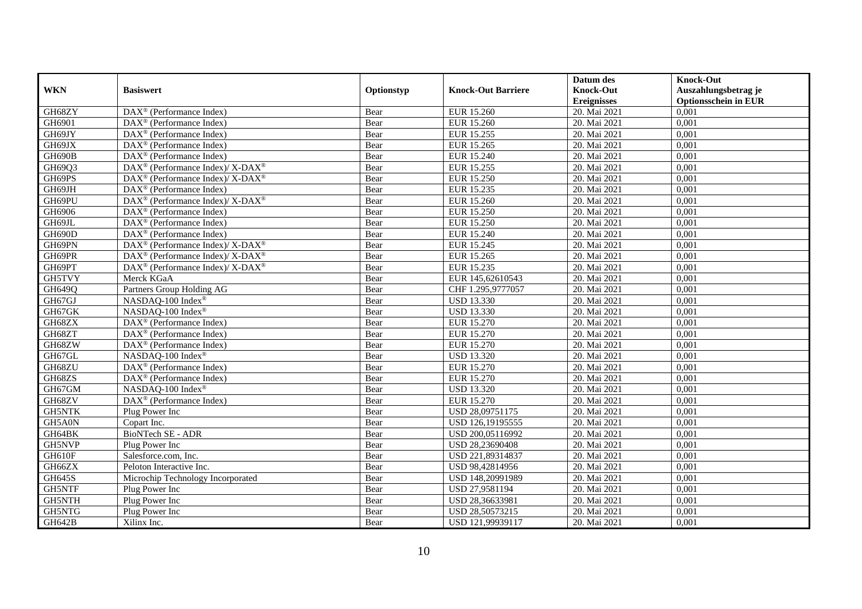|               |                                                                           |            |                           | Datum des          | <b>Knock-Out</b>            |
|---------------|---------------------------------------------------------------------------|------------|---------------------------|--------------------|-----------------------------|
| <b>WKN</b>    | <b>Basiswert</b>                                                          | Optionstyp | <b>Knock-Out Barriere</b> | <b>Knock-Out</b>   | Auszahlungsbetrag je        |
|               |                                                                           |            |                           | <b>Ereignisses</b> | <b>Optionsschein in EUR</b> |
| GH68ZY        | DAX <sup>®</sup> (Performance Index)                                      | Bear       | EUR 15.260                | 20. Mai 2021       | 0,001                       |
| GH6901        | $DAX^{\circledR}$ (Performance Index)                                     | Bear       | <b>EUR 15.260</b>         | 20. Mai 2021       | 0,001                       |
| GH69JY        | DAX <sup>®</sup> (Performance Index)                                      | Bear       | EUR 15.255                | 20. Mai 2021       | 0,001                       |
| GH69JX        | $DAX^{\circledast}$ (Performance Index)                                   | Bear       | EUR 15.265                | 20. Mai 2021       | 0,001                       |
| GH690B        | DAX <sup>®</sup> (Performance Index)                                      | Bear       | EUR 15.240                | 20. Mai 2021       | 0,001                       |
| GH69Q3        | $DAX^{\circledast}$ (Performance Index)/ $\overline{X-DAX^{\circledast}}$ | Bear       | EUR 15.255                | 20. Mai 2021       | 0,001                       |
| GH69PS        | $\overline{\text{DAX}^{\otimes}}$ (Performance Index)/X-DAX <sup>®</sup>  | Bear       | <b>EUR 15.250</b>         | 20. Mai 2021       | 0,001                       |
| GH69JH        | $\overline{\text{DAX}^{\otimes}}$ (Performance Index)                     | Bear       | EUR 15.235                | 20. Mai 2021       | 0,001                       |
| GH69PU        | $DAX^{\circledast}$ (Performance Index)/ $\overline{X-DAX^{\circledast}}$ | Bear       | EUR 15.260                | 20. Mai 2021       | 0,001                       |
| GH6906        | $DAX^{\circledast}$ (Performance Index)                                   | Bear       | <b>EUR 15.250</b>         | 20. Mai 2021       | 0,001                       |
| GH69JL        | DAX <sup>®</sup> (Performance Index)                                      | Bear       | EUR 15.250                | 20. Mai 2021       | 0,001                       |
| GH690D        | DAX <sup>®</sup> (Performance Index)                                      | Bear       | EUR 15.240                | 20. Mai 2021       | 0,001                       |
| GH69PN        | $DAX^{\circledast}$ (Performance Index)/ X-DAX <sup>®</sup>               | Bear       | EUR 15.245                | 20. Mai 2021       | 0,001                       |
| GH69PR        | $DAX^{\circledast}$ (Performance Index)/ X-DAX <sup>®</sup>               | Bear       | EUR 15.265                | 20. Mai 2021       | 0,001                       |
| GH69PT        | DAX <sup>®</sup> (Performance Index)/ X-DAX <sup>®</sup>                  | Bear       | EUR 15.235                | 20. Mai 2021       | 0,001                       |
| GH5TVY        | Merck KGaA                                                                | Bear       | EUR 145,62610543          | 20. Mai 2021       | 0,001                       |
| GH649Q        | Partners Group Holding AG                                                 | Bear       | CHF 1.295,9777057         | 20. Mai 2021       | 0,001                       |
| GH67GJ        | NASDAQ-100 Index®                                                         | Bear       | <b>USD 13.330</b>         | 20. Mai 2021       | 0,001                       |
| GH67GK        | NASDAQ-100 Index®                                                         | Bear       | <b>USD 13.330</b>         | 20. Mai 2021       | 0,001                       |
| GH68ZX        | $DAX^{\circledast}$ (Performance Index)                                   | Bear       | EUR 15.270                | 20. Mai 2021       | 0,001                       |
| GH68ZT        | $DAX^{\circledast}$ (Performance Index)                                   | Bear       | EUR 15.270                | 20. Mai 2021       | 0,001                       |
| GH68ZW        | $\overline{\text{DAX}^{\otimes}}$ (Performance Index)                     | Bear       | EUR 15.270                | 20. Mai 2021       | 0,001                       |
| GH67GL        | NASDAQ-100 Index®                                                         | Bear       | <b>USD 13.320</b>         | 20. Mai 2021       | 0,001                       |
| GH68ZU        | $\overline{\text{DAX}^{\otimes}}$ (Performance Index)                     | Bear       | EUR 15.270                | 20. Mai 2021       | 0,001                       |
| GH68ZS        | $DAX^{\circledR}$ (Performance Index)                                     | Bear       | EUR 15.270                | 20. Mai 2021       | 0,001                       |
| GH67GM        | NASDAQ-100 Index®                                                         | Bear       | <b>USD 13.320</b>         | 20. Mai 2021       | 0,001                       |
| GH68ZV        | DAX <sup>®</sup> (Performance Index)                                      | Bear       | EUR 15.270                | 20. Mai 2021       | 0,001                       |
| <b>GH5NTK</b> | Plug Power Inc                                                            | Bear       | USD 28,09751175           | 20. Mai 2021       | 0,001                       |
| GH5A0N        | Copart Inc.                                                               | Bear       | USD 126,19195555          | 20. Mai 2021       | 0,001                       |
| GH64BK        | <b>BioNTech SE - ADR</b>                                                  | Bear       | USD 200,05116992          | 20. Mai 2021       | 0.001                       |
| <b>GH5NVP</b> | Plug Power Inc                                                            | Bear       | USD 28,23690408           | 20. Mai 2021       | 0,001                       |
| GH610F        | Salesforce.com, Inc.                                                      | Bear       | USD 221,89314837          | 20. Mai 2021       | 0,001                       |
| GH66ZX        | Peloton Interactive Inc.                                                  | Bear       | USD 98,42814956           | 20. Mai 2021       | 0,001                       |
| <b>GH645S</b> | Microchip Technology Incorporated                                         | Bear       | USD 148,20991989          | 20. Mai 2021       | 0,001                       |
| <b>GH5NTF</b> | Plug Power Inc                                                            | Bear       | USD 27,9581194            | 20. Mai 2021       | 0,001                       |
| GH5NTH        | Plug Power Inc                                                            | Bear       | USD 28,36633981           | 20. Mai 2021       | 0,001                       |
| GH5NTG        | Plug Power Inc                                                            | Bear       | USD 28,50573215           | 20. Mai 2021       | 0,001                       |
| <b>GH642B</b> | Xilinx Inc.                                                               | Bear       | USD 121,99939117          | 20. Mai 2021       | 0,001                       |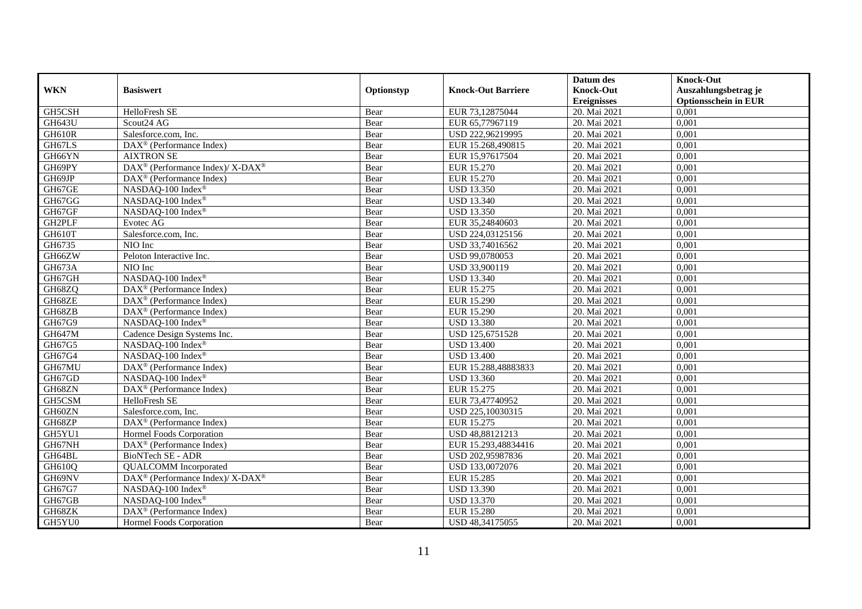|               |                                                          |            |                           | Datum des          | <b>Knock-Out</b>            |
|---------------|----------------------------------------------------------|------------|---------------------------|--------------------|-----------------------------|
| <b>WKN</b>    | <b>Basiswert</b>                                         | Optionstyp | <b>Knock-Out Barriere</b> | <b>Knock-Out</b>   | Auszahlungsbetrag je        |
|               |                                                          |            |                           | <b>Ereignisses</b> | <b>Optionsschein in EUR</b> |
| GH5CSH        | HelloFresh SE                                            | Bear       | EUR 73,12875044           | 20. Mai 2021       | 0,001                       |
| <b>GH643U</b> | Scout24 AG                                               | Bear       | EUR 65,77967119           | 20. Mai 2021       | 0,001                       |
| GH610R        | Salesforce.com, Inc.                                     | Bear       | USD 222,96219995          | 20. Mai 2021       | 0,001                       |
| GH67LS        | $DAX^{\circledast}$ (Performance Index)                  | Bear       | EUR 15.268,490815         | 20. Mai 2021       | 0,001                       |
| GH66YN        | <b>AIXTRON SE</b>                                        | Bear       | EUR 15,97617504           | 20. Mai 2021       | 0.001                       |
| GH69PY        | DAX <sup>®</sup> (Performance Index)/ X-DAX <sup>®</sup> | Bear       | EUR 15.270                | 20. Mai 2021       | 0,001                       |
| GH69JP        | $DAX^{\circledast}$ (Performance Index)                  | Bear       | <b>EUR 15.270</b>         | 20. Mai 2021       | 0,001                       |
| GH67GE        | NASDAQ-100 Index®                                        | Bear       | <b>USD 13.350</b>         | 20. Mai 2021       | 0,001                       |
| GH67GG        | NASDAQ-100 Index®                                        | Bear       | <b>USD 13.340</b>         | 20. Mai 2021       | 0,001                       |
| GH67GF        | NASDAQ-100 Index®                                        | Bear       | <b>USD 13.350</b>         | 20. Mai 2021       | 0,001                       |
| GH2PLF        | Evotec AG                                                | Bear       | EUR 35,24840603           | 20. Mai 2021       | 0,001                       |
| GH610T        | Salesforce.com, Inc.                                     | Bear       | USD 224,03125156          | 20. Mai 2021       | 0,001                       |
| GH6735        | NIO Inc                                                  | Bear       | USD 33,74016562           | 20. Mai 2021       | 0,001                       |
| GH66ZW        | Peloton Interactive Inc.                                 | Bear       | USD 99,0780053            | 20. Mai 2021       | 0,001                       |
| GH673A        | NIO Inc                                                  | Bear       | USD 33,900119             | 20. Mai 2021       | 0,001                       |
| GH67GH        | NASDAQ-100 Index®                                        | Bear       | <b>USD 13.340</b>         | 20. Mai 2021       | 0,001                       |
| GH68ZQ        | DAX <sup>®</sup> (Performance Index)                     | Bear       | EUR 15.275                | 20. Mai 2021       | 0,001                       |
| GH68ZE        | $DAX^{\circledcirc}$ (Performance Index)                 | Bear       | EUR 15.290                | 20. Mai 2021       | 0,001                       |
| GH68ZB        | DAX <sup>®</sup> (Performance Index)                     | Bear       | EUR 15.290                | 20. Mai 2021       | 0,001                       |
| GH67G9        | NASDAQ-100 Index®                                        | Bear       | <b>USD 13.380</b>         | 20. Mai 2021       | 0,001                       |
| GH647M        | Cadence Design Systems Inc.                              | Bear       | USD 125,6751528           | 20. Mai 2021       | 0,001                       |
| GH67G5        | NASDAQ-100 Index®                                        | Bear       | <b>USD 13.400</b>         | 20. Mai 2021       | 0,001                       |
| GH67G4        | NASDAQ-100 Index®                                        | Bear       | <b>USD 13.400</b>         | 20. Mai 2021       | 0,001                       |
| GH67MU        | DAX <sup>®</sup> (Performance Index)                     | Bear       | EUR 15.288,48883833       | 20. Mai 2021       | 0,001                       |
| GH67GD        | NASDAQ-100 Index®                                        | Bear       | <b>USD 13.360</b>         | 20. Mai 2021       | 0,001                       |
| GH68ZN        | DAX <sup>®</sup> (Performance Index)                     | Bear       | EUR 15.275                | 20. Mai 2021       | 0,001                       |
| GH5CSM        | HelloFresh SE                                            | Bear       | EUR 73,47740952           | 20. Mai 2021       | 0,001                       |
| GH60ZN        | Salesforce.com, Inc.                                     | Bear       | USD 225,10030315          | 20. Mai 2021       | 0,001                       |
| GH68ZP        | $DAX^{\circledR}$ (Performance Index)                    | Bear       | EUR 15.275                | 20. Mai 2021       | 0,001                       |
| GH5YU1        | Hormel Foods Corporation                                 | Bear       | USD 48,88121213           | 20. Mai 2021       | 0,001                       |
| GH67NH        | $DAX^{\circledR}$ (Performance Index)                    | Bear       | EUR 15.293,48834416       | 20. Mai 2021       | 0,001                       |
| GH64BL        | BioNTech SE - ADR                                        | Bear       | USD 202,95987836          | 20. Mai 2021       | 0,001                       |
| GH610Q        | <b>QUALCOMM</b> Incorporated                             | Bear       | USD 133,0072076           | 20. Mai 2021       | 0,001                       |
| GH69NV        | DAX <sup>®</sup> (Performance Index)/ X-DAX <sup>®</sup> | Bear       | EUR 15.285                | 20. Mai 2021       | 0,001                       |
| GH67G7        | NASDAQ-100 Index®                                        | Bear       | <b>USD 13.390</b>         | 20. Mai 2021       | 0,001                       |
| GH67GB        | NASDAQ-100 Index®                                        | Bear       | <b>USD 13.370</b>         | 20. Mai 2021       | 0,001                       |
| GH68ZK        | DAX <sup>®</sup> (Performance Index)                     | Bear       | <b>EUR 15.280</b>         | 20. Mai 2021       | 0,001                       |
| GH5YU0        | Hormel Foods Corporation                                 | Bear       | USD 48,34175055           | 20. Mai 2021       | 0,001                       |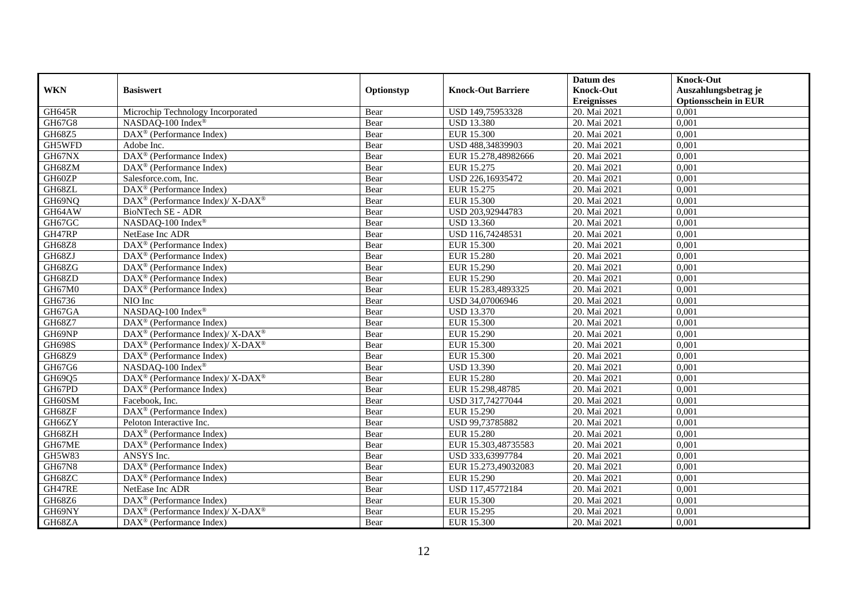|               |                                                              |            |                           | Datum des          | <b>Knock-Out</b>            |
|---------------|--------------------------------------------------------------|------------|---------------------------|--------------------|-----------------------------|
| <b>WKN</b>    | <b>Basiswert</b>                                             | Optionstyp | <b>Knock-Out Barriere</b> | <b>Knock-Out</b>   | Auszahlungsbetrag je        |
|               |                                                              |            |                           | <b>Ereignisses</b> | <b>Optionsschein in EUR</b> |
| <b>GH645R</b> | Microchip Technology Incorporated                            | Bear       | USD 149,75953328          | 20. Mai 2021       | 0,001                       |
| GH67G8        | NASDAQ-100 Index®                                            | Bear       | <b>USD 13.380</b>         | 20. Mai 2021       | 0,001                       |
| GH68Z5        | $\overline{\text{DAX}^{\otimes}}$ (Performance Index)        | Bear       | EUR 15.300                | 20. Mai 2021       | 0,001                       |
| GH5WFD        | Adobe Inc.                                                   | Bear       | USD 488,34839903          | 20. Mai 2021       | 0,001                       |
| GH67NX        | DAX <sup>®</sup> (Performance Index)                         | Bear       | EUR 15.278,48982666       | 20. Mai 2021       | 0,001                       |
| GH68ZM        | DAX <sup>®</sup> (Performance Index)                         | Bear       | EUR 15.275                | 20. Mai 2021       | 0,001                       |
| GH60ZP        | Salesforce.com, Inc.                                         | Bear       | USD 226,16935472          | 20. Mai 2021       | 0,001                       |
| GH68ZL        | $DAX^{\circledR}$ (Performance Index)                        | Bear       | EUR 15.275                | 20. Mai 2021       | 0,001                       |
| GH69NQ        | DAX <sup>®</sup> (Performance Index)/ X-DAX <sup>®</sup>     | Bear       | <b>EUR 15.300</b>         | 20. Mai 2021       | 0,001                       |
| GH64AW        | <b>BioNTech SE - ADR</b>                                     | Bear       | USD 203,92944783          | 20. Mai 2021       | 0,001                       |
| GH67GC        | NASDAQ-100 Index®                                            | Bear       | <b>USD 13.360</b>         | 20. Mai 2021       | 0,001                       |
| GH47RP        | NetEase Inc ADR                                              | Bear       | USD 116,74248531          | 20. Mai 2021       | 0,001                       |
| GH68Z8        | $\overline{\text{DAX}^{\otimes}}$ (Performance Index)        | Bear       | <b>EUR 15.300</b>         | 20. Mai 2021       | 0.001                       |
| GH68ZJ        | $DAX^{\circledast}$ (Performance Index)                      | Bear       | <b>EUR 15.280</b>         | 20. Mai 2021       | 0,001                       |
| GH68ZG        | $DAX^{\circledast}$ (Performance Index)                      | Bear       | EUR 15.290                | 20. Mai 2021       | 0,001                       |
| GH68ZD        | DAX <sup>®</sup> (Performance Index)                         | Bear       | EUR 15.290                | 20. Mai 2021       | 0,001                       |
| GH67M0        | DAX <sup>®</sup> (Performance Index)                         | Bear       | EUR 15.283,4893325        | 20. Mai 2021       | 0,001                       |
| GH6736        | NIO Inc                                                      | Bear       | USD 34,07006946           | 20. Mai 2021       | 0.001                       |
| GH67GA        | NASDAQ-100 Index®                                            | Bear       | <b>USD 13.370</b>         | 20. Mai 2021       | 0,001                       |
| GH68Z7        | DAX <sup>®</sup> (Performance Index)                         | Bear       | <b>EUR 15.300</b>         | 20. Mai 2021       | 0,001                       |
| GH69NP        | DAX <sup>®</sup> (Performance Index)/X-DAX <sup>®</sup>      | Bear       | EUR 15.290                | 20. Mai 2021       | 0,001                       |
| <b>GH698S</b> | DAX <sup>®</sup> (Performance Index)/ X-DAX <sup>®</sup>     | Bear       | <b>EUR 15.300</b>         | 20. Mai 2021       | 0,001                       |
| GH68Z9        | $DAX^{\circledast}$ (Performance Index)                      | Bear       | <b>EUR 15.300</b>         | 20. Mai 2021       | 0,001                       |
| GH67G6        | NASDAQ-100 Index®                                            | Bear       | <b>USD 13.390</b>         | 20. Mai 2021       | 0,001                       |
| GH69Q5        | DAX <sup>®</sup> (Performance Index)/ X-DAX <sup>®</sup>     | Bear       | <b>EUR 15.280</b>         | 20. Mai 2021       | 0,001                       |
| GH67PD        | $DAX^{\circledast}$ (Performance Index)                      | Bear       | EUR 15.298,48785          | 20. Mai 2021       | 0,001                       |
| GH60SM        | Facebook, Inc.                                               | Bear       | USD 317,74277044          | 20. Mai 2021       | 0,001                       |
| GH68ZF        | $DAX^{\circledR}$ (Performance Index)                        | Bear       | EUR 15.290                | 20. Mai 2021       | 0,001                       |
| GH66ZY        | Peloton Interactive Inc.                                     | Bear       | USD 99,73785882           | 20. Mai 2021       | 0,001                       |
| GH68ZH        | $DAX^{\circledR}$ (Performance Index)                        | Bear       | <b>EUR 15.280</b>         | 20. Mai 2021       | 0,001                       |
| GH67ME        | DAX <sup>®</sup> (Performance Index)                         | Bear       | EUR 15.303,48735583       | 20. Mai 2021       | 0,001                       |
| GH5W83        | ANSYS Inc.                                                   | Bear       | USD 333,63997784          | 20. Mai 2021       | 0.001                       |
| <b>GH67N8</b> | DAX <sup>®</sup> (Performance Index)                         | Bear       | EUR 15.273,49032083       | 20. Mai 2021       | 0,001                       |
| GH68ZC        | $\overline{\text{DAX}}^{\textcircled{}}$ (Performance Index) | Bear       | EUR 15.290                | 20. Mai 2021       | 0,001                       |
| GH47RE        | NetEase Inc ADR                                              | Bear       | USD 117,45772184          | 20. Mai 2021       | 0,001                       |
| GH68Z6        | $DAX^{\circledast}$ (Performance Index)                      | Bear       | EUR 15.300                | 20. Mai 2021       | 0,001                       |
| GH69NY        | $DAX^{\circledast}$ (Performance Index)/ X-DAX <sup>®</sup>  | Bear       | EUR 15.295                | 20. Mai 2021       | 0,001                       |
| GH68ZA        | $DAX^{\circledast}$ (Performance Index)                      | Bear       | EUR 15.300                | 20. Mai 2021       | 0,001                       |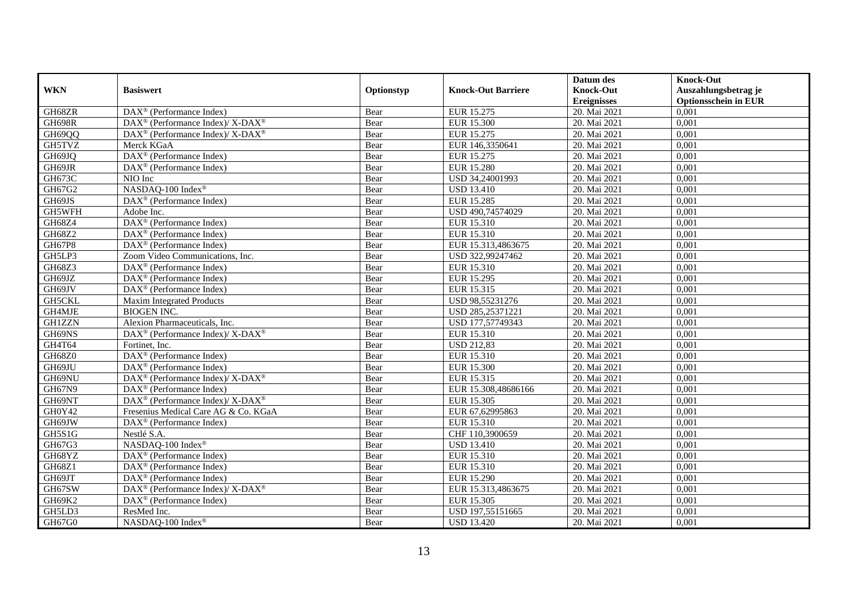|               |                                                             |            |                           | Datum des          | <b>Knock-Out</b>            |
|---------------|-------------------------------------------------------------|------------|---------------------------|--------------------|-----------------------------|
| <b>WKN</b>    | <b>Basiswert</b>                                            | Optionstyp | <b>Knock-Out Barriere</b> | <b>Knock-Out</b>   | Auszahlungsbetrag je        |
|               |                                                             |            |                           | <b>Ereignisses</b> | <b>Optionsschein in EUR</b> |
| GH68ZR        | DAX <sup>®</sup> (Performance Index)                        | Bear       | EUR 15.275                | 20. Mai 2021       | 0,001                       |
| <b>GH698R</b> | DAX <sup>®</sup> (Performance Index)/X-DAX <sup>®</sup>     | Bear       | <b>EUR 15.300</b>         | 20. Mai 2021       | 0,001                       |
| GH69QQ        | $DAX^{\circledast}$ (Performance Index)/ X-DAX <sup>®</sup> | Bear       | EUR 15.275                | 20. Mai 2021       | 0,001                       |
| GH5TVZ        | Merck KGaA                                                  | Bear       | EUR 146,3350641           | 20. Mai 2021       | 0,001                       |
| GH69JQ        | DAX <sup>®</sup> (Performance Index)                        | Bear       | EUR 15.275                | 20. Mai 2021       | 0,001                       |
| GH69JR        | DAX <sup>®</sup> (Performance Index)                        | Bear       | <b>EUR 15.280</b>         | 20. Mai 2021       | 0,001                       |
| GH673C        | NIO Inc                                                     | Bear       | USD 34,24001993           | 20. Mai 2021       | 0,001                       |
| GH67G2        | NASDAQ-100 Index®                                           | Bear       | <b>USD 13.410</b>         | 20. Mai 2021       | 0,001                       |
| GH69JS        | DAX <sup>®</sup> (Performance Index)                        | Bear       | EUR 15.285                | 20. Mai 2021       | 0,001                       |
| GH5WFH        | Adobe Inc.                                                  | Bear       | USD 490,74574029          | 20. Mai 2021       | 0,001                       |
| GH68Z4        | DAX <sup>®</sup> (Performance Index)                        | Bear       | EUR 15.310                | 20. Mai 2021       | 0,001                       |
| GH68Z2        | DAX <sup>®</sup> (Performance Index)                        | Bear       | EUR 15.310                | 20. Mai 2021       | 0,001                       |
| GH67P8        | $DAX^{\circledast}$ (Performance Index)                     | Bear       | EUR 15.313,4863675        | 20. Mai 2021       | 0,001                       |
| GH5LP3        | Zoom Video Communications, Inc.                             | Bear       | USD 322,99247462          | 20. Mai 2021       | 0,001                       |
| GH68Z3        | DAX <sup>®</sup> (Performance Index)                        | Bear       | EUR 15.310                | 20. Mai 2021       | 0,001                       |
| GH69JZ        | DAX <sup>®</sup> (Performance Index)                        | Bear       | EUR 15.295                | 20. Mai 2021       | 0,001                       |
| GH69JV        | $DAX^{\circledR}$ (Performance Index)                       | Bear       | EUR 15.315                | 20. Mai 2021       | 0,001                       |
| <b>GH5CKL</b> | Maxim Integrated Products                                   | Bear       | USD 98,55231276           | 20. Mai 2021       | 0,001                       |
| GH4MJE        | <b>BIOGEN INC.</b>                                          | Bear       | USD 285,25371221          | 20. Mai 2021       | 0,001                       |
| <b>GH1ZZN</b> | Alexion Pharmaceuticals, Inc.                               | Bear       | USD 177,57749343          | 20. Mai 2021       | 0,001                       |
| GH69NS        | DAX <sup>®</sup> (Performance Index)/ X-DAX <sup>®</sup>    | Bear       | EUR 15.310                | 20. Mai 2021       | 0.001                       |
| GH4T64        | Fortinet, Inc.                                              | Bear       | <b>USD 212,83</b>         | 20. Mai 2021       | 0,001                       |
| GH68Z0        | $\overline{\text{DAX}^{\otimes}}$ (Performance Index)       | Bear       | EUR 15.310                | 20. Mai 2021       | 0,001                       |
| GH69JU        | $DAX^{\circledR}$ (Performance Index)                       | Bear       | <b>EUR 15.300</b>         | 20. Mai 2021       | 0,001                       |
| GH69NU        | DAX <sup>®</sup> (Performance Index)/ X-DAX <sup>®</sup>    | Bear       | EUR 15.315                | 20. Mai 2021       | 0,001                       |
| GH67N9        | $DAX^{\circledast}$ (Performance Index)                     | Bear       | EUR 15.308,48686166       | 20. Mai 2021       | 0,001                       |
| GH69NT        | DAX <sup>®</sup> (Performance Index)/X-DAX <sup>®</sup>     | Bear       | EUR 15.305                | 20. Mai 2021       | 0,001                       |
| GH0Y42        | Fresenius Medical Care AG & Co. KGaA                        | Bear       | EUR 67,62995863           | 20. Mai 2021       | 0,001                       |
| GH69JW        | DAX <sup>®</sup> (Performance Index)                        | Bear       | EUR 15.310                | 20. Mai 2021       | 0,001                       |
| GH5S1G        | Nestlé S.A.                                                 | Bear       | CHF 110.3900659           | 20. Mai 2021       | 0.001                       |
| GH67G3        | NASDAQ-100 Index®                                           | Bear       | <b>USD 13.410</b>         | 20. Mai 2021       | 0,001                       |
| GH68YZ        | $DAX^{\circledR}$ (Performance Index)                       | Bear       | <b>EUR 15.310</b>         | 20. Mai 2021       | 0,001                       |
| GH68Z1        | $DAX^{\circledR}$ (Performance Index)                       | Bear       | EUR 15.310                | 20. Mai 2021       | 0,001                       |
| GH69JT        | $\overline{\text{DAX}^{\otimes}}$ (Performance Index)       | Bear       | EUR 15.290                | 20. Mai 2021       | 0,001                       |
| GH67SW        | DAX <sup>®</sup> (Performance Index)/ X-DAX <sup>®</sup>    | Bear       | EUR 15.313,4863675        | 20. Mai 2021       | 0,001                       |
| GH69K2        | DAX <sup>®</sup> (Performance Index)                        | Bear       | EUR 15.305                | 20. Mai 2021       | 0,001                       |
| GH5LD3        | ResMed Inc.                                                 | Bear       | USD 197,55151665          | 20. Mai 2021       | 0,001                       |
| GH67G0        | NASDAQ-100 Index®                                           | Bear       | <b>USD 13.420</b>         | 20. Mai 2021       | 0,001                       |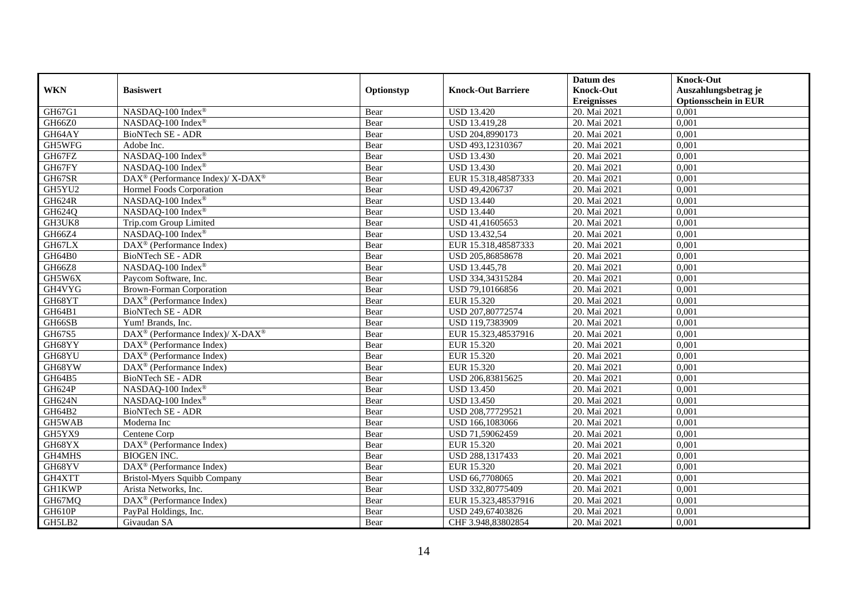|               |                                                          |            |                           | Datum des          | <b>Knock-Out</b>            |
|---------------|----------------------------------------------------------|------------|---------------------------|--------------------|-----------------------------|
| <b>WKN</b>    | <b>Basiswert</b>                                         | Optionstyp | <b>Knock-Out Barriere</b> | <b>Knock-Out</b>   | Auszahlungsbetrag je        |
|               |                                                          |            |                           | <b>Ereignisses</b> | <b>Optionsschein in EUR</b> |
| GH67G1        | NASDAQ-100 Index®                                        | Bear       | <b>USD 13.420</b>         | 20. Mai 2021       | 0,001                       |
| GH66Z0        | NASDAO-100 Index®                                        | Bear       | <b>USD 13.419,28</b>      | 20. Mai 2021       | 0,001                       |
| GH64AY        | BioNTech SE - ADR                                        | Bear       | USD 204,8990173           | 20. Mai 2021       | 0,001                       |
| GH5WFG        | Adobe Inc.                                               | Bear       | USD 493,12310367          | 20. Mai 2021       | 0,001                       |
| GH67FZ        | NASDAQ-100 Index®                                        | Bear       | <b>USD 13.430</b>         | 20. Mai 2021       | 0,001                       |
| GH67FY        | NASDAQ-100 Index®                                        | Bear       | <b>USD 13.430</b>         | 20. Mai 2021       | 0,001                       |
| GH67SR        | DAX <sup>®</sup> (Performance Index)/ X-DAX <sup>®</sup> | Bear       | EUR 15.318,48587333       | 20. Mai 2021       | 0,001                       |
| GH5YU2        | Hormel Foods Corporation                                 | Bear       | USD 49,4206737            | 20. Mai 2021       | 0,001                       |
| <b>GH624R</b> | NASDAQ-100 Index®                                        | Bear       | <b>USD 13.440</b>         | 20. Mai 2021       | 0,001                       |
| GH624Q        | NASDAQ-100 Index®                                        | Bear       | <b>USD 13.440</b>         | 20. Mai 2021       | 0,001                       |
| GH3UK8        | Trip.com Group Limited                                   | Bear       | USD 41,41605653           | 20. Mai 2021       | 0,001                       |
| GH66Z4        | NASDAQ-100 Index®                                        | Bear       | <b>USD 13.432,54</b>      | 20. Mai 2021       | 0,001                       |
| GH67LX        | DAX <sup>®</sup> (Performance Index)                     | Bear       | EUR 15.318,48587333       | 20. Mai 2021       | 0,001                       |
| GH64B0        | BioNTech SE - ADR                                        | Bear       | USD 205,86858678          | 20. Mai 2021       | 0,001                       |
| GH66Z8        | NASDAQ-100 Index®                                        | Bear       | USD 13.445,78             | 20. Mai 2021       | 0,001                       |
| GH5W6X        | Paycom Software, Inc.                                    | Bear       | USD 334,34315284          | 20. Mai 2021       | 0,001                       |
| GH4VYG        | <b>Brown-Forman Corporation</b>                          | Bear       | USD 79,10166856           | 20. Mai 2021       | 0,001                       |
| GH68YT        | $\overline{\text{DAX}}^{\textcirc}$ (Performance Index)  | Bear       | EUR 15.320                | 20. Mai 2021       | 0,001                       |
| GH64B1        | BioNTech SE - ADR                                        | Bear       | USD 207,80772574          | 20. Mai 2021       | 0,001                       |
| GH66SB        | Yum! Brands, Inc.                                        | Bear       | USD 119,7383909           | 20. Mai 2021       | 0,001                       |
| GH67S5        | DAX <sup>®</sup> (Performance Index)/ X-DAX <sup>®</sup> | Bear       | EUR 15.323,48537916       | 20. Mai 2021       | 0,001                       |
| GH68YY        | $DAX^{\circledcirc}$ (Performance Index)                 | Bear       | EUR 15.320                | 20. Mai 2021       | 0,001                       |
| GH68YU        | $\overline{\text{DAX}^{\otimes}}$ (Performance Index)    | Bear       | EUR 15.320                | 20. Mai 2021       | 0,001                       |
| GH68YW        | DAX <sup>®</sup> (Performance Index)                     | Bear       | EUR 15.320                | 20. Mai 2021       | 0,001                       |
| GH64B5        | <b>BioNTech SE - ADR</b>                                 | Bear       | USD 206,83815625          | 20. Mai 2021       | 0,001                       |
| GH624P        | NASDAQ-100 Index®                                        | Bear       | <b>USD 13.450</b>         | 20. Mai 2021       | 0,001                       |
| GH624N        | NASDAQ-100 Index®                                        | Bear       | <b>USD 13.450</b>         | 20. Mai 2021       | 0,001                       |
| GH64B2        | <b>BioNTech SE - ADR</b>                                 | Bear       | USD 208,77729521          | 20. Mai 2021       | 0,001                       |
| GH5WAB        | Moderna Inc                                              | Bear       | USD 166,1083066           | 20. Mai 2021       | 0,001                       |
| GH5YX9        | Centene Corp                                             | Bear       | USD 71,59062459           | 20. Mai 2021       | 0.001                       |
| GH68YX        | DAX <sup>®</sup> (Performance Index)                     | Bear       | EUR 15.320                | 20. Mai 2021       | 0,001                       |
| GH4MHS        | <b>BIOGEN INC.</b>                                       | Bear       | USD 288,1317433           | 20. Mai 2021       | 0,001                       |
| GH68YV        | DAX <sup>®</sup> (Performance Index)                     | Bear       | EUR 15.320                | 20. Mai 2021       | 0,001                       |
| GH4XTT        | Bristol-Myers Squibb Company                             | Bear       | USD 66,7708065            | 20. Mai 2021       | 0,001                       |
| <b>GH1KWP</b> | Arista Networks, Inc.                                    | Bear       | USD 332,80775409          | 20. Mai 2021       | 0,001                       |
| GH67MQ        | $DAX^{\circledast}$ (Performance Index)                  | Bear       | EUR 15.323,48537916       | 20. Mai 2021       | 0,001                       |
| GH610P        | PayPal Holdings, Inc.                                    | Bear       | USD 249,67403826          | 20. Mai 2021       | 0,001                       |
| GH5LB2        | Givaudan SA                                              | Bear       | CHF 3.948,83802854        | 20. Mai 2021       | 0,001                       |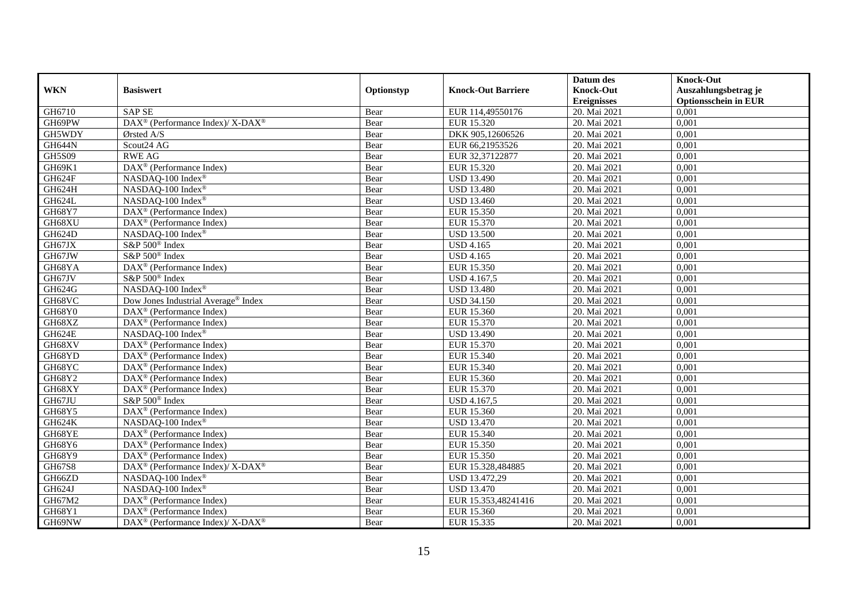|               |                                                          |            |                           | Datum des          | <b>Knock-Out</b>            |
|---------------|----------------------------------------------------------|------------|---------------------------|--------------------|-----------------------------|
| <b>WKN</b>    | <b>Basiswert</b>                                         | Optionstyp | <b>Knock-Out Barriere</b> | <b>Knock-Out</b>   | Auszahlungsbetrag je        |
|               |                                                          |            |                           | <b>Ereignisses</b> | <b>Optionsschein in EUR</b> |
| GH6710        | <b>SAP SE</b>                                            | Bear       | EUR 114,49550176          | 20. Mai 2021       | 0,001                       |
| GH69PW        | DAX <sup>®</sup> (Performance Index)/ X-DAX <sup>®</sup> | Bear       | EUR 15.320                | 20. Mai 2021       | 0,001                       |
| GH5WDY        | Ørsted A/S                                               | Bear       | DKK 905,12606526          | 20. Mai 2021       | 0,001                       |
| GH644N        | Scout24 AG                                               | Bear       | EUR 66,21953526           | 20. Mai 2021       | 0,001                       |
| <b>GH5S09</b> | <b>RWE AG</b>                                            | Bear       | EUR 32,37122877           | 20. Mai 2021       | 0,001                       |
| GH69K1        | DAX <sup>®</sup> (Performance Index)                     | Bear       | EUR 15.320                | 20. Mai 2021       | 0,001                       |
| GH624F        | NASDAQ-100 Index®                                        | Bear       | <b>USD 13.490</b>         | 20. Mai 2021       | 0,001                       |
| GH624H        | NASDAQ-100 Index®                                        | Bear       | <b>USD 13.480</b>         | 20. Mai 2021       | 0,001                       |
| GH624L        | NASDAQ-100 Index®                                        | Bear       | <b>USD 13.460</b>         | 20. Mai 2021       | 0,001                       |
| GH68Y7        | DAX <sup>®</sup> (Performance Index)                     | Bear       | EUR 15.350                | 20. Mai 2021       | 0,001                       |
| GH68XU        | DAX <sup>®</sup> (Performance Index)                     | Bear       | EUR 15.370                | 20. Mai 2021       | 0,001                       |
| GH624D        | NASDAQ-100 Index®                                        | Bear       | <b>USD 13.500</b>         | 20. Mai 2021       | 0,001                       |
| GH67JX        | S&P 500 <sup>®</sup> Index                               | Bear       | <b>USD 4.165</b>          | 20. Mai 2021       | 0,001                       |
| GH67JW        | S&P 500 <sup>®</sup> Index                               | Bear       | <b>USD 4.165</b>          | 20. Mai 2021       | 0,001                       |
| GH68YA        | DAX <sup>®</sup> (Performance Index)                     | Bear       | EUR 15.350                | 20. Mai 2021       | 0,001                       |
| GH67JV        | S&P 500 <sup>®</sup> Index                               | Bear       | <b>USD 4.167,5</b>        | 20. Mai 2021       | 0,001                       |
| GH624G        | NASDAO-100 Index®                                        | Bear       | <b>USD 13.480</b>         | 20. Mai 2021       | 0,001                       |
| GH68VC        | Dow Jones Industrial Average <sup>®</sup> Index          | Bear       | <b>USD 34.150</b>         | 20. Mai 2021       | 0,001                       |
| GH68Y0        | $\text{DAX}^{\circledast}$ (Performance Index)           | Bear       | EUR 15.360                | 20. Mai 2021       | 0,001                       |
| GH68XZ        | $DAX^{\circledast}$ (Performance Index)                  | Bear       | EUR 15.370                | 20. Mai 2021       | 0,001                       |
| GH624E        | NASDAQ-100 Index®                                        | Bear       | <b>USD 13.490</b>         | 20. Mai 2021       | 0.001                       |
| GH68XV        | $DAX^{\circledR}$ (Performance Index)                    | Bear       | EUR 15.370                | 20. Mai 2021       | 0,001                       |
| GH68YD        | DAX <sup>®</sup> (Performance Index)                     | Bear       | EUR 15.340                | 20. Mai 2021       | 0,001                       |
| GH68YC        | $DAX^{\circledR}$ (Performance Index)                    | Bear       | EUR 15.340                | 20. Mai 2021       | 0,001                       |
| GH68Y2        | $DAX^{\circledR}$ (Performance Index)                    | Bear       | EUR 15.360                | 20. Mai 2021       | 0,001                       |
| GH68XY        | $DAX^{\circledast}$ (Performance Index)                  | Bear       | EUR 15.370                | 20. Mai 2021       | 0,001                       |
| GH67JU        | $S\&P 500^{\circ}$ Index                                 | Bear       | <b>USD 4.167,5</b>        | 20. Mai 2021       | 0,001                       |
| <b>GH68Y5</b> | DAX <sup>®</sup> (Performance Index)                     | Bear       | EUR 15.360                | 20. Mai 2021       | 0,001                       |
| <b>GH624K</b> | NASDAQ-100 Index®                                        | Bear       | <b>USD 13.470</b>         | 20. Mai 2021       | 0,001                       |
| GH68YE        | $DAX^{\circledcirc}$ (Performance Index)                 | Bear       | EUR 15.340                | 20. Mai 2021       | 0.001                       |
| GH68Y6        | $DAX^{\circledR}$ (Performance Index)                    | Bear       | EUR 15.350                | 20. Mai 2021       | 0,001                       |
| GH68Y9        | $DAX^{\circledR}$ (Performance Index)                    | Bear       | EUR 15.350                | 20. Mai 2021       | 0,001                       |
| GH67S8        | DAX <sup>®</sup> (Performance Index)/X-DAX <sup>®</sup>  | Bear       | EUR 15.328,484885         | 20. Mai 2021       | 0,001                       |
| GH66ZD        | NASDAQ-100 Index®                                        | Bear       | USD 13.472,29             | 20. Mai 2021       | 0,001                       |
| GH624J        | NASDAQ-100 Index®                                        | Bear       | <b>USD 13.470</b>         | 20. Mai 2021       | 0,001                       |
| GH67M2        | DAX <sup>®</sup> (Performance Index)                     | Bear       | EUR 15.353,48241416       | 20. Mai 2021       | 0,001                       |
| GH68Y1        | $DAX^{\circledast}$ (Performance Index)                  | Bear       | EUR 15.360                | 20. Mai 2021       | 0,001                       |
| GH69NW        | DAX <sup>®</sup> (Performance Index)/ X-DAX <sup>®</sup> | Bear       | EUR 15.335                | 20. Mai 2021       | 0,001                       |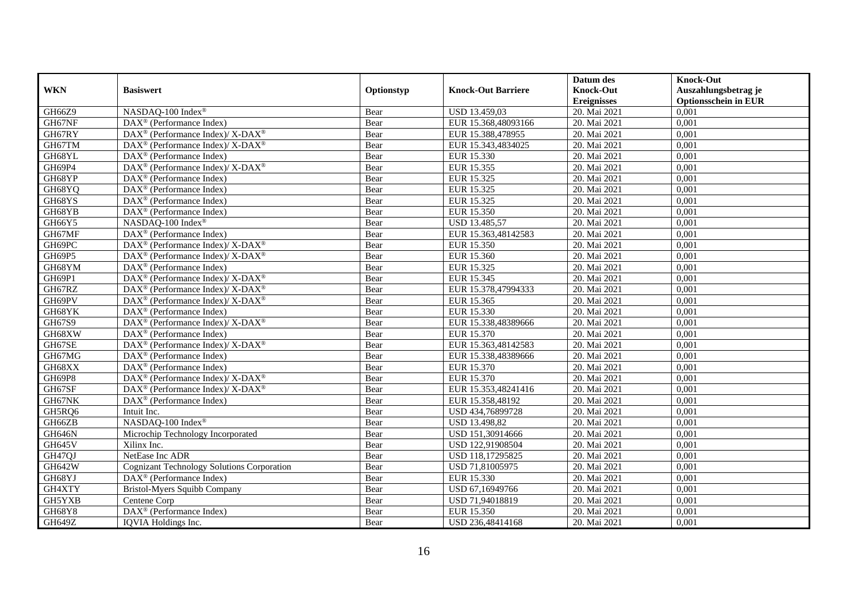|               |                                                                           |            |                           | Datum des          | <b>Knock-Out</b>            |
|---------------|---------------------------------------------------------------------------|------------|---------------------------|--------------------|-----------------------------|
| <b>WKN</b>    | <b>Basiswert</b>                                                          | Optionstyp | <b>Knock-Out Barriere</b> | <b>Knock-Out</b>   | Auszahlungsbetrag je        |
|               |                                                                           |            |                           | <b>Ereignisses</b> | <b>Optionsschein in EUR</b> |
| GH66Z9        | NASDAQ-100 Index®                                                         | Bear       | USD 13.459,03             | 20. Mai 2021       | 0,001                       |
| GH67NF        | $DAX^{\circledR}$ (Performance Index)                                     | Bear       | EUR 15.368,48093166       | 20. Mai 2021       | 0,001                       |
| GH67RY        | DAX <sup>®</sup> (Performance Index)/ X-DAX <sup>®</sup>                  | Bear       | EUR 15.388,478955         | 20. Mai 2021       | 0,001                       |
| GH67TM        | $DAX^{\circledast}$ (Performance Index)/ X-DAX <sup>®</sup>               | Bear       | EUR 15.343,4834025        | 20. Mai 2021       | 0,001                       |
| GH68YL        | DAX <sup>®</sup> (Performance Index)                                      | Bear       | EUR 15.330                | 20. Mai 2021       | 0,001                       |
| GH69P4        | $DAX^{\circledast}$ (Performance Index)/ $\overline{X-DAX^{\circledast}}$ | Bear       | EUR 15.355                | 20. Mai 2021       | 0,001                       |
| GH68YP        | $DAX^{\circledcirc}$ (Performance Index)                                  | Bear       | EUR 15.325                | 20. Mai 2021       | 0,001                       |
| GH68YQ        | DAX <sup>®</sup> (Performance Index)                                      | Bear       | EUR 15.325                | 20. Mai 2021       | 0,001                       |
| GH68YS        | $DAX^{\circledcirc}$ (Performance Index)                                  | Bear       | EUR 15.325                | 20. Mai 2021       | 0,001                       |
| GH68YB        | $DAX^{\circledast}$ (Performance Index)                                   | Bear       | EUR 15.350                | 20. Mai 2021       | 0,001                       |
| GH66Y5        | NASDAQ-100 Index®                                                         | Bear       | USD 13.485,57             | 20. Mai 2021       | 0,001                       |
| GH67MF        | DAX <sup>®</sup> (Performance Index)                                      | Bear       | EUR 15.363,48142583       | 20. Mai 2021       | 0,001                       |
| GH69PC        | $DAX^{\circledast}$ (Performance Index)/ X-DAX <sup>®</sup>               | Bear       | EUR 15.350                | 20. Mai 2021       | 0,001                       |
| GH69P5        | $DAX^{\circledast}$ (Performance Index)/ X-DAX <sup>®</sup>               | Bear       | EUR 15.360                | 20. Mai 2021       | 0,001                       |
| GH68YM        | DAX <sup>®</sup> (Performance Index)                                      | Bear       | EUR 15.325                | 20. Mai 2021       | 0,001                       |
| GH69P1        | $DAX^{\circledast}$ (Performance Index)/ $\overline{X-DAX^{\circledast}}$ | Bear       | EUR 15.345                | 20. Mai 2021       | 0,001                       |
| GH67RZ        | DAX <sup>®</sup> (Performance Index)/X-DAX <sup>®</sup>                   | Bear       | EUR 15.378,47994333       | 20. Mai 2021       | 0,001                       |
| GH69PV        | DAX <sup>®</sup> (Performance Index)/ X-DAX <sup>®</sup>                  | Bear       | EUR 15.365                | 20. Mai 2021       | 0,001                       |
| GH68YK        | $DAX^{\circledast}$ (Performance Index)                                   | Bear       | EUR 15.330                | 20. Mai 2021       | 0,001                       |
| GH67S9        | DAX <sup>®</sup> (Performance Index)/ X-DAX <sup>®</sup>                  | Bear       | EUR 15.338,48389666       | 20. Mai 2021       | 0,001                       |
| GH68XW        | $DAX^{\circledast}$ (Performance Index)                                   | Bear       | EUR 15.370                | 20. Mai 2021       | 0.001                       |
| GH67SE        | $DAX^{\circledcirc}$ (Performance Index)/ X-DAX <sup>®</sup>              | Bear       | EUR 15.363,48142583       | 20. Mai 2021       | 0,001                       |
| GH67MG        | $DAX^{\circledR}$ (Performance Index)                                     | Bear       | EUR 15.338,48389666       | 20. Mai 2021       | 0,001                       |
| GH68XX        | $DAX^{\circledR}$ (Performance Index)                                     | Bear       | EUR 15.370                | 20. Mai 2021       | 0,001                       |
| GH69P8        | DAX <sup>®</sup> (Performance Index)/ X-DAX <sup>®</sup>                  | Bear       | EUR 15.370                | 20. Mai 2021       | 0,001                       |
| GH67SF        | DAX <sup>®</sup> (Performance Index)/ X-DAX <sup>®</sup>                  | Bear       | EUR 15.353,48241416       | 20. Mai 2021       | 0,001                       |
| GH67NK        | DAX <sup>®</sup> (Performance Index)                                      | Bear       | EUR 15.358,48192          | 20. Mai 2021       | 0,001                       |
| GH5RQ6        | Intuit Inc.                                                               | Bear       | USD 434,76899728          | 20. Mai 2021       | 0,001                       |
| GH66ZB        | NASDAQ-100 Index®                                                         | Bear       | USD 13.498,82             | 20. Mai 2021       | 0,001                       |
| GH646N        | Microchip Technology Incorporated                                         | Bear       | USD 151,30914666          | 20. Mai 2021       | 0.001                       |
| <b>GH645V</b> | Xilinx Inc.                                                               | Bear       | USD 122,91908504          | 20. Mai 2021       | 0,001                       |
| GH47QJ        | NetEase Inc ADR                                                           | Bear       | USD 118,17295825          | 20. Mai 2021       | 0,001                       |
| GH642W        | <b>Cognizant Technology Solutions Corporation</b>                         | Bear       | USD 71,81005975           | 20. Mai 2021       | 0,001                       |
| GH68YJ        | $\overline{\text{DAX}^{\otimes}}$ (Performance Index)                     | Bear       | EUR 15.330                | 20. Mai 2021       | 0,001                       |
| GH4XTY        | Bristol-Myers Squibb Company                                              | Bear       | USD 67,16949766           | 20. Mai 2021       | 0,001                       |
| GH5YXB        | Centene Corp                                                              | Bear       | USD 71,94018819           | 20. Mai 2021       | 0,001                       |
| GH68Y8        | DAX <sup>®</sup> (Performance Index)                                      | Bear       | EUR 15.350                | 20. Mai 2021       | 0,001                       |
| <b>GH649Z</b> | IQVIA Holdings Inc.                                                       | Bear       | USD 236,48414168          | 20. Mai 2021       | 0,001                       |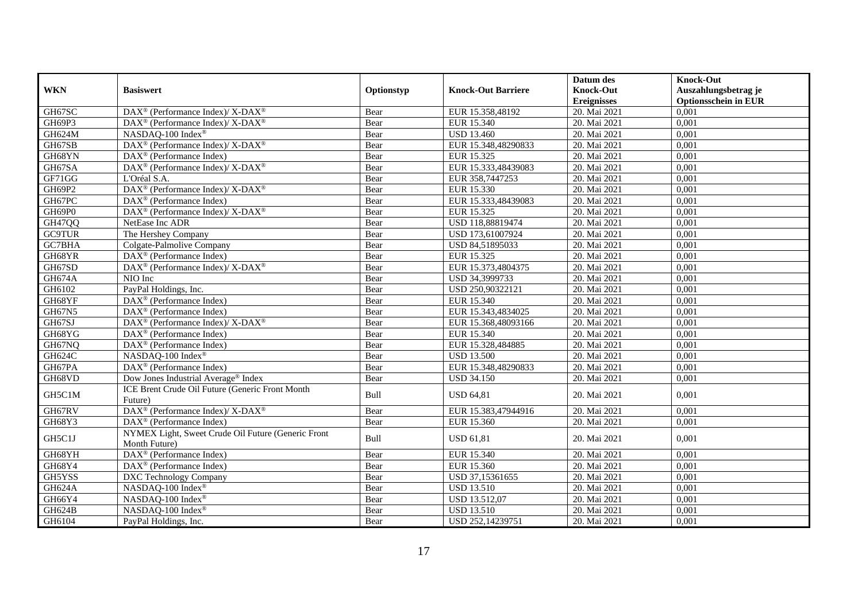|               |                                                                     |            |                           | Datum des          | <b>Knock-Out</b>            |
|---------------|---------------------------------------------------------------------|------------|---------------------------|--------------------|-----------------------------|
| <b>WKN</b>    | <b>Basiswert</b>                                                    | Optionstyp | <b>Knock-Out Barriere</b> | <b>Knock-Out</b>   | Auszahlungsbetrag je        |
|               |                                                                     |            |                           | <b>Ereignisses</b> | <b>Optionsschein in EUR</b> |
| GH67SC        | DAX <sup>®</sup> (Performance Index)/ X-DAX <sup>®</sup>            | Bear       | EUR 15.358,48192          | 20. Mai 2021       | 0,001                       |
| GH69P3        | $DAX^{\circledcirc}$ (Performance Index)/ X-DAX <sup>®</sup>        | Bear       | EUR 15.340                | 20. Mai 2021       | 0,001                       |
| GH624M        | NASDAO-100 Index®                                                   | Bear       | <b>USD 13.460</b>         | 20. Mai 2021       | 0,001                       |
| GH67SB        | DAX <sup>®</sup> (Performance Index)/ X-DAX <sup>®</sup>            | Bear       | EUR 15.348,48290833       | 20. Mai 2021       | 0,001                       |
| GH68YN        | DAX <sup>®</sup> (Performance Index)                                | Bear       | EUR 15.325                | 20. Mai 2021       | 0,001                       |
| GH67SA        | DAX <sup>®</sup> (Performance Index)/ X-DAX <sup>®</sup>            | Bear       | EUR 15.333,48439083       | 20. Mai 2021       | 0,001                       |
| GF71GG        | L'Oréal S.A.                                                        | Bear       | EUR 358,7447253           | 20. Mai 2021       | 0,001                       |
| GH69P2        | DAX <sup>®</sup> (Performance Index)/ X-DAX <sup>®</sup>            | Bear       | EUR 15.330                | 20. Mai 2021       | 0,001                       |
| GH67PC        | $DAX^{\circledcirc}$ (Performance Index)                            | Bear       | EUR 15.333,48439083       | 20. Mai 2021       | 0,001                       |
| GH69P0        | DAX <sup>®</sup> (Performance Index)/ X-DAX <sup>®</sup>            | Bear       | EUR 15.325                | 20. Mai 2021       | 0,001                       |
| GH47QQ        | NetEase Inc ADR                                                     | Bear       | USD 118,88819474          | 20. Mai 2021       | 0.001                       |
| <b>GC9TUR</b> | The Hershey Company                                                 | Bear       | USD 173,61007924          | 20. Mai 2021       | 0,001                       |
| GC7BHA        | Colgate-Palmolive Company                                           | Bear       | USD 84,51895033           | 20. Mai 2021       | 0,001                       |
| GH68YR        | DAX <sup>®</sup> (Performance Index)                                | Bear       | EUR 15.325                | 20. Mai 2021       | 0,001                       |
| GH67SD        | DAX <sup>®</sup> (Performance Index)/ X-DAX <sup>®</sup>            | Bear       | EUR 15.373,4804375        | 20. Mai 2021       | 0,001                       |
| <b>GH674A</b> | NIO Inc                                                             | Bear       | USD 34,3999733            | 20. Mai 2021       | 0,001                       |
| GH6102        | PayPal Holdings, Inc.                                               | Bear       | USD 250,90322121          | 20. Mai 2021       | 0,001                       |
| GH68YF        | DAX <sup>®</sup> (Performance Index)                                | Bear       | EUR 15.340                | 20. Mai 2021       | 0,001                       |
| GH67N5        | DAX <sup>®</sup> (Performance Index)                                | Bear       | EUR 15.343,4834025        | 20. Mai 2021       | 0,001                       |
| GH67SJ        | $DAX^{\circledcirc}$ (Performance Index)/ X-DAX <sup>®</sup>        | Bear       | EUR 15.368,48093166       | 20. Mai 2021       | 0,001                       |
| GH68YG        | $DAX^{\circledast}$ (Performance Index)                             | Bear       | EUR 15.340                | 20. Mai 2021       | 0,001                       |
| GH67NQ        | DAX <sup>®</sup> (Performance Index)                                | Bear       | EUR 15.328,484885         | 20. Mai 2021       | 0,001                       |
| GH624C        | NASDAQ-100 Index®                                                   | Bear       | <b>USD 13.500</b>         | 20. Mai 2021       | 0,001                       |
| GH67PA        | DAX <sup>®</sup> (Performance Index)                                | Bear       | EUR 15.348,48290833       | 20. Mai 2021       | 0,001                       |
| GH68VD        | Dow Jones Industrial Average® Index                                 | Bear       | <b>USD 34.150</b>         | 20. Mai 2021       | 0.001                       |
| GH5C1M        | ICE Brent Crude Oil Future (Generic Front Month<br>Future)          | Bull       | <b>USD 64,81</b>          | 20. Mai 2021       | 0,001                       |
| GH67RV        | DAX <sup>®</sup> (Performance Index)/ X-DAX <sup>®</sup>            | Bear       | EUR 15.383,47944916       | 20. Mai 2021       | 0,001                       |
| GH68Y3        | DAX <sup>®</sup> (Performance Index)                                | Bear       | EUR 15.360                | 20. Mai 2021       | 0,001                       |
| GH5C1J        | NYMEX Light, Sweet Crude Oil Future (Generic Front<br>Month Future) | Bull       | <b>USD 61,81</b>          | 20. Mai 2021       | 0,001                       |
| GH68YH        | DAX <sup>®</sup> (Performance Index)                                | Bear       | EUR 15.340                | 20. Mai 2021       | 0.001                       |
| GH68Y4        | DAX <sup>®</sup> (Performance Index)                                | Bear       | EUR 15.360                | 20. Mai 2021       | 0,001                       |
| GH5YSS        | DXC Technology Company                                              | Bear       | USD 37,15361655           | 20. Mai 2021       | 0,001                       |
| GH624A        | NASDAQ-100 Index®                                                   | Bear       | <b>USD 13.510</b>         | 20. Mai 2021       | 0,001                       |
| GH66Y4        | NASDAQ-100 Index®                                                   | Bear       | USD 13.512,07             | 20. Mai 2021       | 0,001                       |
| GH624B        | NASDAQ-100 Index®                                                   | Bear       | <b>USD 13.510</b>         | 20. Mai 2021       | 0,001                       |
| GH6104        | PayPal Holdings, Inc.                                               | Bear       | USD 252,14239751          | 20. Mai 2021       | 0,001                       |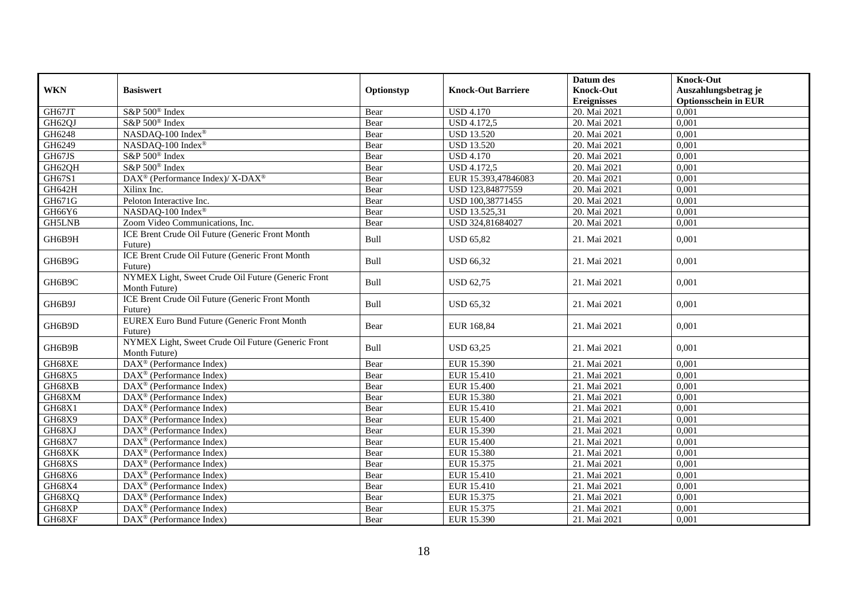|               |                                                                     |            |                           | Datum des          | <b>Knock-Out</b>            |
|---------------|---------------------------------------------------------------------|------------|---------------------------|--------------------|-----------------------------|
| <b>WKN</b>    | <b>Basiswert</b>                                                    | Optionstyp | <b>Knock-Out Barriere</b> | <b>Knock-Out</b>   | Auszahlungsbetrag je        |
|               |                                                                     |            |                           | <b>Ereignisses</b> | <b>Optionsschein in EUR</b> |
| GH67JT        | S&P 500 <sup>®</sup> Index                                          | Bear       | <b>USD 4.170</b>          | 20. Mai 2021       | 0,001                       |
| GH62QJ        | S&P 500 <sup>®</sup> Index                                          | Bear       | <b>USD 4.172,5</b>        | 20. Mai 2021       | 0,001                       |
| GH6248        | NASDAQ-100 Index®                                                   | Bear       | <b>USD 13.520</b>         | 20. Mai 2021       | 0,001                       |
| GH6249        | NASDAQ-100 Index®                                                   | Bear       | <b>USD 13.520</b>         | 20. Mai 2021       | 0,001                       |
| GH67JS        | S&P 500 <sup>®</sup> Index                                          | Bear       | <b>USD 4.170</b>          | 20. Mai 2021       | 0,001                       |
| GH62QH        | S&P 500 <sup>®</sup> Index                                          | Bear       | <b>USD 4.172,5</b>        | 20. Mai 2021       | 0,001                       |
| GH67S1        | DAX <sup>®</sup> (Performance Index)/ X-DAX <sup>®</sup>            | Bear       | EUR 15.393,47846083       | 20. Mai 2021       | 0,001                       |
| GH642H        | Xilinx Inc.                                                         | Bear       | USD 123,84877559          | 20. Mai 2021       | 0,001                       |
| GH671G        | Peloton Interactive Inc.                                            | Bear       | USD 100,38771455          | 20. Mai 2021       | 0,001                       |
| GH66Y6        | NASDAQ-100 Index®                                                   | Bear       | USD 13.525,31             | 20. Mai 2021       | 0,001                       |
| <b>GH5LNB</b> | Zoom Video Communications, Inc.                                     | Bear       | USD 324,81684027          | 20. Mai 2021       | 0,001                       |
| GH6B9H        | ICE Brent Crude Oil Future (Generic Front Month<br>Future)          | Bull       | <b>USD 65,82</b>          | 21. Mai 2021       | 0,001                       |
| GH6B9G        | ICE Brent Crude Oil Future (Generic Front Month<br>Future)          | Bull       | <b>USD 66,32</b>          | 21. Mai 2021       | 0,001                       |
| GH6B9C        | NYMEX Light, Sweet Crude Oil Future (Generic Front<br>Month Future) | Bull       | <b>USD 62,75</b>          | 21. Mai 2021       | 0,001                       |
| GH6B9J        | ICE Brent Crude Oil Future (Generic Front Month<br>Future)          | Bull       | <b>USD 65,32</b>          | 21. Mai 2021       | 0,001                       |
| GH6B9D        | <b>EUREX Euro Bund Future (Generic Front Month</b><br>Future)       | Bear       | EUR 168,84                | 21. Mai 2021       | 0,001                       |
| GH6B9B        | NYMEX Light, Sweet Crude Oil Future (Generic Front<br>Month Future) | Bull       | <b>USD 63,25</b>          | 21. Mai 2021       | 0.001                       |
| GH68XE        | DAX <sup>®</sup> (Performance Index)                                | Bear       | EUR 15.390                | 21. Mai 2021       | 0,001                       |
| GH68X5        | $\text{DAX}^{\circledast}$ (Performance Index)                      | Bear       | EUR 15.410                | 21. Mai 2021       | 0,001                       |
| GH68XB        | DAX <sup>®</sup> (Performance Index)                                | Bear       | <b>EUR 15.400</b>         | 21. Mai 2021       | 0.001                       |
| GH68XM        | $DAX^{\circledR}$ (Performance Index)                               | Bear       | EUR 15.380                | 21. Mai 2021       | 0,001                       |
| GH68X1        | $DAX^{\circledast}$ (Performance Index)                             | Bear       | EUR 15.410                | 21. Mai 2021       | 0,001                       |
| GH68X9        | $DAX^{\circledR}$ (Performance Index)                               | Bear       | <b>EUR 15.400</b>         | 21. Mai 2021       | 0,001                       |
| GH68XJ        | $DAX^{\circledast}$ (Performance Index)                             | Bear       | EUR 15.390                | 21. Mai 2021       | 0,001                       |
| GH68X7        | $DAX^{\circledast}$ (Performance Index)                             | Bear       | EUR 15.400                | 21. Mai 2021       | 0,001                       |
| GH68XK        | DAX <sup>®</sup> (Performance Index)                                | Bear       | EUR 15.380                | 21. Mai 2021       | 0,001                       |
| GH68XS        | $DAX^{\circledR}$ (Performance Index)                               | Bear       | EUR 15.375                | 21. Mai 2021       | 0,001                       |
| GH68X6        | $\overline{\text{DAX}}^{\textcirc}$ (Performance Index)             | Bear       | EUR 15.410                | 21. Mai 2021       | 0,001                       |
| GH68X4        | DAX <sup>®</sup> (Performance Index)                                | Bear       | EUR 15.410                | 21. Mai 2021       | 0,001                       |
| GH68XQ        | $DAX^{\circledR}$ (Performance Index)                               | Bear       | EUR 15.375                | 21. Mai 2021       | 0,001                       |
| GH68XP        | $DAX^{\circledast}$ (Performance Index)                             | Bear       | EUR 15.375                | 21. Mai 2021       | 0,001                       |
| GH68XF        | DAX <sup>®</sup> (Performance Index)                                | Bear       | EUR 15.390                | 21. Mai 2021       | 0,001                       |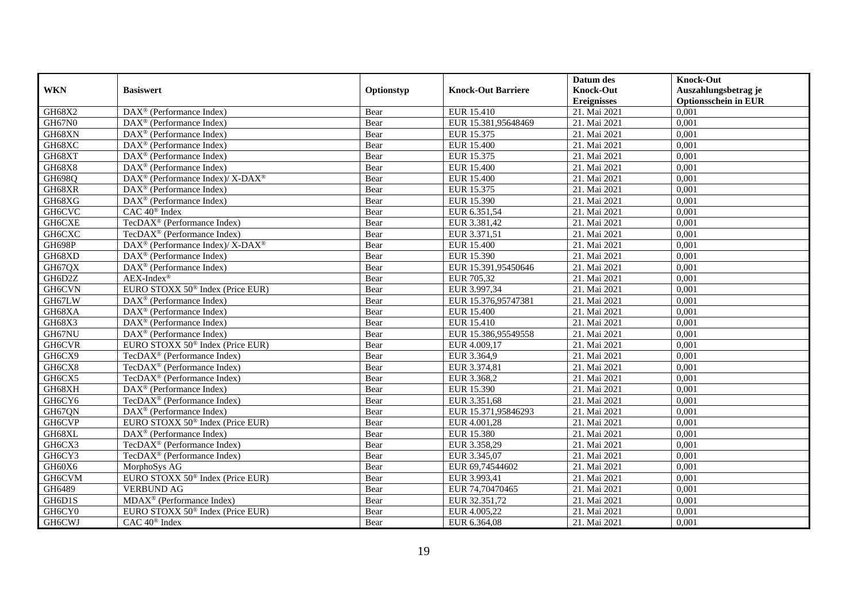|               |                                                             |            |                           | Datum des          | <b>Knock-Out</b>            |
|---------------|-------------------------------------------------------------|------------|---------------------------|--------------------|-----------------------------|
| <b>WKN</b>    | <b>Basiswert</b>                                            | Optionstyp | <b>Knock-Out Barriere</b> | <b>Knock-Out</b>   | Auszahlungsbetrag je        |
|               |                                                             |            |                           | <b>Ereignisses</b> | <b>Optionsschein in EUR</b> |
| GH68X2        | DAX <sup>®</sup> (Performance Index)                        | Bear       | EUR 15.410                | 21. Mai 2021       | 0,001                       |
| <b>GH67N0</b> | $DAX^{\circledR}$ (Performance Index)                       | Bear       | EUR 15.381,95648469       | 21. Mai 2021       | 0,001                       |
| GH68XN        | DAX <sup>®</sup> (Performance Index)                        | Bear       | EUR 15.375                | 21. Mai 2021       | 0,001                       |
| GH68XC        | $DAX^{\circledast}$ (Performance Index)                     | Bear       | <b>EUR 15.400</b>         | 21. Mai 2021       | 0,001                       |
| GH68XT        | DAX <sup>®</sup> (Performance Index)                        | Bear       | EUR 15.375                | 21. Mai 2021       | 0,001                       |
| GH68X8        | DAX <sup>®</sup> (Performance Index)                        | Bear       | <b>EUR 15.400</b>         | 21. Mai 2021       | 0,001                       |
| <b>GH698Q</b> | DAX <sup>®</sup> (Performance Index)/X-DAX <sup>®</sup>     | Bear       | <b>EUR 15.400</b>         | 21. Mai 2021       | 0,001                       |
| GH68XR        | $DAX^{\circledR}$ (Performance Index)                       | Bear       | EUR 15.375                | 21. Mai 2021       | 0,001                       |
| GH68XG        | DAX <sup>®</sup> (Performance Index)                        | Bear       | EUR 15.390                | 21. Mai 2021       | 0,001                       |
| GH6CVC        | CAC 40 <sup>®</sup> Index                                   | Bear       | EUR 6.351,54              | 21. Mai 2021       | 0,001                       |
| GH6CXE        | TecDAX <sup>®</sup> (Performance Index)                     | Bear       | EUR 3.381,42              | 21. Mai 2021       | 0,001                       |
| GH6CXC        | TecDAX <sup>®</sup> (Performance Index)                     | Bear       | EUR 3.371,51              | 21. Mai 2021       | 0,001                       |
| GH698P        | $DAX^{\circledast}$ (Performance Index)/ X-DAX <sup>®</sup> | Bear       | EUR 15.400                | 21. Mai 2021       | 0,001                       |
| GH68XD        | $DAX^{\circledcirc}$ (Performance Index)                    | Bear       | EUR 15.390                | 21. Mai 2021       | 0,001                       |
| GH67QX        | DAX <sup>®</sup> (Performance Index)                        | Bear       | EUR 15.391,95450646       | 21. Mai 2021       | 0,001                       |
| GH6D2Z        | $AEX-Index^{\circledR}$                                     | Bear       | EUR 705,32                | 21. Mai 2021       | 0,001                       |
| <b>GH6CVN</b> | EURO STOXX 50 <sup>®</sup> Index (Price EUR)                | Bear       | EUR 3.997,34              | 21. Mai 2021       | 0,001                       |
| GH67LW        | $DAX^{\circledcirc}$ (Performance Index)                    | Bear       | EUR 15.376,95747381       | 21. Mai 2021       | 0,001                       |
| GH68XA        | $DAX^{\circledast}$ (Performance Index)                     | Bear       | EUR 15.400                | 21. Mai 2021       | 0,001                       |
| GH68X3        | $DAX^{\circledast}$ (Performance Index)                     | Bear       | EUR 15.410                | 21. Mai 2021       | 0,001                       |
| GH67NU        | $DAX^{\circledast}$ (Performance Index)                     | Bear       | EUR 15.386,95549558       | 21. Mai 2021       | 0.001                       |
| <b>GH6CVR</b> | EURO STOXX 50 <sup>®</sup> Index (Price EUR)                | Bear       | EUR 4.009,17              | 21. Mai 2021       | 0,001                       |
| GH6CX9        | TecDAX <sup>®</sup> (Performance Index)                     | Bear       | EUR 3.364,9               | 21. Mai 2021       | 0,001                       |
| GH6CX8        | TecDAX <sup>®</sup> (Performance Index)                     | Bear       | EUR 3.374,81              | 21. Mai 2021       | 0,001                       |
| GH6CX5        | TecDAX <sup>®</sup> (Performance Index)                     | Bear       | EUR 3.368,2               | 21. Mai 2021       | 0,001                       |
| GH68XH        | DAX <sup>®</sup> (Performance Index)                        | Bear       | EUR 15.390                | 21. Mai 2021       | 0,001                       |
| GH6CY6        | TecDAX <sup>®</sup> (Performance Index)                     | Bear       | EUR 3.351,68              | 21. Mai 2021       | 0,001                       |
| GH67QN        | $DAX^{\circledR}$ (Performance Index)                       | Bear       | EUR 15.371,95846293       | 21. Mai 2021       | 0,001                       |
| GH6CVP        | EURO STOXX 50 <sup>®</sup> Index (Price EUR)                | Bear       | EUR 4.001,28              | 21. Mai 2021       | 0,001                       |
| GH68XL        | $DAX^{\circledcirc}$ (Performance Index)                    | Bear       | EUR 15.380                | 21. Mai 2021       | 0.001                       |
| GH6CX3        | TecDAX <sup>®</sup> (Performance Index)                     | Bear       | EUR 3.358,29              | 21. Mai 2021       | 0,001                       |
| GH6CY3        | TecDAX <sup>®</sup> (Performance Index)                     | Bear       | EUR 3.345,07              | 21. Mai 2021       | 0,001                       |
| GH60X6        | MorphoSys AG                                                | Bear       | EUR 69,74544602           | 21. Mai 2021       | 0,001                       |
| <b>GH6CVM</b> | EURO STOXX 50 <sup>®</sup> Index (Price EUR)                | Bear       | EUR 3.993,41              | 21. Mai 2021       | 0,001                       |
| GH6489        | <b>VERBUND AG</b>                                           | Bear       | EUR 74,70470465           | 21. Mai 2021       | 0,001                       |
| GH6D1S        | MDAX <sup>®</sup> (Performance Index)                       | Bear       | EUR 32.351,72             | 21. Mai 2021       | 0,001                       |
| GH6CY0        | EURO STOXX 50 <sup>®</sup> Index (Price EUR)                | Bear       | EUR 4.005,22              | 21. Mai 2021       | 0,001                       |
| <b>GH6CWJ</b> | CAC 40 <sup>®</sup> Index                                   | Bear       | EUR 6.364,08              | 21. Mai 2021       | 0,001                       |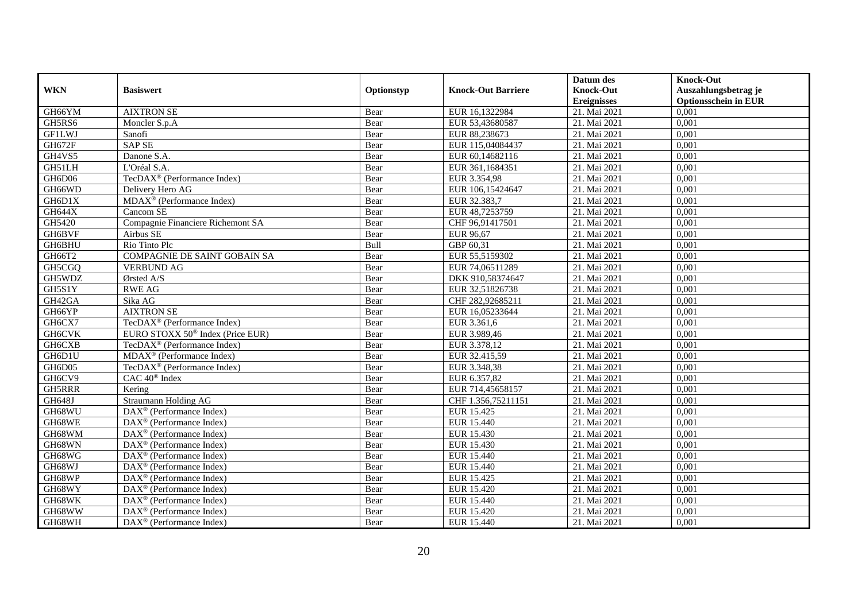|               |                                                                     |            |                           | Datum des          | <b>Knock-Out</b>            |
|---------------|---------------------------------------------------------------------|------------|---------------------------|--------------------|-----------------------------|
| <b>WKN</b>    | <b>Basiswert</b>                                                    | Optionstyp | <b>Knock-Out Barriere</b> | <b>Knock-Out</b>   | Auszahlungsbetrag je        |
|               |                                                                     |            |                           | <b>Ereignisses</b> | <b>Optionsschein in EUR</b> |
| GH66YM        | <b>AIXTRON SE</b>                                                   | Bear       | EUR 16,1322984            | 21. Mai 2021       | 0,001                       |
| GH5RS6        | Moncler S.p.A                                                       | Bear       | EUR 53,43680587           | 21. Mai 2021       | 0,001                       |
| <b>GF1LWJ</b> | Sanofi                                                              | Bear       | EUR 88,238673             | 21. Mai 2021       | 0,001                       |
| GH672F        | <b>SAP SE</b>                                                       | Bear       | EUR 115,04084437          | 21. Mai 2021       | 0,001                       |
| GH4VS5        | Danone S.A.                                                         | Bear       | EUR 60,14682116           | 21. Mai 2021       | 0,001                       |
| GH51LH        | L'Oréal S.A.                                                        | Bear       | EUR 361,1684351           | 21. Mai 2021       | 0,001                       |
| GH6D06        | TecDAX <sup>®</sup> (Performance Index)                             | Bear       | EUR 3.354,98              | 21. Mai 2021       | 0,001                       |
| GH66WD        | Delivery Hero AG                                                    | Bear       | EUR 106,15424647          | 21. Mai 2021       | 0,001                       |
| GH6D1X        | MDAX <sup>®</sup> (Performance Index)                               | Bear       | EUR 32.383,7              | 21. Mai 2021       | 0,001                       |
| <b>GH644X</b> | Cancom SE                                                           | Bear       | EUR 48,7253759            | 21. Mai 2021       | 0,001                       |
| GH5420        | Compagnie Financiere Richemont SA                                   | Bear       | CHF 96,91417501           | 21. Mai 2021       | 0,001                       |
| GH6BVF        | Airbus SE                                                           | Bear       | EUR 96,67                 | 21. Mai 2021       | 0,001                       |
| GH6BHU        | Rio Tinto Plc                                                       | Bull       | GBP 60,31                 | 21. Mai 2021       | 0,001                       |
| GH66T2        | COMPAGNIE DE SAINT GOBAIN SA                                        | Bear       | EUR 55,5159302            | 21. Mai 2021       | 0,001                       |
| GH5CGQ        | <b>VERBUND AG</b>                                                   | Bear       | EUR 74,06511289           | 21. Mai 2021       | 0,001                       |
| GH5WDZ        | Ørsted A/S                                                          | Bear       | DKK 910,58374647          | 21. Mai 2021       | 0,001                       |
| GH5S1Y        | <b>RWE AG</b>                                                       | Bear       | EUR 32,51826738           | 21. Mai 2021       | 0,001                       |
| GH42GA        | Sika AG                                                             | Bear       | CHF 282,92685211          | 21. Mai 2021       | 0,001                       |
| GH66YP        | <b>AIXTRON SE</b>                                                   | Bear       | EUR 16,05233644           | 21. Mai 2021       | 0,001                       |
| GH6CX7        | TecDAX <sup>®</sup> (Performance Index)                             | Bear       | EUR 3.361,6               | 21. Mai 2021       | 0,001                       |
| <b>GH6CVK</b> | EURO STOXX 50 <sup>®</sup> Index (Price EUR)                        | Bear       | EUR 3.989,46              | 21. Mai 2021       | 0,001                       |
| <b>GH6CXB</b> | TecDAX <sup>®</sup> (Performance Index)                             | Bear       | EUR 3.378,12              | 21. Mai 2021       | 0,001                       |
| GH6D1U        | MDAX <sup>®</sup> (Performance Index)                               | Bear       | EUR 32.415,59             | 21. Mai 2021       | 0,001                       |
| GH6D05        | TecDAX <sup>®</sup> (Performance Index)                             | Bear       | EUR 3.348,38              | 21. Mai 2021       | 0,001                       |
| GH6CV9        | CAC 40 <sup>®</sup> Index                                           | Bear       | EUR 6.357,82              | 21. Mai 2021       | 0,001                       |
| GH5RRR        | Kering                                                              | Bear       | EUR 714,45658157          | 21. Mai 2021       | 0,001                       |
| GH648J        | Straumann Holding AG                                                | Bear       | CHF 1.356,75211151        | 21. Mai 2021       | 0,001                       |
| GH68WU        | $\overline{\text{DAX}^{\textcircled{}}\text{ (Performance Index)}}$ | Bear       | EUR 15.425                | 21. Mai 2021       | 0.001                       |
| GH68WE        | $DAX^{\circledast}$ (Performance Index)                             | Bear       | EUR 15.440                | 21. Mai 2021       | 0,001                       |
| GH68WM        | $DAX^{\circledast}$ (Performance Index)                             | Bear       | EUR 15.430                | 21. Mai 2021       | 0,001                       |
| GH68WN        | $DAX^{\circledast}$ (Performance Index)                             | Bear       | EUR 15.430                | 21. Mai 2021       | 0,001                       |
| GH68WG        | $DAX^{\circledR}$ (Performance Index)                               | Bear       | EUR 15.440                | 21. Mai 2021       | 0,001                       |
| GH68WJ        | $\overline{\text{DAX}}^{\textcirc}$ (Performance Index)             | Bear       | EUR 15.440                | 21. Mai 2021       | 0,001                       |
| GH68WP        | DAX <sup>®</sup> (Performance Index)                                | Bear       | EUR 15.425                | 21. Mai 2021       | 0,001                       |
| GH68WY        | $\text{DAX}^{\circledast}$ (Performance Index)                      | Bear       | EUR 15.420                | 21. Mai 2021       | 0,001                       |
| GH68WK        | DAX <sup>®</sup> (Performance Index)                                | Bear       | EUR 15.440                | 21. Mai 2021       | 0,001                       |
| GH68WW        | $DAX^{\circledcirc}$ (Performance Index)                            | Bear       | EUR 15.420                | 21. Mai 2021       | 0,001                       |
| GH68WH        | DAX <sup>®</sup> (Performance Index)                                | Bear       | EUR 15.440                | 21. Mai 2021       | 0,001                       |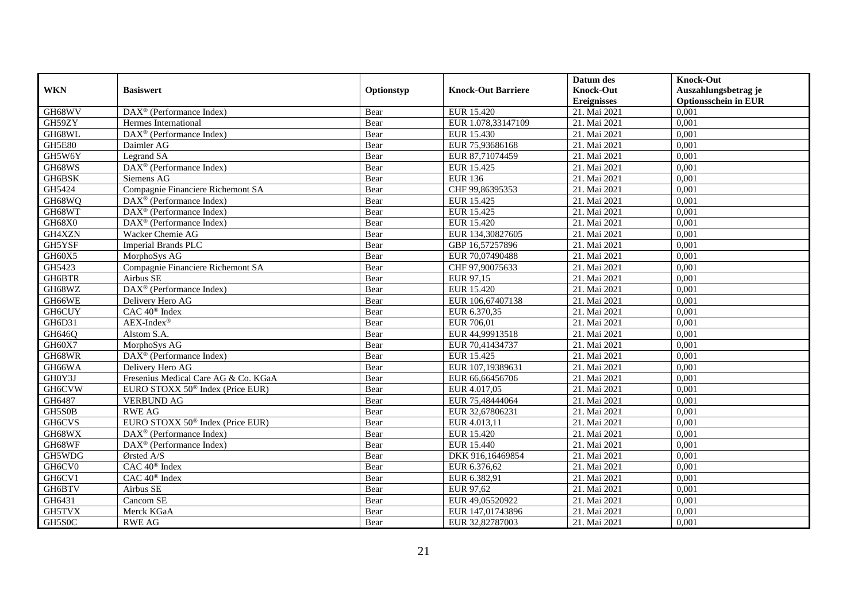|               |                                                              |            |                           | Datum des          | <b>Knock-Out</b>            |
|---------------|--------------------------------------------------------------|------------|---------------------------|--------------------|-----------------------------|
| <b>WKN</b>    | <b>Basiswert</b>                                             | Optionstyp | <b>Knock-Out Barriere</b> | <b>Knock-Out</b>   | Auszahlungsbetrag je        |
|               |                                                              |            |                           | <b>Ereignisses</b> | <b>Optionsschein in EUR</b> |
| GH68WV        | $DAX^{\circledR}$ (Performance Index)                        | Bear       | <b>EUR 15.420</b>         | 21. Mai 2021       | 0,001                       |
| GH59ZY        | Hermes International                                         | Bear       | EUR 1.078,33147109        | 21. Mai 2021       | 0,001                       |
| GH68WL        | $\overline{\text{DAX}}^{\textcircled{}}$ (Performance Index) | Bear       | EUR 15.430                | 21. Mai 2021       | 0,001                       |
| <b>GH5E80</b> | Daimler AG                                                   | Bear       | EUR 75,93686168           | 21. Mai 2021       | 0,001                       |
| GH5W6Y        | Legrand SA                                                   | Bear       | EUR 87,71074459           | 21. Mai 2021       | 0,001                       |
| GH68WS        | DAX <sup>®</sup> (Performance Index)                         | Bear       | EUR 15.425                | 21. Mai 2021       | 0,001                       |
| GH6BSK        | Siemens AG                                                   | Bear       | <b>EUR 136</b>            | 21. Mai 2021       | 0,001                       |
| GH5424        | Compagnie Financiere Richemont SA                            | Bear       | CHF 99,86395353           | 21. Mai 2021       | 0,001                       |
| GH68WQ        | DAX <sup>®</sup> (Performance Index)                         | Bear       | EUR 15.425                | 21. Mai 2021       | 0,001                       |
| GH68WT        | DAX <sup>®</sup> (Performance Index)                         | Bear       | EUR 15.425                | 21. Mai 2021       | 0,001                       |
| GH68X0        | DAX <sup>®</sup> (Performance Index)                         | Bear       | <b>EUR 15.420</b>         | 21. Mai 2021       | 0,001                       |
| GH4XZN        | Wacker Chemie AG                                             | Bear       | EUR 134,30827605          | 21. Mai 2021       | 0,001                       |
| GH5YSF        | <b>Imperial Brands PLC</b>                                   | Bear       | GBP 16,57257896           | 21. Mai 2021       | 0,001                       |
| GH60X5        | MorphoSys AG                                                 | Bear       | EUR 70,07490488           | 21. Mai 2021       | 0,001                       |
| GH5423        | Compagnie Financiere Richemont SA                            | Bear       | CHF 97,90075633           | 21. Mai 2021       | 0,001                       |
| GH6BTR        | Airbus SE                                                    | Bear       | EUR 97,15                 | 21. Mai 2021       | 0,001                       |
| GH68WZ        | DAX <sup>®</sup> (Performance Index)                         | Bear       | <b>EUR 15.420</b>         | 21. Mai 2021       | 0,001                       |
| GH66WE        | Delivery Hero AG                                             | Bear       | EUR 106,67407138          | 21. Mai 2021       | 0,001                       |
| GH6CUY        | CAC 40 <sup>®</sup> Index                                    | Bear       | EUR 6.370,35              | 21. Mai 2021       | 0,001                       |
| GH6D31        | $AEX-Index^{\circledR}$                                      | Bear       | EUR 706,01                | 21. Mai 2021       | 0,001                       |
| GH646Q        | Alstom S.A.                                                  | Bear       | EUR 44,99913518           | 21. Mai 2021       | 0.001                       |
| GH60X7        | MorphoSys AG                                                 | Bear       | EUR 70,41434737           | 21. Mai 2021       | 0,001                       |
| GH68WR        | $\overline{\text{DAX}^{\otimes}}$ (Performance Index)        | Bear       | EUR 15.425                | 21. Mai 2021       | 0,001                       |
| GH66WA        | Delivery Hero AG                                             | Bear       | EUR 107,19389631          | 21. Mai 2021       | 0,001                       |
| GH0Y3J        | Fresenius Medical Care AG & Co. KGaA                         | Bear       | EUR 66,66456706           | 21. Mai 2021       | 0,001                       |
| GH6CVW        | EURO STOXX 50 <sup>®</sup> Index (Price EUR)                 | Bear       | EUR 4.017,05              | 21. Mai 2021       | 0,001                       |
| GH6487        | <b>VERBUND AG</b>                                            | Bear       | EUR 75,48444064           | 21. Mai 2021       | 0,001                       |
| GH5S0B        | <b>RWE AG</b>                                                | Bear       | EUR 32,67806231           | 21. Mai 2021       | 0,001                       |
| GH6CVS        | EURO STOXX 50 <sup>®</sup> Index (Price EUR)                 | Bear       | EUR 4.013,11              | 21. Mai 2021       | 0,001                       |
| GH68WX        | $DAX^{\circledcirc}$ (Performance Index)                     | Bear       | EUR 15.420                | 21. Mai 2021       | 0.001                       |
| GH68WF        | DAX <sup>®</sup> (Performance Index)                         | Bear       | EUR 15.440                | 21. Mai 2021       | 0,001                       |
| GH5WDG        | Ørsted A/S                                                   | Bear       | DKK 916,16469854          | 21. Mai 2021       | 0,001                       |
| GH6CV0        | CAC 40 <sup>®</sup> Index                                    | Bear       | EUR 6.376,62              | 21. Mai 2021       | 0,001                       |
| GH6CV1        | CAC 40 <sup>®</sup> Index                                    | Bear       | EUR 6.382,91              | 21. Mai 2021       | 0,001                       |
| GH6BTV        | Airbus SE                                                    | Bear       | EUR 97,62                 | 21. Mai 2021       | 0,001                       |
| GH6431        | Cancom SE                                                    | Bear       | EUR 49,05520922           | 21. Mai 2021       | 0,001                       |
| GH5TVX        | Merck KGaA                                                   | Bear       | EUR 147,01743896          | 21. Mai 2021       | 0,001                       |
| GH5S0C        | <b>RWE AG</b>                                                | Bear       | EUR 32,82787003           | 21. Mai 2021       | 0,001                       |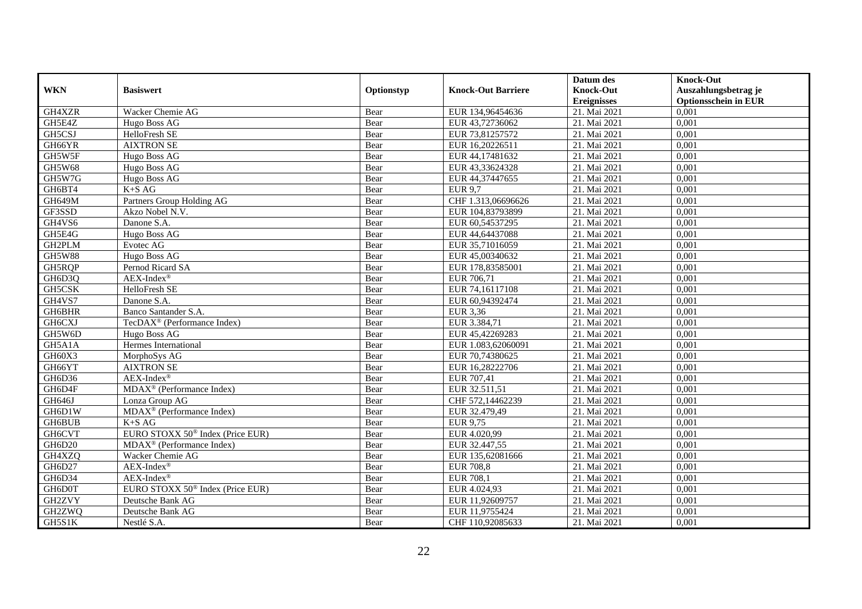|               |                                              |            |                           | Datum des          | <b>Knock-Out</b>            |
|---------------|----------------------------------------------|------------|---------------------------|--------------------|-----------------------------|
| <b>WKN</b>    | <b>Basiswert</b>                             | Optionstyp | <b>Knock-Out Barriere</b> | <b>Knock-Out</b>   | Auszahlungsbetrag je        |
|               |                                              |            |                           | <b>Ereignisses</b> | <b>Optionsschein in EUR</b> |
| GH4XZR        | Wacker Chemie AG                             | Bear       | EUR 134,96454636          | 21. Mai 2021       | 0,001                       |
| GH5E4Z        | Hugo Boss AG                                 | Bear       | EUR 43,72736062           | 21. Mai 2021       | 0,001                       |
| GH5CSJ        | HelloFresh SE                                | Bear       | EUR 73,81257572           | 21. Mai 2021       | 0,001                       |
| GH66YR        | <b>AIXTRON SE</b>                            | Bear       | EUR 16,20226511           | 21. Mai 2021       | 0,001                       |
| GH5W5F        | Hugo Boss AG                                 | Bear       | EUR 44,17481632           | 21. Mai 2021       | 0,001                       |
| <b>GH5W68</b> | Hugo Boss AG                                 | Bear       | EUR 43,33624328           | 21. Mai 2021       | 0,001                       |
| GH5W7G        | Hugo Boss AG                                 | Bear       | EUR 44,37447655           | 21. Mai 2021       | 0,001                       |
| GH6BT4        | $K+SAG$                                      | Bear       | <b>EUR 9.7</b>            | 21. Mai 2021       | 0,001                       |
| <b>GH649M</b> | Partners Group Holding AG                    | Bear       | CHF 1.313,06696626        | 21. Mai 2021       | 0,001                       |
| GF3SSD        | Akzo Nobel N.V.                              | Bear       | EUR 104,83793899          | 21. Mai 2021       | 0,001                       |
| GH4VS6        | Danone S.A.                                  | Bear       | EUR 60,54537295           | 21. Mai 2021       | 0,001                       |
| GH5E4G        | Hugo Boss AG                                 | Bear       | EUR 44,64437088           | 21. Mai 2021       | 0,001                       |
| GH2PLM        | Evotec AG                                    | Bear       | EUR 35,71016059           | 21. Mai 2021       | 0,001                       |
| <b>GH5W88</b> | Hugo Boss AG                                 | Bear       | EUR 45,00340632           | 21. Mai 2021       | 0,001                       |
| GH5RQP        | Pernod Ricard SA                             | Bear       | EUR 178,83585001          | 21. Mai 2021       | 0,001                       |
| GH6D3Q        | $AEX-Index^{\circledR}$                      | Bear       | EUR 706,71                | 21. Mai 2021       | 0,001                       |
| GH5CSK        | HelloFresh SE                                | Bear       | EUR 74,16117108           | 21. Mai 2021       | 0,001                       |
| GH4VS7        | Danone S.A.                                  | Bear       | EUR 60,94392474           | 21. Mai 2021       | 0,001                       |
| GH6BHR        | Banco Santander S.A.                         | Bear       | EUR 3,36                  | 21. Mai 2021       | 0,001                       |
| GH6CXJ        | TecDAX <sup>®</sup> (Performance Index)      | Bear       | EUR 3.384,71              | 21. Mai 2021       | 0,001                       |
| GH5W6D        | Hugo Boss AG                                 | Bear       | EUR 45,42269283           | 21. Mai 2021       | 0.001                       |
| GH5A1A        | Hermes International                         | Bear       | EUR 1.083,62060091        | 21. Mai 2021       | 0,001                       |
| GH60X3        | MorphoSys AG                                 | Bear       | EUR 70,74380625           | 21. Mai 2021       | 0,001                       |
| GH66YT        | <b>AIXTRON SE</b>                            | Bear       | EUR 16,28222706           | 21. Mai 2021       | 0,001                       |
| GH6D36        | $AEX-Index^{\circledR}$                      | Bear       | EUR 707,41                | 21. Mai 2021       | 0,001                       |
| GH6D4F        | MDAX <sup>®</sup> (Performance Index)        | Bear       | EUR 32.511,51             | 21. Mai 2021       | 0,001                       |
| GH646J        | Lonza Group AG                               | Bear       | CHF 572,14462239          | 21. Mai 2021       | 0,001                       |
| GH6D1W        | $MDAX^{\circledR}$ (Performance Index)       | Bear       | EUR 32.479,49             | 21. Mai 2021       | 0,001                       |
| GH6BUB        | $K+SAG$                                      | Bear       | EUR 9,75                  | 21. Mai 2021       | 0,001                       |
| GH6CVT        | EURO STOXX 50 <sup>®</sup> Index (Price EUR) | Bear       | EUR 4.020.99              | 21. Mai 2021       | 0.001                       |
| GH6D20        | MDAX <sup>®</sup> (Performance Index)        | Bear       | EUR 32.447,55             | 21. Mai 2021       | 0,001                       |
| GH4XZQ        | Wacker Chemie AG                             | Bear       | EUR 135,62081666          | 21. Mai 2021       | 0,001                       |
| GH6D27        | $AEX-Index^{\circledR}$                      | Bear       | <b>EUR 708,8</b>          | 21. Mai 2021       | 0,001                       |
| GH6D34        | $AEX-Index^{\circledR}$                      | Bear       | <b>EUR 708,1</b>          | 21. Mai 2021       | 0,001                       |
| GH6D0T        | EURO STOXX 50 <sup>®</sup> Index (Price EUR) | Bear       | EUR 4.024,93              | 21. Mai 2021       | 0,001                       |
| GH2ZVY        | Deutsche Bank AG                             | Bear       | EUR 11,92609757           | 21. Mai 2021       | 0,001                       |
| GH2ZWQ        | Deutsche Bank AG                             | Bear       | EUR 11,9755424            | 21. Mai 2021       | 0,001                       |
| GH5S1K        | Nestlé S.A.                                  | Bear       | CHF 110,92085633          | 21. Mai 2021       | 0,001                       |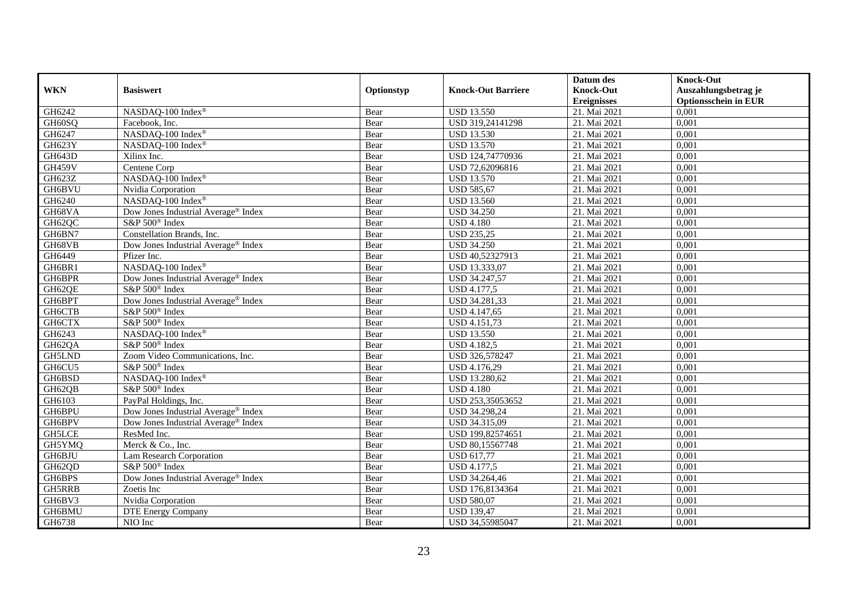|               |                                                 |            |                           | Datum des          | <b>Knock-Out</b>            |
|---------------|-------------------------------------------------|------------|---------------------------|--------------------|-----------------------------|
| <b>WKN</b>    | <b>Basiswert</b>                                | Optionstyp | <b>Knock-Out Barriere</b> | <b>Knock-Out</b>   | Auszahlungsbetrag je        |
|               |                                                 |            |                           | <b>Ereignisses</b> | <b>Optionsschein in EUR</b> |
| GH6242        | NASDAQ-100 Index®                               | Bear       | <b>USD 13.550</b>         | 21. Mai 2021       | 0,001                       |
| GH60SO        | Facebook, Inc.                                  | Bear       | USD 319,24141298          | 21. Mai 2021       | 0,001                       |
| GH6247        | NASDAQ-100 Index®                               | Bear       | <b>USD 13.530</b>         | 21. Mai 2021       | 0,001                       |
| GH623Y        | NASDAQ-100 Index®                               | Bear       | <b>USD 13.570</b>         | 21. Mai 2021       | 0,001                       |
| GH643D        | Xilinx Inc.                                     | Bear       | USD 124,74770936          | 21. Mai 2021       | 0.001                       |
| <b>GH459V</b> | Centene Corp                                    | Bear       | USD 72,62096816           | 21. Mai 2021       | 0,001                       |
| GH623Z        | NASDAQ-100 Index®                               | Bear       | <b>USD 13.570</b>         | 21. Mai 2021       | 0,001                       |
| <b>GH6BVU</b> | Nvidia Corporation                              | Bear       | <b>USD 585,67</b>         | 21. Mai 2021       | 0,001                       |
| GH6240        | NASDAO-100 Index®                               | Bear       | <b>USD 13.560</b>         | 21. Mai 2021       | 0,001                       |
| GH68VA        | Dow Jones Industrial Average® Index             | Bear       | <b>USD 34.250</b>         | 21. Mai 2021       | 0,001                       |
| GH62QC        | S&P 500 <sup>®</sup> Index                      | Bear       | <b>USD 4.180</b>          | 21. Mai 2021       | 0,001                       |
| GH6BN7        | Constellation Brands, Inc.                      | Bear       | <b>USD 235,25</b>         | 21. Mai 2021       | 0,001                       |
| GH68VB        | Dow Jones Industrial Average® Index             | Bear       | <b>USD 34.250</b>         | 21. Mai 2021       | 0,001                       |
| GH6449        | Pfizer Inc.                                     | Bear       | USD 40,52327913           | 21. Mai 2021       | 0,001                       |
| GH6BR1        | NASDAQ-100 Index®                               | Bear       | USD 13.333,07             | 21. Mai 2021       | 0,001                       |
| GH6BPR        | Dow Jones Industrial Average <sup>®</sup> Index | Bear       | USD 34.247,57             | 21. Mai 2021       | 0,001                       |
| GH62QE        | S&P 500 <sup>®</sup> Index                      | Bear       | USD 4.177,5               | 21. Mai 2021       | 0,001                       |
| GH6BPT        | Dow Jones Industrial Average® Index             | Bear       | USD 34.281,33             | 21. Mai 2021       | 0,001                       |
| GH6CTB        | S&P 500 <sup>®</sup> Index                      | Bear       | USD 4.147,65              | 21. Mai 2021       | 0,001                       |
| GH6CTX        | S&P 500 <sup>®</sup> Index                      | Bear       | USD 4.151,73              | 21. Mai 2021       | 0,001                       |
| GH6243        | NASDAQ-100 Index®                               | Bear       | <b>USD 13.550</b>         | 21. Mai 2021       | 0,001                       |
| GH62QA        | S&P 500 <sup>®</sup> Index                      | Bear       | <b>USD 4.182,5</b>        | 21. Mai 2021       | 0,001                       |
| GH5LND        | Zoom Video Communications, Inc.                 | Bear       | USD 326,578247            | 21. Mai 2021       | 0,001                       |
| GH6CU5        | S&P 500 <sup>®</sup> Index                      | Bear       | USD 4.176,29              | 21. Mai 2021       | 0,001                       |
| GH6BSD        | NASDAQ-100 Index®                               | Bear       | USD 13.280,62             | 21. Mai 2021       | 0,001                       |
| GH62QB        | S&P 500 <sup>®</sup> Index                      | Bear       | <b>USD 4.180</b>          | 21. Mai 2021       | 0,001                       |
| GH6103        | PayPal Holdings, Inc.                           | Bear       | USD 253,35053652          | 21. Mai 2021       | 0,001                       |
| GH6BPU        | Dow Jones Industrial Average® Index             | Bear       | USD 34.298,24             | 21. Mai 2021       | 0,001                       |
| GH6BPV        | Dow Jones Industrial Average® Index             | Bear       | USD 34.315,09             | 21. Mai 2021       | 0,001                       |
| <b>GH5LCE</b> | ResMed Inc.                                     | Bear       | USD 199,82574651          | 21. Mai 2021       | 0,001                       |
| GH5YMQ        | Merck & Co., Inc.                               | Bear       | USD 80,15567748           | 21. Mai 2021       | 0,001                       |
| GH6BJU        | Lam Research Corporation                        | Bear       | <b>USD 617,77</b>         | 21. Mai 2021       | 0,001                       |
| GH62QD        | S&P 500 <sup>®</sup> Index                      | Bear       | <b>USD 4.177,5</b>        | 21. Mai 2021       | 0,001                       |
| GH6BPS        | Dow Jones Industrial Average <sup>®</sup> Index | Bear       | USD 34.264,46             | 21. Mai 2021       | 0,001                       |
| <b>GH5RRB</b> | Zoetis Inc                                      | Bear       | USD 176,8134364           | 21. Mai 2021       | 0,001                       |
| GH6BV3        | Nvidia Corporation                              | Bear       | <b>USD 580,07</b>         | 21. Mai 2021       | 0,001                       |
| GH6BMU        | <b>DTE Energy Company</b>                       | Bear       | <b>USD 139,47</b>         | 21. Mai 2021       | 0,001                       |
| GH6738        | NIO Inc                                         | Bear       | USD 34,55985047           | 21. Mai 2021       | 0,001                       |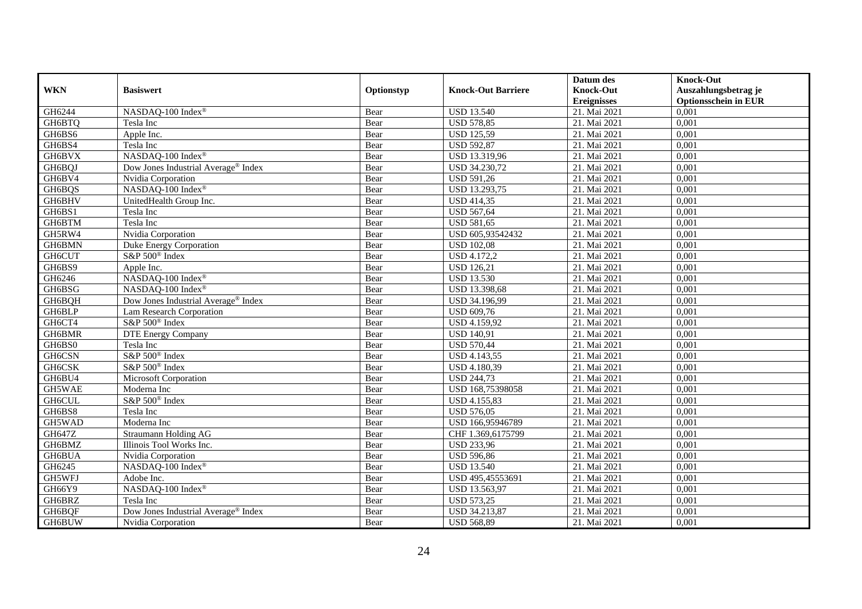|                     |                                                 |            |                           | Datum des          | <b>Knock-Out</b>            |
|---------------------|-------------------------------------------------|------------|---------------------------|--------------------|-----------------------------|
| <b>WKN</b>          | <b>Basiswert</b>                                | Optionstyp | <b>Knock-Out Barriere</b> | <b>Knock-Out</b>   | Auszahlungsbetrag je        |
|                     |                                                 |            |                           | <b>Ereignisses</b> | <b>Optionsschein in EUR</b> |
| GH6244              | NASDAQ-100 Index®                               | Bear       | <b>USD 13.540</b>         | 21. Mai 2021       | 0,001                       |
| GH6BTQ              | Tesla Inc                                       | Bear       | <b>USD 578,85</b>         | 21. Mai 2021       | 0,001                       |
| GH6BS6              | Apple Inc.                                      | Bear       | <b>USD 125,59</b>         | 21. Mai 2021       | 0,001                       |
| GH6BS4              | Tesla Inc                                       | Bear       | <b>USD 592,87</b>         | 21. Mai 2021       | 0,001                       |
| GH6BVX              | NASDAQ-100 Index®                               | Bear       | USD 13.319,96             | 21. Mai 2021       | 0,001                       |
| GH6BQJ              | Dow Jones Industrial Average <sup>®</sup> Index | Bear       | USD 34.230,72             | 21. Mai 2021       | 0,001                       |
| GH6BV4              | Nvidia Corporation                              | Bear       | <b>USD 591,26</b>         | 21. Mai 2021       | 0,001                       |
| GH6BQS              | NASDAQ-100 Index®                               | Bear       | USD 13.293,75             | 21. Mai 2021       | 0,001                       |
| GH6BHV              | UnitedHealth Group Inc.                         | Bear       | <b>USD 414,35</b>         | 21. Mai 2021       | 0,001                       |
| GH6BS1              | Tesla Inc                                       | Bear       | <b>USD 567,64</b>         | 21. Mai 2021       | 0,001                       |
| GH6BTM              | Tesla Inc                                       | Bear       | <b>USD 581,65</b>         | 21. Mai 2021       | 0,001                       |
| GH5RW4              | Nvidia Corporation                              | Bear       | USD 605,93542432          | 21. Mai 2021       | 0,001                       |
| GH6BMN              | Duke Energy Corporation                         | Bear       | <b>USD 102,08</b>         | 21. Mai 2021       | 0,001                       |
| <b>GH6CUT</b>       | S&P 500 <sup>®</sup> Index                      | Bear       | <b>USD 4.172,2</b>        | 21. Mai 2021       | 0,001                       |
| GH6BS9              | Apple Inc.                                      | Bear       | <b>USD 126,21</b>         | 21. Mai 2021       | 0,001                       |
| GH6246              | NASDAQ-100 Index®                               | Bear       | <b>USD 13.530</b>         | 21. Mai 2021       | 0,001                       |
| GH6BSG              | NASDAQ-100 Index®                               | Bear       | USD 13.398,68             | 21. Mai 2021       | 0,001                       |
| GH6BQH              | Dow Jones Industrial Average® Index             | Bear       | USD 34.196,99             | 21. Mai 2021       | 0,001                       |
| GH6BLP              | Lam Research Corporation                        | Bear       | <b>USD 609,76</b>         | 21. Mai 2021       | 0,001                       |
| GH6CT4              | S&P 500 <sup>®</sup> Index                      | Bear       | USD 4.159,92              | 21. Mai 2021       | 0,001                       |
| GH6BMR              | <b>DTE Energy Company</b>                       | Bear       | <b>USD 140,91</b>         | 21. Mai 2021       | 0,001                       |
| GH6BS0              | Tesla Inc                                       | Bear       | <b>USD 570,44</b>         | 21. Mai 2021       | 0,001                       |
| GH6CSN              | S&P 500 <sup>®</sup> Index                      | Bear       | <b>USD 4.143,55</b>       | 21. Mai 2021       | 0,001                       |
| GH <sub>6</sub> CSK | S&P 500 <sup>®</sup> Index                      | Bear       | <b>USD 4.180,39</b>       | 21. Mai 2021       | 0,001                       |
| GH6BU4              | <b>Microsoft Corporation</b>                    | Bear       | <b>USD 244,73</b>         | 21. Mai 2021       | 0,001                       |
| GH5WAE              | Moderna Inc                                     | Bear       | USD 168,75398058          | 21. Mai 2021       | 0,001                       |
| GH6CUL              | S&P 500 <sup>®</sup> Index                      | Bear       | <b>USD 4.155,83</b>       | 21. Mai 2021       | 0,001                       |
| GH6BS8              | Tesla Inc                                       | Bear       | <b>USD 576,05</b>         | 21. Mai 2021       | 0,001                       |
| GH5WAD              | Moderna Inc                                     | Bear       | USD 166,95946789          | 21. Mai 2021       | 0,001                       |
| GH647Z              | Straumann Holding AG                            | Bear       | CHF 1.369,6175799         | 21. Mai 2021       | 0.001                       |
| GH6BMZ              | Illinois Tool Works Inc.                        | Bear       | <b>USD 233,96</b>         | 21. Mai 2021       | 0,001                       |
| GH6BUA              | Nvidia Corporation                              | Bear       | <b>USD 596,86</b>         | 21. Mai 2021       | 0,001                       |
| GH6245              | NASDAQ-100 Index®                               | Bear       | <b>USD 13.540</b>         | 21. Mai 2021       | 0,001                       |
| GH5WFJ              | Adobe Inc.                                      | Bear       | USD 495,45553691          | 21. Mai 2021       | 0,001                       |
| GH66Y9              | NASDAQ-100 Index®                               | Bear       | USD 13.563,97             | 21. Mai 2021       | 0,001                       |
| GH6BRZ              | Tesla Inc                                       | Bear       | <b>USD 573,25</b>         | 21. Mai 2021       | 0,001                       |
| GH6BQF              | Dow Jones Industrial Average® Index             | Bear       | USD 34.213,87             | 21. Mai 2021       | 0,001                       |
| GH6BUW              | Nvidia Corporation                              | Bear       | <b>USD 568,89</b>         | 21. Mai 2021       | 0,001                       |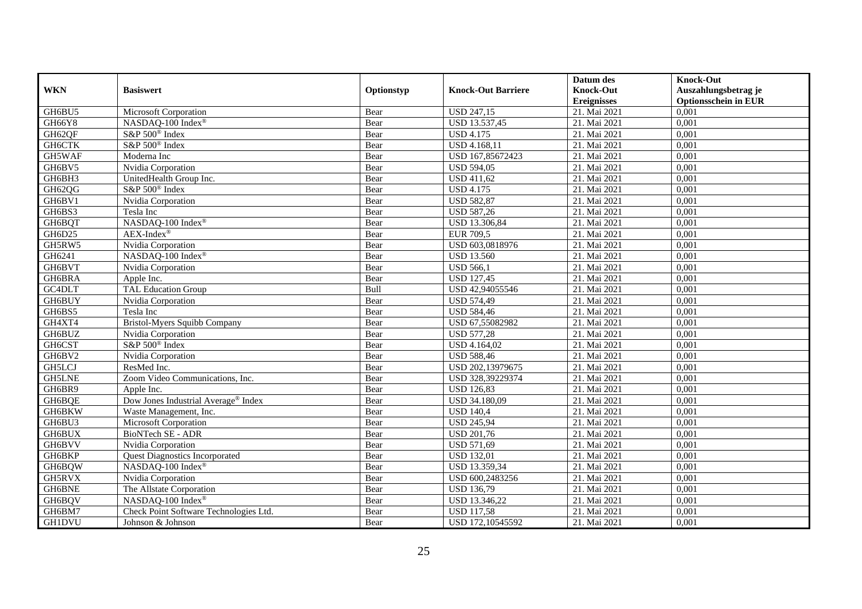|               |                                        |            |                           | Datum des          | <b>Knock-Out</b>            |
|---------------|----------------------------------------|------------|---------------------------|--------------------|-----------------------------|
| <b>WKN</b>    | <b>Basiswert</b>                       | Optionstyp | <b>Knock-Out Barriere</b> | <b>Knock-Out</b>   | Auszahlungsbetrag je        |
|               |                                        |            |                           | <b>Ereignisses</b> | <b>Optionsschein in EUR</b> |
| GH6BU5        | Microsoft Corporation                  | Bear       | <b>USD 247,15</b>         | 21. Mai 2021       | 0,001                       |
| <b>GH66Y8</b> | NASDAQ-100 Index®                      | Bear       | USD 13.537,45             | 21. Mai 2021       | 0,001                       |
| GH62QF        | S&P 500 <sup>®</sup> Index             | Bear       | <b>USD 4.175</b>          | 21. Mai 2021       | 0,001                       |
| GH6CTK        | S&P 500 <sup>®</sup> Index             | Bear       | USD 4.168,11              | 21. Mai 2021       | 0,001                       |
| GH5WAF        | Moderna Inc                            | Bear       | USD 167,85672423          | 21. Mai 2021       | 0.001                       |
| GH6BV5        | Nvidia Corporation                     | Bear       | <b>USD 594,05</b>         | 21. Mai 2021       | 0,001                       |
| GH6BH3        | UnitedHealth Group Inc.                | Bear       | <b>USD 411,62</b>         | 21. Mai 2021       | 0,001                       |
| GH62QG        | S&P 500 <sup>®</sup> Index             | Bear       | <b>USD 4.175</b>          | 21. Mai 2021       | 0,001                       |
| GH6BV1        | Nvidia Corporation                     | Bear       | <b>USD 582,87</b>         | 21. Mai 2021       | 0,001                       |
| GH6BS3        | Tesla Inc                              | Bear       | <b>USD 587,26</b>         | 21. Mai 2021       | 0,001                       |
| GH6BQT        | NASDAQ-100 Index®                      | Bear       | USD 13.306,84             | 21. Mai 2021       | 0.001                       |
| GH6D25        | $AEX-Index^{\circledR}$                | Bear       | <b>EUR 709,5</b>          | 21. Mai 2021       | 0,001                       |
| GH5RW5        | Nvidia Corporation                     | Bear       | USD 603,0818976           | 21. Mai 2021       | 0,001                       |
| GH6241        | NASDAQ-100 Index®                      | Bear       | <b>USD 13.560</b>         | 21. Mai 2021       | 0,001                       |
| GH6BVT        | Nvidia Corporation                     | Bear       | <b>USD 566,1</b>          | 21. Mai 2021       | 0,001                       |
| GH6BRA        | Apple Inc.                             | Bear       | <b>USD 127,45</b>         | 21. Mai 2021       | 0,001                       |
| GC4DLT        | <b>TAL Education Group</b>             | Bull       | USD 42,94055546           | 21. Mai 2021       | 0,001                       |
| <b>GH6BUY</b> | Nvidia Corporation                     | Bear       | <b>USD 574,49</b>         | 21. Mai 2021       | 0,001                       |
| GH6BS5        | Tesla Inc                              | Bear       | <b>USD 584,46</b>         | 21. Mai 2021       | 0,001                       |
| GH4XT4        | <b>Bristol-Myers Squibb Company</b>    | Bear       | USD 67,55082982           | 21. Mai 2021       | 0,001                       |
| GH6BUZ        | Nvidia Corporation                     | Bear       | <b>USD 577,28</b>         | 21. Mai 2021       | 0,001                       |
| GH6CST        | S&P 500 <sup>®</sup> Index             | Bear       | USD 4.164,02              | 21. Mai 2021       | 0,001                       |
| GH6BV2        | Nvidia Corporation                     | Bear       | <b>USD 588,46</b>         | 21. Mai 2021       | 0,001                       |
| <b>GH5LCJ</b> | ResMed Inc.                            | Bear       | USD 202,13979675          | 21. Mai 2021       | 0,001                       |
| <b>GH5LNE</b> | Zoom Video Communications, Inc.        | Bear       | USD 328,39229374          | 21. Mai 2021       | 0.001                       |
| GH6BR9        | Apple Inc.                             | Bear       | <b>USD 126,83</b>         | 21. Mai 2021       | 0,001                       |
| GH6BQE        | Dow Jones Industrial Average® Index    | Bear       | USD 34.180,09             | 21. Mai 2021       | 0,001                       |
| GH6BKW        | Waste Management, Inc.                 | Bear       | <b>USD 140,4</b>          | 21. Mai 2021       | 0,001                       |
| GH6BU3        | <b>Microsoft Corporation</b>           | Bear       | <b>USD 245,94</b>         | 21. Mai 2021       | 0,001                       |
| GH6BUX        | <b>BioNTech SE - ADR</b>               | Bear       | <b>USD 201,76</b>         | 21. Mai 2021       | 0,001                       |
| GH6BVV        | Nvidia Corporation                     | Bear       | <b>USD 571,69</b>         | 21. Mai 2021       | 0,001                       |
| GH6BKP        | <b>Quest Diagnostics Incorporated</b>  | Bear       | <b>USD 132,01</b>         | 21. Mai 2021       | 0.001                       |
| GH6BQW        | NASDAQ-100 Index®                      | Bear       | USD 13.359,34             | 21. Mai 2021       | 0,001                       |
| GH5RVX        | Nvidia Corporation                     | Bear       | USD 600,2483256           | 21. Mai 2021       | 0,001                       |
| GH6BNE        | The Allstate Corporation               | Bear       | <b>USD 136,79</b>         | 21. Mai 2021       | 0,001                       |
| GH6BQV        | NASDAQ-100 Index®                      | Bear       | USD 13.346,22             | 21. Mai 2021       | 0,001                       |
| GH6BM7        | Check Point Software Technologies Ltd. | Bear       | <b>USD 117,58</b>         | 21. Mai 2021       | 0,001                       |
| GH1DVU        | Johnson & Johnson                      | Bear       | USD 172,10545592          | 21. Mai 2021       | 0,001                       |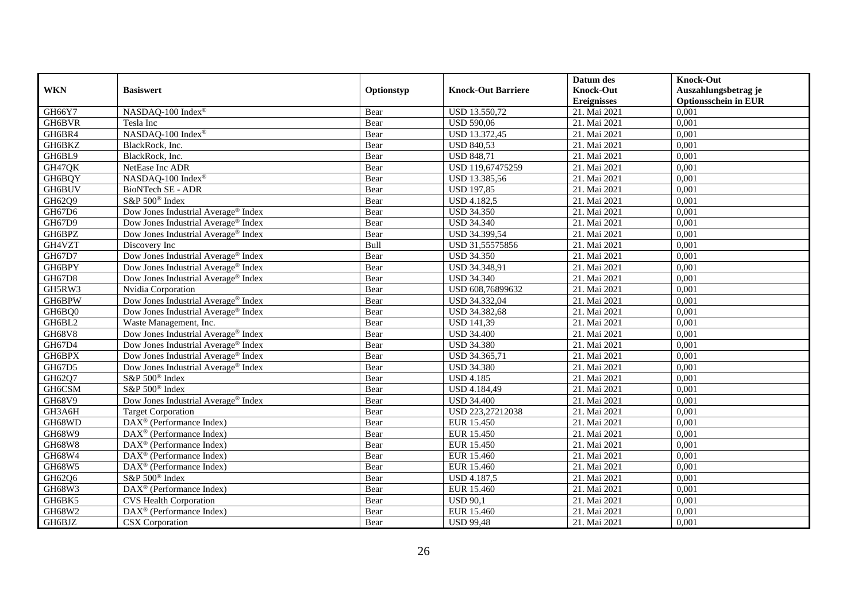|               |                                                 |            |                           | Datum des          | <b>Knock-Out</b>            |
|---------------|-------------------------------------------------|------------|---------------------------|--------------------|-----------------------------|
| <b>WKN</b>    | <b>Basiswert</b>                                | Optionstyp | <b>Knock-Out Barriere</b> | <b>Knock-Out</b>   | Auszahlungsbetrag je        |
|               |                                                 |            |                           | <b>Ereignisses</b> | <b>Optionsschein in EUR</b> |
| GH66Y7        | NASDAQ-100 Index®                               | Bear       | <b>USD 13.550,72</b>      | 21. Mai 2021       | 0,001                       |
| GH6BVR        | Tesla Inc                                       | Bear       | <b>USD 590,06</b>         | 21. Mai 2021       | 0,001                       |
| GH6BR4        | NASDAQ-100 Index®                               | Bear       | USD 13.372,45             | 21. Mai 2021       | 0,001                       |
| GH6BKZ        | BlackRock, Inc.                                 | Bear       | <b>USD 840,53</b>         | 21. Mai 2021       | 0,001                       |
| GH6BL9        | BlackRock, Inc.                                 | Bear       | <b>USD 848,71</b>         | 21. Mai 2021       | 0,001                       |
| GH47QK        | NetEase Inc ADR                                 | Bear       | USD 119,67475259          | 21. Mai 2021       | 0,001                       |
| GH6BQY        | NASDAQ-100 Index®                               | Bear       | USD 13.385,56             | 21. Mai 2021       | 0,001                       |
| <b>GH6BUV</b> | <b>BioNTech SE - ADR</b>                        | Bear       | <b>USD 197,85</b>         | 21. Mai 2021       | 0,001                       |
| GH62Q9        | S&P 500 <sup>®</sup> Index                      | Bear       | <b>USD 4.182,5</b>        | 21. Mai 2021       | 0,001                       |
| GH67D6        | Dow Jones Industrial Average® Index             | Bear       | <b>USD 34.350</b>         | 21. Mai 2021       | 0,001                       |
| GH67D9        | Dow Jones Industrial Average <sup>®</sup> Index | Bear       | <b>USD 34.340</b>         | 21. Mai 2021       | 0,001                       |
| GH6BPZ        | Dow Jones Industrial Average® Index             | Bear       | USD 34.399,54             | 21. Mai 2021       | 0,001                       |
| GH4VZT        | Discovery Inc                                   | Bull       | USD 31,55575856           | 21. Mai 2021       | 0,001                       |
| GH67D7        | Dow Jones Industrial Average® Index             | Bear       | <b>USD 34.350</b>         | 21. Mai 2021       | 0,001                       |
| GH6BPY        | Dow Jones Industrial Average <sup>®</sup> Index | Bear       | USD 34.348,91             | 21. Mai 2021       | 0,001                       |
| GH67D8        | Dow Jones Industrial Average® Index             | Bear       | <b>USD 34.340</b>         | 21. Mai 2021       | 0,001                       |
| GH5RW3        | Nvidia Corporation                              | Bear       | USD 608,76899632          | 21. Mai 2021       | 0,001                       |
| GH6BPW        | Dow Jones Industrial Average® Index             | Bear       | USD 34.332,04             | 21. Mai 2021       | 0,001                       |
| GH6BQ0        | Dow Jones Industrial Average <sup>®</sup> Index | Bear       | USD 34.382,68             | 21. Mai 2021       | 0,001                       |
| GH6BL2        | Waste Management, Inc.                          | Bear       | <b>USD 141,39</b>         | 21. Mai 2021       | 0,001                       |
| <b>GH68V8</b> | Dow Jones Industrial Average <sup>®</sup> Index | Bear       | <b>USD 34.400</b>         | 21. Mai 2021       | 0,001                       |
| GH67D4        | Dow Jones Industrial Average® Index             | Bear       | <b>USD 34.380</b>         | 21. Mai 2021       | 0,001                       |
| GH6BPX        | Dow Jones Industrial Average® Index             | Bear       | USD 34.365,71             | 21. Mai 2021       | 0,001                       |
| GH67D5        | Dow Jones Industrial Average <sup>®</sup> Index | Bear       | <b>USD 34.380</b>         | 21. Mai 2021       | 0,001                       |
| GH62Q7        | S&P 500 <sup>®</sup> Index                      | Bear       | <b>USD 4.185</b>          | 21. Mai 2021       | 0,001                       |
| GH6CSM        | S&P 500 <sup>®</sup> Index                      | Bear       | USD 4.184,49              | 21. Mai 2021       | 0,001                       |
| GH68V9        | Dow Jones Industrial Average® Index             | Bear       | <b>USD 34.400</b>         | 21. Mai 2021       | 0,001                       |
| GH3A6H        | Target Corporation                              | Bear       | USD 223,27212038          | 21. Mai 2021       | 0,001                       |
| GH68WD        | DAX <sup>®</sup> (Performance Index)            | Bear       | <b>EUR 15.450</b>         | 21. Mai 2021       | 0,001                       |
| GH68W9        | $DAX^{\circledast}$ (Performance Index)         | Bear       | <b>EUR 15.450</b>         | 21. Mai 2021       | 0,001                       |
| <b>GH68W8</b> | $DAX^{\circledast}$ (Performance Index)         | Bear       | <b>EUR 15.450</b>         | 21. Mai 2021       | 0,001                       |
| GH68W4        | $DAX^{\circledR}$ (Performance Index)           | Bear       | EUR 15.460                | 21. Mai 2021       | 0,001                       |
| GH68W5        | DAX <sup>®</sup> (Performance Index)            | Bear       | EUR 15.460                | 21. Mai 2021       | 0,001                       |
| GH62Q6        | S&P 500 <sup>®</sup> Index                      | Bear       | <b>USD 4.187,5</b>        | 21. Mai 2021       | 0,001                       |
| GH68W3        | DAX <sup>®</sup> (Performance Index)            | Bear       | EUR 15.460                | 21. Mai 2021       | 0,001                       |
| GH6BK5        | <b>CVS Health Corporation</b>                   | Bear       | <b>USD 90,1</b>           | 21. Mai 2021       | 0,001                       |
| GH68W2        | DAX <sup>®</sup> (Performance Index)            | Bear       | EUR 15.460                | 21. Mai 2021       | 0,001                       |
| GH6BJZ        | CSX Corporation                                 | Bear       | <b>USD 99,48</b>          | 21. Mai 2021       | 0,001                       |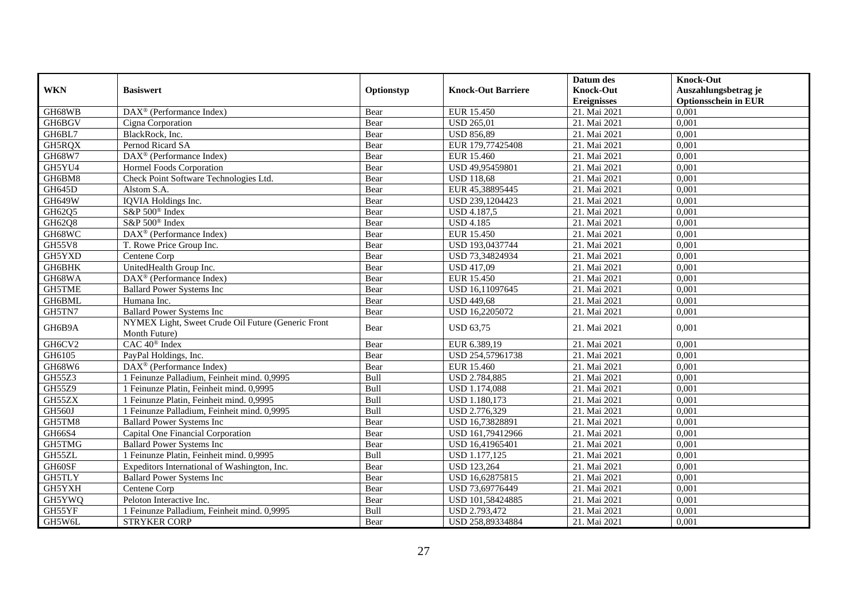|                      |                                                       |            |                           | Datum des          | <b>Knock-Out</b>            |
|----------------------|-------------------------------------------------------|------------|---------------------------|--------------------|-----------------------------|
| <b>WKN</b>           | <b>Basiswert</b>                                      | Optionstyp | <b>Knock-Out Barriere</b> | <b>Knock-Out</b>   | Auszahlungsbetrag je        |
|                      |                                                       |            |                           | <b>Ereignisses</b> | <b>Optionsschein in EUR</b> |
| GH68WB               | $\overline{\text{DAX}^{\otimes}}$ (Performance Index) | Bear       | EUR 15.450                | 21. Mai 2021       | 0,001                       |
| GH6BGV               | Cigna Corporation                                     | Bear       | <b>USD 265,01</b>         | 21. Mai 2021       | 0,001                       |
| GH6BL7               | BlackRock, Inc.                                       | Bear       | <b>USD 856,89</b>         | 21. Mai 2021       | 0,001                       |
| GH5RQX               | Pernod Ricard SA                                      | Bear       | EUR 179,77425408          | 21. Mai 2021       | 0,001                       |
| GH68W7               | DAX <sup>®</sup> (Performance Index)                  | Bear       | <b>EUR 15.460</b>         | 21. Mai 2021       | 0.001                       |
| GH5YU4               | Hormel Foods Corporation                              | Bear       | USD 49,95459801           | 21. Mai 2021       | 0,001                       |
| GH6BM8               | Check Point Software Technologies Ltd.                | Bear       | <b>USD 118,68</b>         | 21. Mai 2021       | 0,001                       |
| $\overline{GH}$ 645D | Alstom S.A.                                           | Bear       | EUR 45,38895445           | 21. Mai 2021       | 0,001                       |
| <b>GH649W</b>        | IQVIA Holdings Inc.                                   | Bear       | USD 239,1204423           | 21. Mai 2021       | 0,001                       |
| GH62Q5               | S&P 500 <sup>®</sup> Index                            | Bear       | USD 4.187,5               | 21. Mai 2021       | 0,001                       |
| GH62Q8               | S&P 500 <sup>®</sup> Index                            | Bear       | <b>USD 4.185</b>          | 21. Mai 2021       | 0,001                       |
| GH68WC               | DAX <sup>®</sup> (Performance Index)                  | Bear       | <b>EUR 15.450</b>         | 21. Mai 2021       | 0,001                       |
| <b>GH55V8</b>        | T. Rowe Price Group Inc.                              | Bear       | USD 193,0437744           | 21. Mai 2021       | 0.001                       |
| GH5YXD               | Centene Corp                                          | Bear       | USD 73,34824934           | 21. Mai 2021       | 0,001                       |
| <b>GH6BHK</b>        | UnitedHealth Group Inc.                               | Bear       | <b>USD 417,09</b>         | 21. Mai 2021       | 0,001                       |
| GH68WA               | DAX <sup>®</sup> (Performance Index)                  | Bear       | <b>EUR 15.450</b>         | 21. Mai 2021       | 0,001                       |
| GH5TME               | <b>Ballard Power Systems Inc</b>                      | Bear       | USD 16,11097645           | 21. Mai 2021       | 0,001                       |
| GH6BML               | Humana Inc.                                           | Bear       | <b>USD 449.68</b>         | 21. Mai 2021       | 0,001                       |
| GH5TN7               | <b>Ballard Power Systems Inc</b>                      | Bear       | USD 16,2205072            | 21. Mai 2021       | 0,001                       |
| GH6B9A               | NYMEX Light, Sweet Crude Oil Future (Generic Front    | Bear       | <b>USD 63,75</b>          | 21. Mai 2021       | 0,001                       |
|                      | Month Future)                                         |            |                           |                    |                             |
| GH6CV2               | CAC 40 <sup>®</sup> Index                             | Bear       | EUR 6.389,19              | 21. Mai 2021       | 0,001                       |
| GH6105               | PayPal Holdings, Inc.                                 | Bear       | USD 254,57961738          | 21. Mai 2021       | 0,001                       |
| GH68W6               | $\text{DAX}^{\textcircled{}}$ (Performance Index)     | Bear       | EUR 15.460                | 21. Mai 2021       | 0,001                       |
| GH55Z3               | 1 Feinunze Palladium, Feinheit mind. 0,9995           | Bull       | USD 2.784,885             | 21. Mai 2021       | 0.001                       |
| GH55Z9               | 1 Feinunze Platin, Feinheit mind. 0,9995              | Bull       | <b>USD 1.174,088</b>      | 21. Mai 2021       | 0,001                       |
| GH55ZX               | 1 Feinunze Platin, Feinheit mind. 0,9995              | Bull       | USD 1.180,173             | 21. Mai 2021       | 0.001                       |
| <b>GH560J</b>        | 1 Feinunze Palladium. Feinheit mind. 0.9995           | Bull       | USD 2.776,329             | 21. Mai 2021       | 0,001                       |
| GH5TM8               | <b>Ballard Power Systems Inc</b>                      | Bear       | USD 16,73828891           | 21. Mai 2021       | 0,001                       |
| GH66S4               | Capital One Financial Corporation                     | Bear       | USD 161,79412966          | 21. Mai 2021       | 0,001                       |
| GH5TMG               | <b>Ballard Power Systems Inc</b>                      | Bear       | USD 16,41965401           | 21. Mai 2021       | 0,001                       |
| GH55ZL               | 1 Feinunze Platin, Feinheit mind. 0,9995              | Bull       | USD 1.177,125             | 21. Mai 2021       | 0,001                       |
| GH60SF               | Expeditors International of Washington, Inc.          | Bear       | <b>USD 123,264</b>        | 21. Mai 2021       | 0,001                       |
| GH5TLY               | <b>Ballard Power Systems Inc</b>                      | Bear       | USD 16,62875815           | 21. Mai 2021       | 0,001                       |
| GH5YXH               | Centene Corp                                          | Bear       | USD 73,69776449           | 21. Mai 2021       | 0,001                       |
| GH5YWQ               | Peloton Interactive Inc.                              | Bear       | USD 101,58424885          | 21. Mai 2021       | 0,001                       |
| GH55YF               | 1 Feinunze Palladium, Feinheit mind. 0,9995           | Bull       | USD 2.793,472             | 21. Mai 2021       | 0,001                       |
| GH5W6L               | <b>STRYKER CORP</b>                                   | Bear       | USD 258,89334884          | 21. Mai 2021       | 0,001                       |